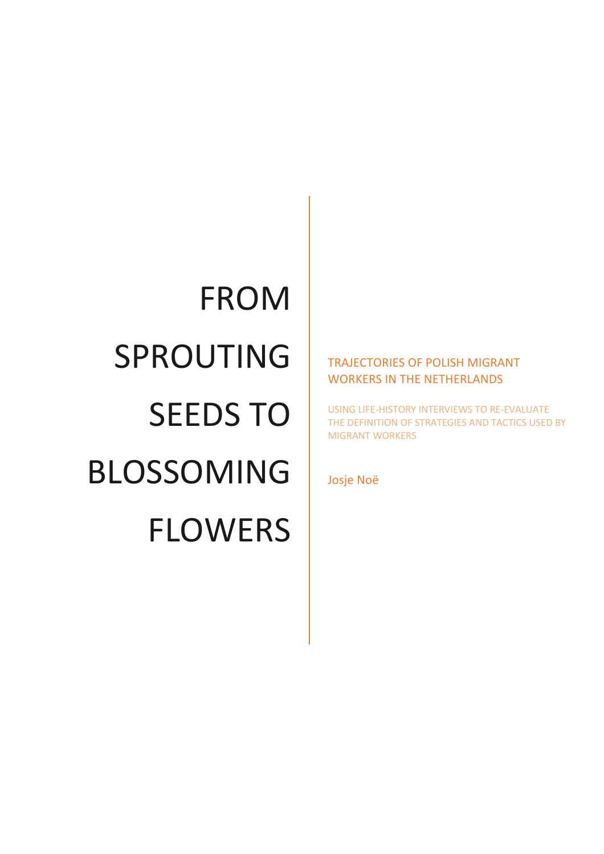# FROM SPROUTING SEEDS TO BLOSSOMING FLOWERS

### TRAJECTORIES OF POLISH MIGRANT WORKERS IN THE NETHERLANDS

USING LIFE-HISTORY INTERVIEWS TO RE-EVALUATE THE DEFINITION OF STRATEGIES AND TACTICS USED BY MIGRANT WORKERS

Josje Noë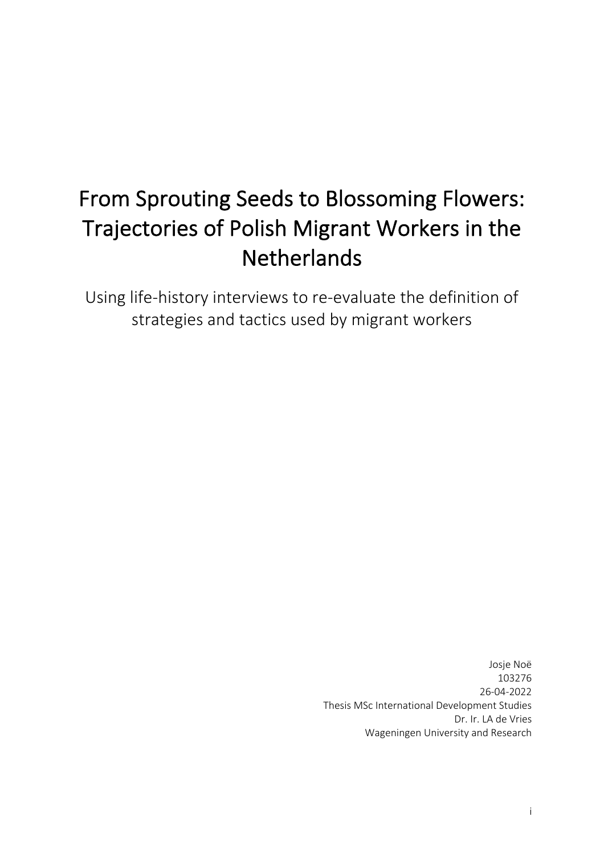## From Sprouting Seeds to Blossoming Flowers: Trajectories of Polish Migrant Workers in the **Netherlands**

Using life-history interviews to re-evaluate the definition of strategies and tactics used by migrant workers

> Josje Noë 103276 26-04-2022 Thesis MSc International Development Studies Dr. Ir. LA de Vries Wageningen University and Research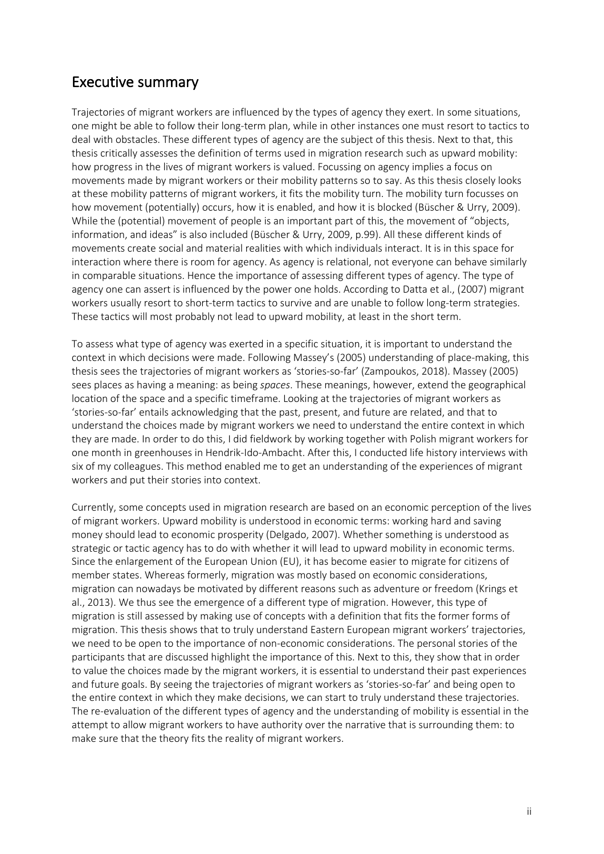### Executive summary

Trajectories of migrant workers are influenced by the types of agency they exert. In some situations, one might be able to follow their long-term plan, while in other instances one must resort to tactics to deal with obstacles. These different types of agency are the subject of this thesis. Next to that, this thesis critically assesses the definition of terms used in migration research such as upward mobility: how progress in the lives of migrant workers is valued. Focussing on agency implies a focus on movements made by migrant workers or their mobility patterns so to say. As this thesis closely looks at these mobility patterns of migrant workers, it fits the mobility turn. The mobility turn focusses on how movement (potentially) occurs, how it is enabled, and how it is blocked (Büscher & Urry, 2009). While the (potential) movement of people is an important part of this, the movement of "objects, information, and ideas" is also included (Büscher & Urry, 2009, p.99). All these different kinds of movements create social and material realities with which individuals interact. It is in this space for interaction where there is room for agency. As agency is relational, not everyone can behave similarly in comparable situations. Hence the importance of assessing different types of agency. The type of agency one can assert is influenced by the power one holds. According to Datta et al., (2007) migrant workers usually resort to short-term tactics to survive and are unable to follow long-term strategies. These tactics will most probably not lead to upward mobility, at least in the short term.

To assess what type of agency was exerted in a specific situation, it is important to understand the context in which decisions were made. Following Massey's (2005) understanding of place-making, this thesis sees the trajectories of migrant workers as 'stories-so-far' (Zampoukos, 2018). Massey (2005) sees places as having a meaning: as being *spaces*. These meanings, however, extend the geographical location of the space and a specific timeframe. Looking at the trajectories of migrant workers as 'stories-so-far' entails acknowledging that the past, present, and future are related, and that to understand the choices made by migrant workers we need to understand the entire context in which they are made. In order to do this, I did fieldwork by working together with Polish migrant workers for one month in greenhouses in Hendrik-Ido-Ambacht. After this, I conducted life history interviews with six of my colleagues. This method enabled me to get an understanding of the experiences of migrant workers and put their stories into context.

Currently, some concepts used in migration research are based on an economic perception of the lives of migrant workers. Upward mobility is understood in economic terms: working hard and saving money should lead to economic prosperity (Delgado, 2007). Whether something is understood as strategic or tactic agency has to do with whether it will lead to upward mobility in economic terms. Since the enlargement of the European Union (EU), it has become easier to migrate for citizens of member states. Whereas formerly, migration was mostly based on economic considerations, migration can nowadays be motivated by different reasons such as adventure or freedom (Krings et al., 2013). We thus see the emergence of a different type of migration. However, this type of migration is still assessed by making use of concepts with a definition that fits the former forms of migration. This thesis shows that to truly understand Eastern European migrant workers' trajectories, we need to be open to the importance of non-economic considerations. The personal stories of the participants that are discussed highlight the importance of this. Next to this, they show that in order to value the choices made by the migrant workers, it is essential to understand their past experiences and future goals. By seeing the trajectories of migrant workers as 'stories-so-far' and being open to the entire context in which they make decisions, we can start to truly understand these trajectories. The re-evaluation of the different types of agency and the understanding of mobility is essential in the attempt to allow migrant workers to have authority over the narrative that is surrounding them: to make sure that the theory fits the reality of migrant workers.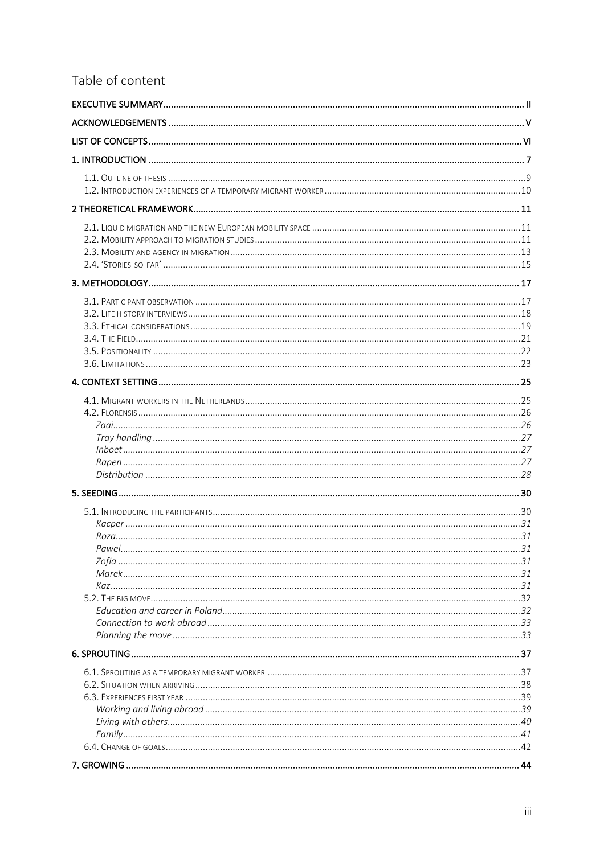### Table of content

| Pawel |  |
|-------|--|
|       |  |
|       |  |
|       |  |
|       |  |
|       |  |
|       |  |
|       |  |
|       |  |
|       |  |
|       |  |
|       |  |
|       |  |
|       |  |
|       |  |
|       |  |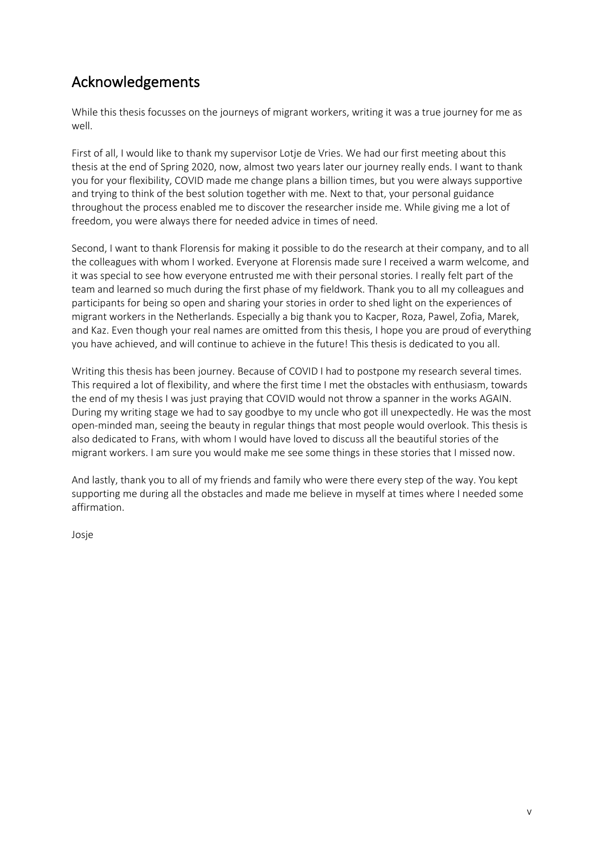### Acknowledgements

While this thesis focusses on the journeys of migrant workers, writing it was a true journey for me as well.

First of all, I would like to thank my supervisor Lotje de Vries. We had our first meeting about this thesis at the end of Spring 2020, now, almost two years later our journey really ends. I want to thank you for your flexibility, COVID made me change plans a billion times, but you were always supportive and trying to think of the best solution together with me. Next to that, your personal guidance throughout the process enabled me to discover the researcher inside me. While giving me a lot of freedom, you were always there for needed advice in times of need.

Second, I want to thank Florensis for making it possible to do the research at their company, and to all the colleagues with whom I worked. Everyone at Florensis made sure I received a warm welcome, and it was special to see how everyone entrusted me with their personal stories. I really felt part of the team and learned so much during the first phase of my fieldwork. Thank you to all my colleagues and participants for being so open and sharing your stories in order to shed light on the experiences of migrant workers in the Netherlands. Especially a big thank you to Kacper, Roza, Pawel, Zofia, Marek, and Kaz. Even though your real names are omitted from this thesis, I hope you are proud of everything you have achieved, and will continue to achieve in the future! This thesis is dedicated to you all.

Writing this thesis has been journey. Because of COVID I had to postpone my research several times. This required a lot of flexibility, and where the first time I met the obstacles with enthusiasm, towards the end of my thesis I was just praying that COVID would not throw a spanner in the works AGAIN. During my writing stage we had to say goodbye to my uncle who got ill unexpectedly. He was the most open-minded man, seeing the beauty in regular things that most people would overlook. This thesis is also dedicated to Frans, with whom I would have loved to discuss all the beautiful stories of the migrant workers. I am sure you would make me see some things in these stories that I missed now.

And lastly, thank you to all of my friends and family who were there every step of the way. You kept supporting me during all the obstacles and made me believe in myself at times where I needed some affirmation.

Josje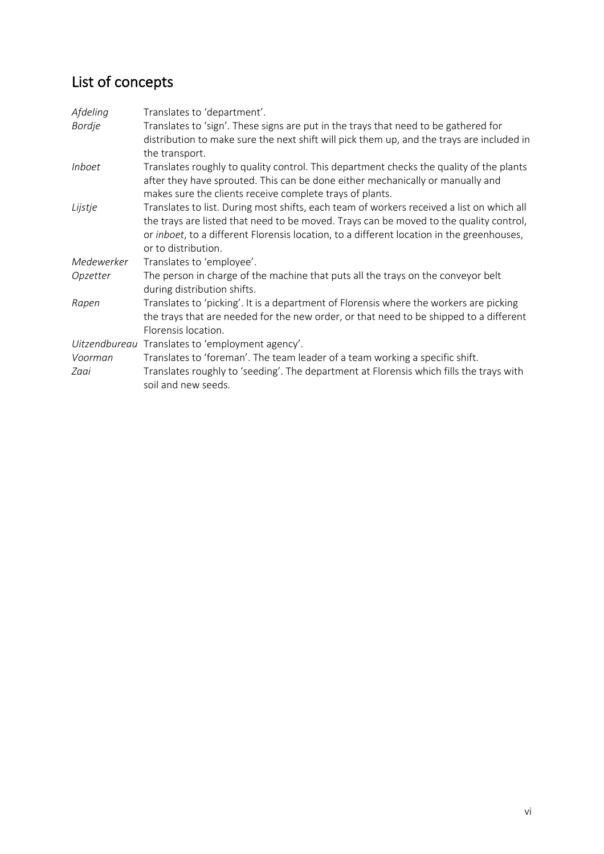### List of concepts

| Afdeling        | Translates to 'department'.                                                                                                                                                                                                                                                                             |
|-----------------|---------------------------------------------------------------------------------------------------------------------------------------------------------------------------------------------------------------------------------------------------------------------------------------------------------|
| <b>Bordje</b>   | Translates to 'sign'. These signs are put in the trays that need to be gathered for<br>distribution to make sure the next shift will pick them up, and the trays are included in                                                                                                                        |
| <i>Inboet</i>   | the transport.<br>Translates roughly to quality control. This department checks the quality of the plants                                                                                                                                                                                               |
|                 | after they have sprouted. This can be done either mechanically or manually and<br>makes sure the clients receive complete trays of plants.                                                                                                                                                              |
| Lijstje         | Translates to list. During most shifts, each team of workers received a list on which all<br>the trays are listed that need to be moved. Trays can be moved to the quality control,<br>or inboet, to a different Florensis location, to a different location in the greenhouses,<br>or to distribution. |
| Medewerker      | Translates to 'employee'.                                                                                                                                                                                                                                                                               |
| Opzetter        | The person in charge of the machine that puts all the trays on the conveyor belt<br>during distribution shifts.                                                                                                                                                                                         |
| Rapen           | Translates to 'picking'. It is a department of Florensis where the workers are picking<br>the trays that are needed for the new order, or that need to be shipped to a different<br>Florensis location.                                                                                                 |
|                 | Uitzendbureau Translates to 'employment agency'.                                                                                                                                                                                                                                                        |
| Voorman<br>Zaai | Translates to 'foreman'. The team leader of a team working a specific shift.<br>Translates roughly to 'seeding'. The department at Florensis which fills the trays with<br>soil and new seeds.                                                                                                          |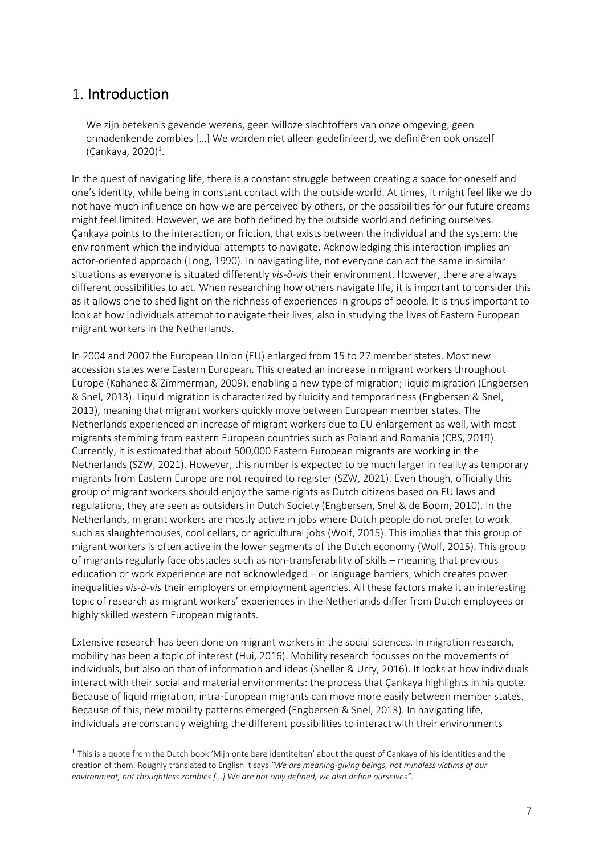### 1. Introduction

We zijn betekenis gevende wezens, geen willoze slachtoffers van onze omgeving, geen onnadenkende zombies […] We worden niet alleen gedefinieerd, we definiëren ook onszelf  $(\text{Çankaya}, 2020)^{1}$ .

In the quest of navigating life, there is a constant struggle between creating a space for oneself and one's identity, while being in constant contact with the outside world. At times, it might feel like we do not have much influence on how we are perceived by others, or the possibilities for our future dreams might feel limited. However, we are both defined by the outside world and defining ourselves. Çankaya points to the interaction, or friction, that exists between the individual and the system: the environment which the individual attempts to navigate. Acknowledging this interaction implies an actor-oriented approach (Long, 1990). In navigating life, not everyone can act the same in similar situations as everyone is situated differently *vis-à-vis* their environment. However, there are always different possibilities to act. When researching how others navigate life, it is important to consider this as it allows one to shed light on the richness of experiences in groups of people. It is thus important to look at how individuals attempt to navigate their lives, also in studying the lives of Eastern European migrant workers in the Netherlands.

In 2004 and 2007 the European Union (EU) enlarged from 15 to 27 member states. Most new accession states were Eastern European. This created an increase in migrant workers throughout Europe (Kahanec & Zimmerman, 2009), enabling a new type of migration; liquid migration (Engbersen & Snel, 2013). Liquid migration is characterized by fluidity and temporariness (Engbersen & Snel, 2013), meaning that migrant workers quickly move between European member states. The Netherlands experienced an increase of migrant workers due to EU enlargement as well, with most migrants stemming from eastern European countries such as Poland and Romania (CBS, 2019). Currently, it is estimated that about 500,000 Eastern European migrants are working in the Netherlands (SZW, 2021). However, this number is expected to be much larger in reality as temporary migrants from Eastern Europe are not required to register (SZW, 2021). Even though, officially this group of migrant workers should enjoy the same rights as Dutch citizens based on EU laws and regulations, they are seen as outsiders in Dutch Society (Engbersen, Snel & de Boom, 2010). In the Netherlands, migrant workers are mostly active in jobs where Dutch people do not prefer to work such as slaughterhouses, cool cellars, or agricultural jobs (Wolf, 2015). This implies that this group of migrant workers is often active in the lower segments of the Dutch economy (Wolf, 2015). This group of migrants regularly face obstacles such as non-transferability of skills – meaning that previous education or work experience are not acknowledged – or language barriers, which creates power inequalities *vis-à-vis* their employers or employment agencies. All these factors make it an interesting topic of research as migrant workers' experiences in the Netherlands differ from Dutch employees or highly skilled western European migrants.

Extensive research has been done on migrant workers in the social sciences. In migration research, mobility has been a topic of interest (Hui, 2016). Mobility research focusses on the movements of individuals, but also on that of information and ideas (Sheller & Urry, 2016). It looks at how individuals interact with their social and material environments: the process that Çankaya highlights in his quote. Because of liquid migration, intra-European migrants can move more easily between member states. Because of this, new mobility patterns emerged (Engbersen & Snel, 2013). In navigating life, individuals are constantly weighing the different possibilities to interact with their environments

 $<sup>1</sup>$  This is a quote from the Dutch book 'Mijn ontelbare identiteiten' about the quest of Çankaya of his identities and the</sup> creation of them. Roughly translated to English it says *"We are meaning-giving beings, not mindless victims of our environment, not thoughtless zombies [...] We are not only defined, we also define ourselves"*.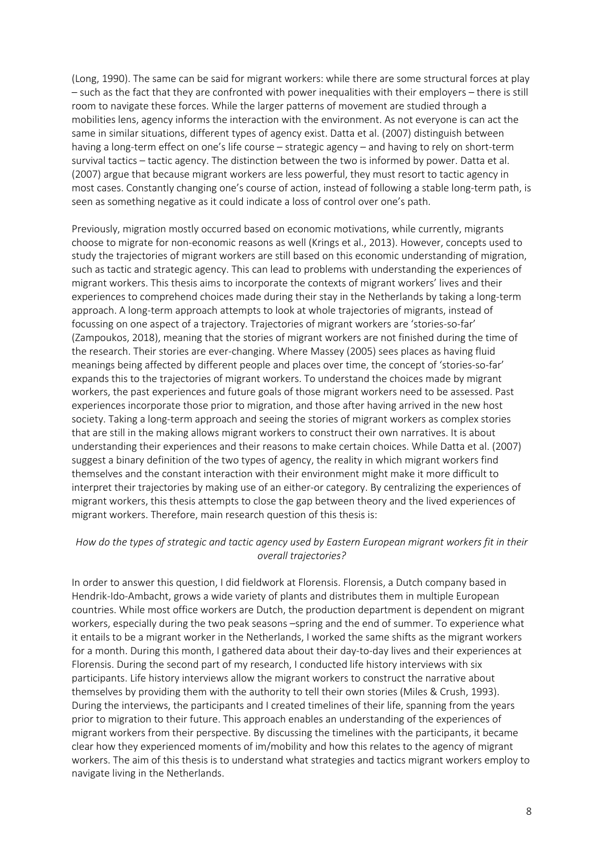(Long, 1990). The same can be said for migrant workers: while there are some structural forces at play – such as the fact that they are confronted with power inequalities with their employers – there is still room to navigate these forces. While the larger patterns of movement are studied through a mobilities lens, agency informs the interaction with the environment. As not everyone is can act the same in similar situations, different types of agency exist. Datta et al. (2007) distinguish between having a long-term effect on one's life course – strategic agency – and having to rely on short-term survival tactics – tactic agency. The distinction between the two is informed by power. Datta et al. (2007) argue that because migrant workers are less powerful, they must resort to tactic agency in most cases. Constantly changing one's course of action, instead of following a stable long-term path, is seen as something negative as it could indicate a loss of control over one's path.

Previously, migration mostly occurred based on economic motivations, while currently, migrants choose to migrate for non-economic reasons as well (Krings et al., 2013). However, concepts used to study the trajectories of migrant workers are still based on this economic understanding of migration, such as tactic and strategic agency. This can lead to problems with understanding the experiences of migrant workers. This thesis aims to incorporate the contexts of migrant workers' lives and their experiences to comprehend choices made during their stay in the Netherlands by taking a long-term approach. A long-term approach attempts to look at whole trajectories of migrants, instead of focussing on one aspect of a trajectory. Trajectories of migrant workers are 'stories-so-far' (Zampoukos, 2018), meaning that the stories of migrant workers are not finished during the time of the research. Their stories are ever-changing. Where Massey (2005) sees places as having fluid meanings being affected by different people and places over time, the concept of 'stories-so-far' expands this to the trajectories of migrant workers. To understand the choices made by migrant workers, the past experiences and future goals of those migrant workers need to be assessed. Past experiences incorporate those prior to migration, and those after having arrived in the new host society. Taking a long-term approach and seeing the stories of migrant workers as complex stories that are still in the making allows migrant workers to construct their own narratives. It is about understanding their experiences and their reasons to make certain choices. While Datta et al. (2007) suggest a binary definition of the two types of agency, the reality in which migrant workers find themselves and the constant interaction with their environment might make it more difficult to interpret their trajectories by making use of an either-or category. By centralizing the experiences of migrant workers, this thesis attempts to close the gap between theory and the lived experiences of migrant workers. Therefore, main research question of this thesis is:

### *How do the types of strategic and tactic agency used by Eastern European migrant workers fit in their overall trajectories?*

In order to answer this question, I did fieldwork at Florensis. Florensis, a Dutch company based in Hendrik-Ido-Ambacht, grows a wide variety of plants and distributes them in multiple European countries. While most office workers are Dutch, the production department is dependent on migrant workers, especially during the two peak seasons –spring and the end of summer. To experience what it entails to be a migrant worker in the Netherlands, I worked the same shifts as the migrant workers for a month. During this month, I gathered data about their day-to-day lives and their experiences at Florensis. During the second part of my research, I conducted life history interviews with six participants. Life history interviews allow the migrant workers to construct the narrative about themselves by providing them with the authority to tell their own stories (Miles & Crush, 1993). During the interviews, the participants and I created timelines of their life, spanning from the years prior to migration to their future. This approach enables an understanding of the experiences of migrant workers from their perspective. By discussing the timelines with the participants, it became clear how they experienced moments of im/mobility and how this relates to the agency of migrant workers. The aim of this thesis is to understand what strategies and tactics migrant workers employ to navigate living in the Netherlands.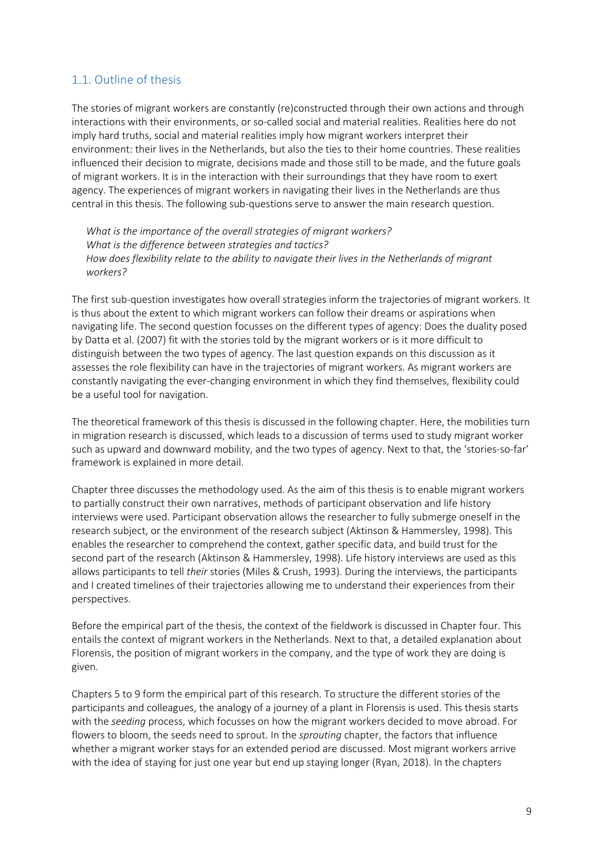### 1.1. Outline of thesis

The stories of migrant workers are constantly (re)constructed through their own actions and through interactions with their environments, or so-called social and material realities. Realities here do not imply hard truths, social and material realities imply how migrant workers interpret their environment: their lives in the Netherlands, but also the ties to their home countries. These realities influenced their decision to migrate, decisions made and those still to be made, and the future goals of migrant workers. It is in the interaction with their surroundings that they have room to exert agency. The experiences of migrant workers in navigating their lives in the Netherlands are thus central in this thesis. The following sub-questions serve to answer the main research question.

*What is the importance of the overall strategies of migrant workers? What is the difference between strategies and tactics? How does flexibility relate to the ability to navigate their lives in the Netherlands of migrant workers?* 

The first sub-question investigates how overall strategies inform the trajectories of migrant workers. It is thus about the extent to which migrant workers can follow their dreams or aspirations when navigating life. The second question focusses on the different types of agency: Does the duality posed by Datta et al. (2007) fit with the stories told by the migrant workers or is it more difficult to distinguish between the two types of agency. The last question expands on this discussion as it assesses the role flexibility can have in the trajectories of migrant workers. As migrant workers are constantly navigating the ever-changing environment in which they find themselves, flexibility could be a useful tool for navigation.

The theoretical framework of this thesis is discussed in the following chapter. Here, the mobilities turn in migration research is discussed, which leads to a discussion of terms used to study migrant worker such as upward and downward mobility, and the two types of agency. Next to that, the 'stories-so-far' framework is explained in more detail.

Chapter three discusses the methodology used. As the aim of this thesis is to enable migrant workers to partially construct their own narratives, methods of participant observation and life history interviews were used. Participant observation allows the researcher to fully submerge oneself in the research subject, or the environment of the research subject (Aktinson & Hammersley, 1998). This enables the researcher to comprehend the context, gather specific data, and build trust for the second part of the research (Aktinson & Hammersley, 1998). Life history interviews are used as this allows participants to tell *their* stories (Miles & Crush, 1993). During the interviews, the participants and I created timelines of their trajectories allowing me to understand their experiences from their perspectives.

Before the empirical part of the thesis, the context of the fieldwork is discussed in Chapter four. This entails the context of migrant workers in the Netherlands. Next to that, a detailed explanation about Florensis, the position of migrant workers in the company, and the type of work they are doing is given.

Chapters 5 to 9 form the empirical part of this research. To structure the different stories of the participants and colleagues, the analogy of a journey of a plant in Florensis is used. This thesis starts with the *seeding* process, which focusses on how the migrant workers decided to move abroad. For flowers to bloom, the seeds need to sprout. In the *sprouting* chapter, the factors that influence whether a migrant worker stays for an extended period are discussed. Most migrant workers arrive with the idea of staying for just one year but end up staying longer (Ryan, 2018). In the chapters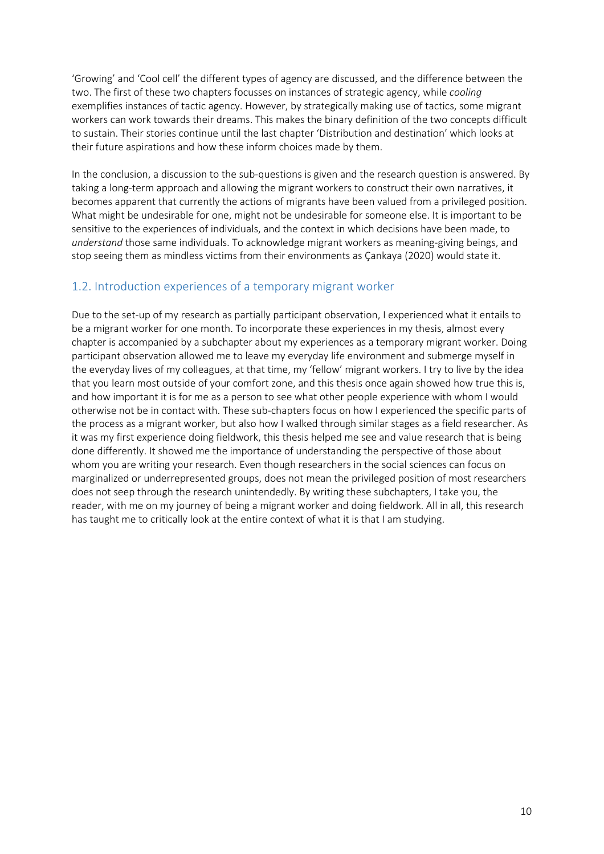'Growing' and 'Cool cell' the different types of agency are discussed, and the difference between the two. The first of these two chapters focusses on instances of strategic agency, while *cooling* exemplifies instances of tactic agency. However, by strategically making use of tactics, some migrant workers can work towards their dreams. This makes the binary definition of the two concepts difficult to sustain. Their stories continue until the last chapter 'Distribution and destination' which looks at their future aspirations and how these inform choices made by them.

In the conclusion, a discussion to the sub-questions is given and the research question is answered. By taking a long-term approach and allowing the migrant workers to construct their own narratives, it becomes apparent that currently the actions of migrants have been valued from a privileged position. What might be undesirable for one, might not be undesirable for someone else. It is important to be sensitive to the experiences of individuals, and the context in which decisions have been made, to *understand* those same individuals. To acknowledge migrant workers as meaning-giving beings, and stop seeing them as mindless victims from their environments as Çankaya (2020) would state it.

### 1.2. Introduction experiences of a temporary migrant worker

Due to the set-up of my research as partially participant observation, I experienced what it entails to be a migrant worker for one month. To incorporate these experiences in my thesis, almost every chapter is accompanied by a subchapter about my experiences as a temporary migrant worker. Doing participant observation allowed me to leave my everyday life environment and submerge myself in the everyday lives of my colleagues, at that time, my 'fellow' migrant workers. I try to live by the idea that you learn most outside of your comfort zone, and this thesis once again showed how true this is, and how important it is for me as a person to see what other people experience with whom I would otherwise not be in contact with. These sub-chapters focus on how I experienced the specific parts of the process as a migrant worker, but also how I walked through similar stages as a field researcher. As it was my first experience doing fieldwork, this thesis helped me see and value research that is being done differently. It showed me the importance of understanding the perspective of those about whom you are writing your research. Even though researchers in the social sciences can focus on marginalized or underrepresented groups, does not mean the privileged position of most researchers does not seep through the research unintendedly. By writing these subchapters, I take you, the reader, with me on my journey of being a migrant worker and doing fieldwork. All in all, this research has taught me to critically look at the entire context of what it is that I am studying.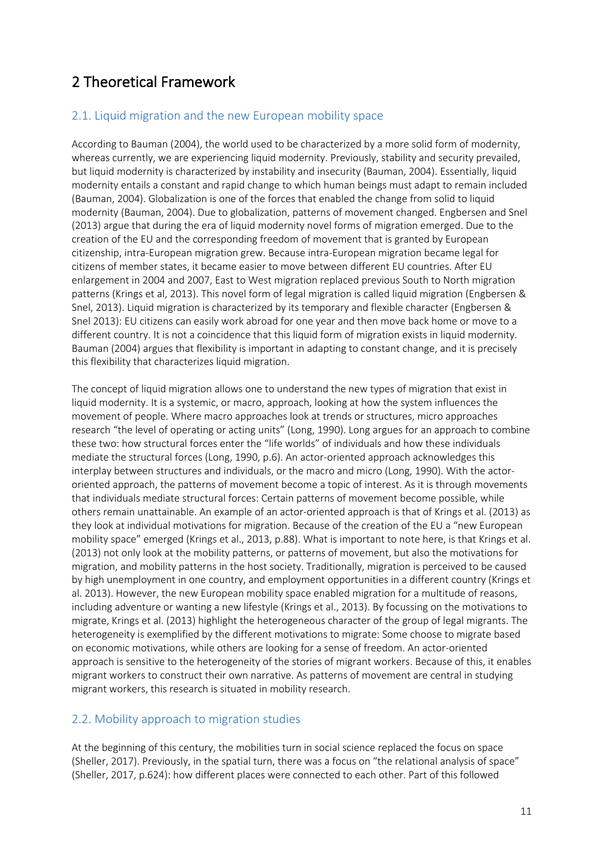### 2 Theoretical Framework

### 2.1. Liquid migration and the new European mobility space

According to Bauman (2004), the world used to be characterized by a more solid form of modernity, whereas currently, we are experiencing liquid modernity. Previously, stability and security prevailed, but liquid modernity is characterized by instability and insecurity (Bauman, 2004). Essentially, liquid modernity entails a constant and rapid change to which human beings must adapt to remain included (Bauman, 2004). Globalization is one of the forces that enabled the change from solid to liquid modernity (Bauman, 2004). Due to globalization, patterns of movement changed. Engbersen and Snel (2013) argue that during the era of liquid modernity novel forms of migration emerged. Due to the creation of the EU and the corresponding freedom of movement that is granted by European citizenship, intra-European migration grew. Because intra-European migration became legal for citizens of member states, it became easier to move between different EU countries. After EU enlargement in 2004 and 2007, East to West migration replaced previous South to North migration patterns (Krings et al, 2013). This novel form of legal migration is called liquid migration (Engbersen & Snel, 2013). Liquid migration is characterized by its temporary and flexible character (Engbersen & Snel 2013): EU citizens can easily work abroad for one year and then move back home or move to a different country. It is not a coincidence that this liquid form of migration exists in liquid modernity. Bauman (2004) argues that flexibility is important in adapting to constant change, and it is precisely this flexibility that characterizes liquid migration.

The concept of liquid migration allows one to understand the new types of migration that exist in liquid modernity. It is a systemic, or macro, approach, looking at how the system influences the movement of people. Where macro approaches look at trends or structures, micro approaches research "the level of operating or acting units" (Long, 1990). Long argues for an approach to combine these two: how structural forces enter the "life worlds" of individuals and how these individuals mediate the structural forces (Long, 1990, p.6). An actor-oriented approach acknowledges this interplay between structures and individuals, or the macro and micro (Long, 1990). With the actororiented approach, the patterns of movement become a topic of interest. As it is through movements that individuals mediate structural forces: Certain patterns of movement become possible, while others remain unattainable. An example of an actor-oriented approach is that of Krings et al. (2013) as they look at individual motivations for migration. Because of the creation of the EU a "new European mobility space" emerged (Krings et al., 2013, p.88). What is important to note here, is that Krings et al. (2013) not only look at the mobility patterns, or patterns of movement, but also the motivations for migration, and mobility patterns in the host society. Traditionally, migration is perceived to be caused by high unemployment in one country, and employment opportunities in a different country (Krings et al. 2013). However, the new European mobility space enabled migration for a multitude of reasons, including adventure or wanting a new lifestyle (Krings et al., 2013). By focussing on the motivations to migrate, Krings et al. (2013) highlight the heterogeneous character of the group of legal migrants. The heterogeneity is exemplified by the different motivations to migrate: Some choose to migrate based on economic motivations, while others are looking for a sense of freedom. An actor-oriented approach is sensitive to the heterogeneity of the stories of migrant workers. Because of this, it enables migrant workers to construct their own narrative. As patterns of movement are central in studying migrant workers, this research is situated in mobility research.

### 2.2. Mobility approach to migration studies

At the beginning of this century, the mobilities turn in social science replaced the focus on space (Sheller, 2017). Previously, in the spatial turn, there was a focus on "the relational analysis of space" (Sheller, 2017, p.624): how different places were connected to each other. Part of this followed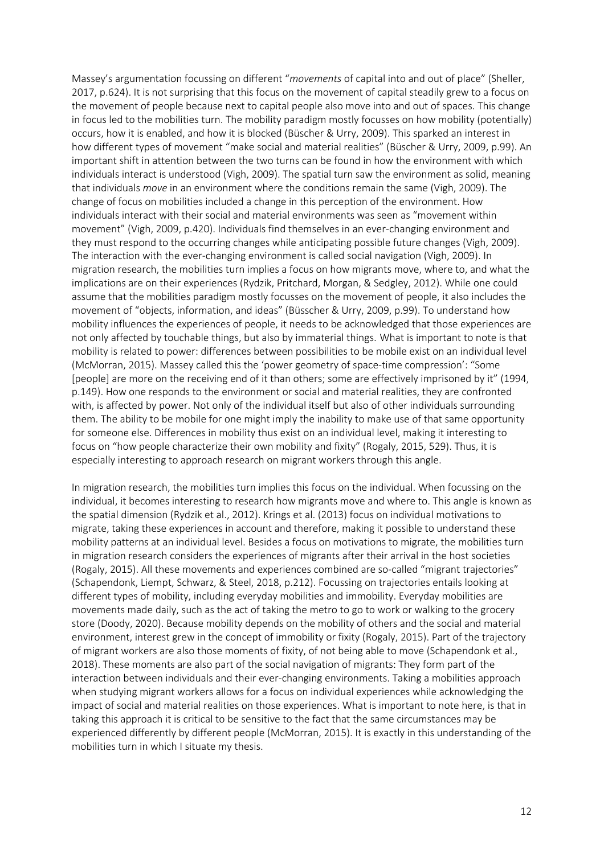Massey's argumentation focussing on different "*movements* of capital into and out of place" (Sheller, 2017, p.624). It is not surprising that this focus on the movement of capital steadily grew to a focus on the movement of people because next to capital people also move into and out of spaces. This change in focus led to the mobilities turn. The mobility paradigm mostly focusses on how mobility (potentially) occurs, how it is enabled, and how it is blocked (Büscher & Urry, 2009). This sparked an interest in how different types of movement "make social and material realities" (Büscher & Urry, 2009, p.99). An important shift in attention between the two turns can be found in how the environment with which individuals interact is understood (Vigh, 2009). The spatial turn saw the environment as solid, meaning that individuals *move* in an environment where the conditions remain the same (Vigh, 2009). The change of focus on mobilities included a change in this perception of the environment. How individuals interact with their social and material environments was seen as "movement within movement" (Vigh, 2009, p.420). Individuals find themselves in an ever-changing environment and they must respond to the occurring changes while anticipating possible future changes (Vigh, 2009). The interaction with the ever-changing environment is called social navigation (Vigh, 2009). In migration research, the mobilities turn implies a focus on how migrants move, where to, and what the implications are on their experiences (Rydzik, Pritchard, Morgan, & Sedgley, 2012). While one could assume that the mobilities paradigm mostly focusses on the movement of people, it also includes the movement of "objects, information, and ideas" (Büsscher & Urry, 2009, p.99). To understand how mobility influences the experiences of people, it needs to be acknowledged that those experiences are not only affected by touchable things, but also by immaterial things. What is important to note is that mobility is related to power: differences between possibilities to be mobile exist on an individual level (McMorran, 2015). Massey called this the 'power geometry of space-time compression': "Some [people] are more on the receiving end of it than others; some are effectively imprisoned by it" (1994, p.149). How one responds to the environment or social and material realities, they are confronted with, is affected by power. Not only of the individual itself but also of other individuals surrounding them. The ability to be mobile for one might imply the inability to make use of that same opportunity for someone else. Differences in mobility thus exist on an individual level, making it interesting to focus on "how people characterize their own mobility and fixity" (Rogaly, 2015, 529). Thus, it is especially interesting to approach research on migrant workers through this angle.

In migration research, the mobilities turn implies this focus on the individual. When focussing on the individual, it becomes interesting to research how migrants move and where to. This angle is known as the spatial dimension (Rydzik et al., 2012). Krings et al. (2013) focus on individual motivations to migrate, taking these experiences in account and therefore, making it possible to understand these mobility patterns at an individual level. Besides a focus on motivations to migrate, the mobilities turn in migration research considers the experiences of migrants after their arrival in the host societies (Rogaly, 2015). All these movements and experiences combined are so-called "migrant trajectories" (Schapendonk, Liempt, Schwarz, & Steel, 2018, p.212). Focussing on trajectories entails looking at different types of mobility, including everyday mobilities and immobility. Everyday mobilities are movements made daily, such as the act of taking the metro to go to work or walking to the grocery store (Doody, 2020). Because mobility depends on the mobility of others and the social and material environment, interest grew in the concept of immobility or fixity (Rogaly, 2015). Part of the trajectory of migrant workers are also those moments of fixity, of not being able to move (Schapendonk et al., 2018). These moments are also part of the social navigation of migrants: They form part of the interaction between individuals and their ever-changing environments. Taking a mobilities approach when studying migrant workers allows for a focus on individual experiences while acknowledging the impact of social and material realities on those experiences. What is important to note here, is that in taking this approach it is critical to be sensitive to the fact that the same circumstances may be experienced differently by different people (McMorran, 2015). It is exactly in this understanding of the mobilities turn in which I situate my thesis.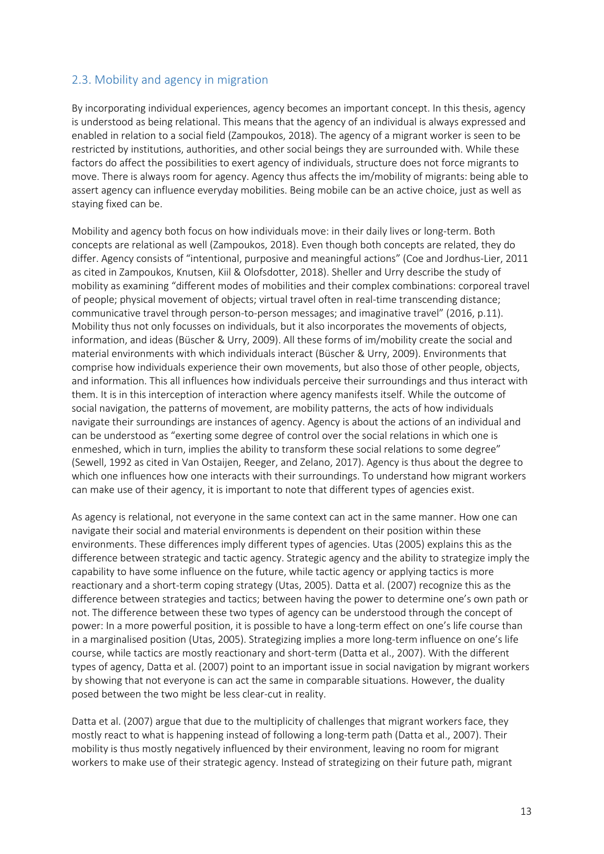### 2.3. Mobility and agency in migration

By incorporating individual experiences, agency becomes an important concept. In this thesis, agency is understood as being relational. This means that the agency of an individual is always expressed and enabled in relation to a social field (Zampoukos, 2018). The agency of a migrant worker is seen to be restricted by institutions, authorities, and other social beings they are surrounded with. While these factors do affect the possibilities to exert agency of individuals, structure does not force migrants to move. There is always room for agency. Agency thus affects the im/mobility of migrants: being able to assert agency can influence everyday mobilities. Being mobile can be an active choice, just as well as staying fixed can be.

Mobility and agency both focus on how individuals move: in their daily lives or long-term. Both concepts are relational as well (Zampoukos, 2018). Even though both concepts are related, they do differ. Agency consists of "intentional, purposive and meaningful actions" (Coe and Jordhus-Lier, 2011 as cited in Zampoukos, Knutsen, Kiil & Olofsdotter, 2018). Sheller and Urry describe the study of mobility as examining "different modes of mobilities and their complex combinations: corporeal travel of people; physical movement of objects; virtual travel often in real-time transcending distance; communicative travel through person-to-person messages; and imaginative travel" (2016, p.11). Mobility thus not only focusses on individuals, but it also incorporates the movements of objects, information, and ideas (Büscher & Urry, 2009). All these forms of im/mobility create the social and material environments with which individuals interact (Büscher & Urry, 2009). Environments that comprise how individuals experience their own movements, but also those of other people, objects, and information. This all influences how individuals perceive their surroundings and thus interact with them. It is in this interception of interaction where agency manifests itself. While the outcome of social navigation, the patterns of movement, are mobility patterns, the acts of how individuals navigate their surroundings are instances of agency. Agency is about the actions of an individual and can be understood as "exerting some degree of control over the social relations in which one is enmeshed, which in turn, implies the ability to transform these social relations to some degree" (Sewell, 1992 as cited in Van Ostaijen, Reeger, and Zelano, 2017). Agency is thus about the degree to which one influences how one interacts with their surroundings. To understand how migrant workers can make use of their agency, it is important to note that different types of agencies exist.

As agency is relational, not everyone in the same context can act in the same manner. How one can navigate their social and material environments is dependent on their position within these environments. These differences imply different types of agencies. Utas (2005) explains this as the difference between strategic and tactic agency. Strategic agency and the ability to strategize imply the capability to have some influence on the future, while tactic agency or applying tactics is more reactionary and a short-term coping strategy (Utas, 2005). Datta et al. (2007) recognize this as the difference between strategies and tactics; between having the power to determine one's own path or not. The difference between these two types of agency can be understood through the concept of power: In a more powerful position, it is possible to have a long-term effect on one's life course than in a marginalised position (Utas, 2005). Strategizing implies a more long-term influence on one's life course, while tactics are mostly reactionary and short-term (Datta et al., 2007). With the different types of agency, Datta et al. (2007) point to an important issue in social navigation by migrant workers by showing that not everyone is can act the same in comparable situations. However, the duality posed between the two might be less clear-cut in reality.

Datta et al. (2007) argue that due to the multiplicity of challenges that migrant workers face, they mostly react to what is happening instead of following a long-term path (Datta et al., 2007). Their mobility is thus mostly negatively influenced by their environment, leaving no room for migrant workers to make use of their strategic agency. Instead of strategizing on their future path, migrant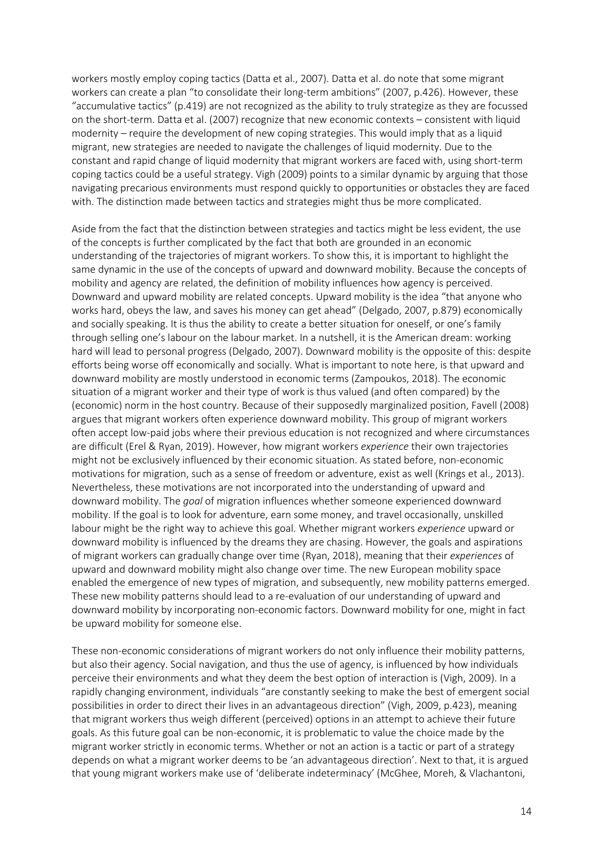workers mostly employ coping tactics (Datta et al., 2007). Datta et al. do note that some migrant workers can create a plan "to consolidate their long-term ambitions" (2007, p.426). However, these "accumulative tactics" (p.419) are not recognized as the ability to truly strategize as they are focussed on the short-term. Datta et al. (2007) recognize that new economic contexts – consistent with liquid modernity – require the development of new coping strategies. This would imply that as a liquid migrant, new strategies are needed to navigate the challenges of liquid modernity. Due to the constant and rapid change of liquid modernity that migrant workers are faced with, using short-term coping tactics could be a useful strategy. Vigh (2009) points to a similar dynamic by arguing that those navigating precarious environments must respond quickly to opportunities or obstacles they are faced with. The distinction made between tactics and strategies might thus be more complicated.

Aside from the fact that the distinction between strategies and tactics might be less evident, the use of the concepts is further complicated by the fact that both are grounded in an economic understanding of the trajectories of migrant workers. To show this, it is important to highlight the same dynamic in the use of the concepts of upward and downward mobility. Because the concepts of mobility and agency are related, the definition of mobility influences how agency is perceived. Downward and upward mobility are related concepts. Upward mobility is the idea "that anyone who works hard, obeys the law, and saves his money can get ahead" (Delgado, 2007, p.879) economically and socially speaking. It is thus the ability to create a better situation for oneself, or one's family through selling one's labour on the labour market. In a nutshell, it is the American dream: working hard will lead to personal progress (Delgado, 2007). Downward mobility is the opposite of this: despite efforts being worse off economically and socially. What is important to note here, is that upward and downward mobility are mostly understood in economic terms (Zampoukos, 2018). The economic situation of a migrant worker and their type of work is thus valued (and often compared) by the (economic) norm in the host country. Because of their supposedly marginalized position, Favell (2008) argues that migrant workers often experience downward mobility. This group of migrant workers often accept low-paid jobs where their previous education is not recognized and where circumstances are difficult (Erel & Ryan, 2019). However, how migrant workers *experience* their own trajectories might not be exclusively influenced by their economic situation. As stated before, non-economic motivations for migration, such as a sense of freedom or adventure, exist as well (Krings et al., 2013). Nevertheless, these motivations are not incorporated into the understanding of upward and downward mobility. The *goal* of migration influences whether someone experienced downward mobility. If the goal is to look for adventure, earn some money, and travel occasionally, unskilled labour might be the right way to achieve this goal. Whether migrant workers *experience* upward or downward mobility is influenced by the dreams they are chasing. However, the goals and aspirations of migrant workers can gradually change over time (Ryan, 2018), meaning that their *experiences* of upward and downward mobility might also change over time. The new European mobility space enabled the emergence of new types of migration, and subsequently, new mobility patterns emerged. These new mobility patterns should lead to a re-evaluation of our understanding of upward and downward mobility by incorporating non-economic factors. Downward mobility for one, might in fact be upward mobility for someone else.

These non-economic considerations of migrant workers do not only influence their mobility patterns, but also their agency. Social navigation, and thus the use of agency, is influenced by how individuals perceive their environments and what they deem the best option of interaction is (Vigh, 2009). In a rapidly changing environment, individuals "are constantly seeking to make the best of emergent social possibilities in order to direct their lives in an advantageous direction" (Vigh, 2009, p.423), meaning that migrant workers thus weigh different (perceived) options in an attempt to achieve their future goals. As this future goal can be non-economic, it is problematic to value the choice made by the migrant worker strictly in economic terms. Whether or not an action is a tactic or part of a strategy depends on what a migrant worker deems to be 'an advantageous direction'. Next to that, it is argued that young migrant workers make use of 'deliberate indeterminacy' (McGhee, Moreh, & Vlachantoni,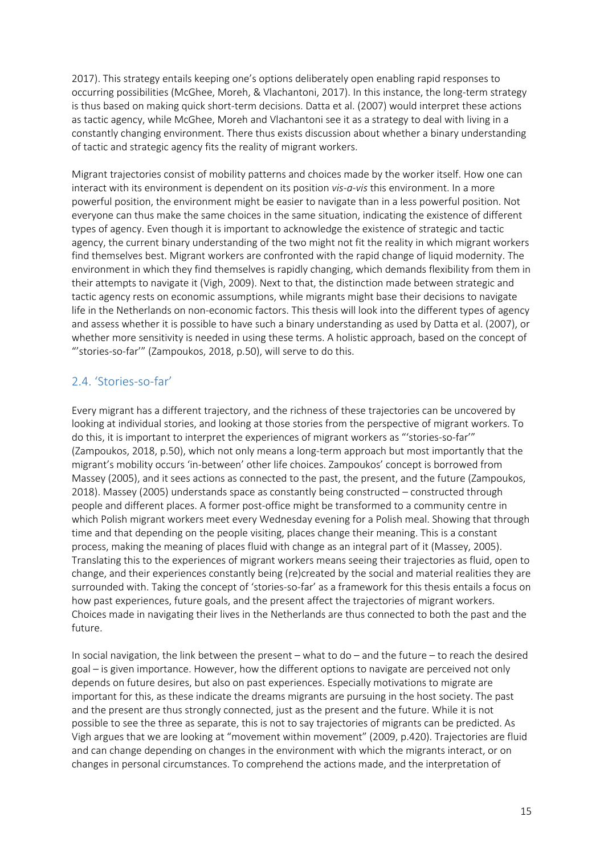2017). This strategy entails keeping one's options deliberately open enabling rapid responses to occurring possibilities (McGhee, Moreh, & Vlachantoni, 2017). In this instance, the long-term strategy is thus based on making quick short-term decisions. Datta et al. (2007) would interpret these actions as tactic agency, while McGhee, Moreh and Vlachantoni see it as a strategy to deal with living in a constantly changing environment. There thus exists discussion about whether a binary understanding of tactic and strategic agency fits the reality of migrant workers.

Migrant trajectories consist of mobility patterns and choices made by the worker itself. How one can interact with its environment is dependent on its position *vis-a-vis* this environment. In a more powerful position, the environment might be easier to navigate than in a less powerful position. Not everyone can thus make the same choices in the same situation, indicating the existence of different types of agency. Even though it is important to acknowledge the existence of strategic and tactic agency, the current binary understanding of the two might not fit the reality in which migrant workers find themselves best. Migrant workers are confronted with the rapid change of liquid modernity. The environment in which they find themselves is rapidly changing, which demands flexibility from them in their attempts to navigate it (Vigh, 2009). Next to that, the distinction made between strategic and tactic agency rests on economic assumptions, while migrants might base their decisions to navigate life in the Netherlands on non-economic factors. This thesis will look into the different types of agency and assess whether it is possible to have such a binary understanding as used by Datta et al. (2007), or whether more sensitivity is needed in using these terms. A holistic approach, based on the concept of "'stories-so-far'" (Zampoukos, 2018, p.50), will serve to do this.

### 2.4. 'Stories-so-far'

Every migrant has a different trajectory, and the richness of these trajectories can be uncovered by looking at individual stories, and looking at those stories from the perspective of migrant workers. To do this, it is important to interpret the experiences of migrant workers as "'stories-so-far'" (Zampoukos, 2018, p.50), which not only means a long-term approach but most importantly that the migrant's mobility occurs 'in-between' other life choices. Zampoukos' concept is borrowed from Massey (2005), and it sees actions as connected to the past, the present, and the future (Zampoukos, 2018). Massey (2005) understands space as constantly being constructed – constructed through people and different places. A former post-office might be transformed to a community centre in which Polish migrant workers meet every Wednesday evening for a Polish meal. Showing that through time and that depending on the people visiting, places change their meaning. This is a constant process, making the meaning of places fluid with change as an integral part of it (Massey, 2005). Translating this to the experiences of migrant workers means seeing their trajectories as fluid, open to change, and their experiences constantly being (re)created by the social and material realities they are surrounded with. Taking the concept of 'stories-so-far' as a framework for this thesis entails a focus on how past experiences, future goals, and the present affect the trajectories of migrant workers. Choices made in navigating their lives in the Netherlands are thus connected to both the past and the future.

In social navigation, the link between the present – what to do – and the future – to reach the desired goal – is given importance. However, how the different options to navigate are perceived not only depends on future desires, but also on past experiences. Especially motivations to migrate are important for this, as these indicate the dreams migrants are pursuing in the host society. The past and the present are thus strongly connected, just as the present and the future. While it is not possible to see the three as separate, this is not to say trajectories of migrants can be predicted. As Vigh argues that we are looking at "movement within movement" (2009, p.420). Trajectories are fluid and can change depending on changes in the environment with which the migrants interact, or on changes in personal circumstances. To comprehend the actions made, and the interpretation of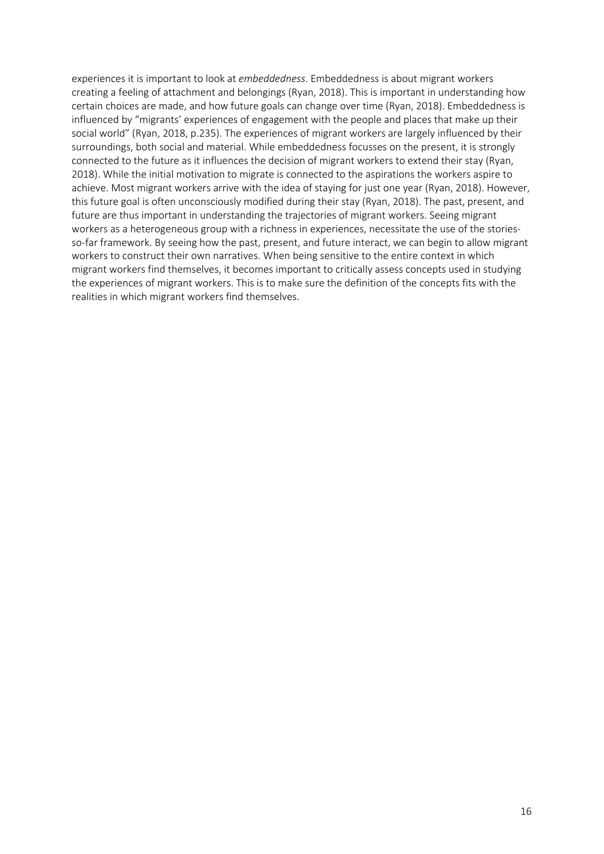experiences it is important to look at *embeddedness*. Embeddedness is about migrant workers creating a feeling of attachment and belongings (Ryan, 2018). This is important in understanding how certain choices are made, and how future goals can change over time (Ryan, 2018). Embeddedness is influenced by "migrants' experiences of engagement with the people and places that make up their social world" (Ryan, 2018, p.235). The experiences of migrant workers are largely influenced by their surroundings, both social and material. While embeddedness focusses on the present, it is strongly connected to the future as it influences the decision of migrant workers to extend their stay (Ryan, 2018). While the initial motivation to migrate is connected to the aspirations the workers aspire to achieve. Most migrant workers arrive with the idea of staying for just one year (Ryan, 2018). However, this future goal is often unconsciously modified during their stay (Ryan, 2018). The past, present, and future are thus important in understanding the trajectories of migrant workers. Seeing migrant workers as a heterogeneous group with a richness in experiences, necessitate the use of the storiesso-far framework. By seeing how the past, present, and future interact, we can begin to allow migrant workers to construct their own narratives. When being sensitive to the entire context in which migrant workers find themselves, it becomes important to critically assess concepts used in studying the experiences of migrant workers. This is to make sure the definition of the concepts fits with the realities in which migrant workers find themselves.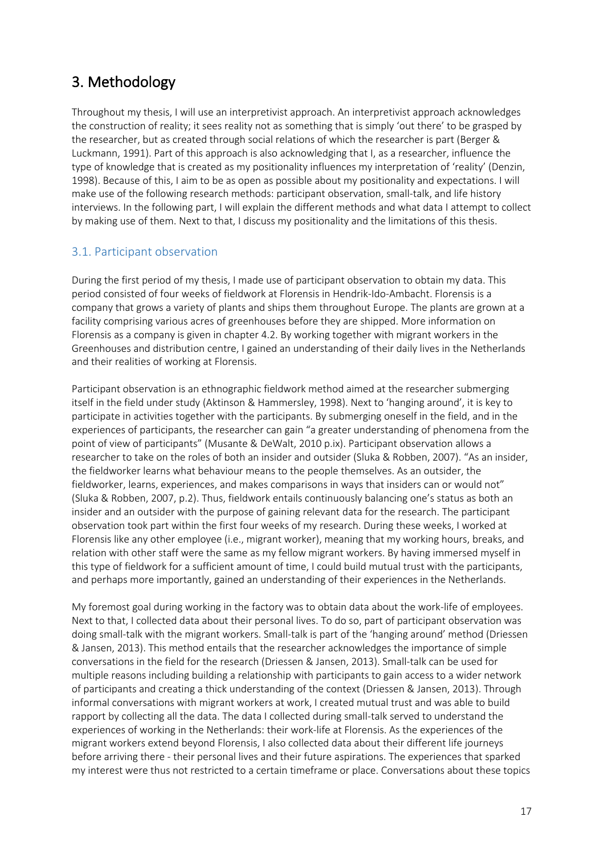### 3. Methodology

Throughout my thesis, I will use an interpretivist approach. An interpretivist approach acknowledges the construction of reality; it sees reality not as something that is simply 'out there' to be grasped by the researcher, but as created through social relations of which the researcher is part (Berger & Luckmann, 1991). Part of this approach is also acknowledging that I, as a researcher, influence the type of knowledge that is created as my positionality influences my interpretation of 'reality' (Denzin, 1998). Because of this, I aim to be as open as possible about my positionality and expectations. I will make use of the following research methods: participant observation, small-talk, and life history interviews. In the following part, I will explain the different methods and what data I attempt to collect by making use of them. Next to that, I discuss my positionality and the limitations of this thesis.

### 3.1. Participant observation

During the first period of my thesis, I made use of participant observation to obtain my data. This period consisted of four weeks of fieldwork at Florensis in Hendrik-Ido-Ambacht. Florensis is a company that grows a variety of plants and ships them throughout Europe. The plants are grown at a facility comprising various acres of greenhouses before they are shipped. More information on Florensis as a company is given in chapter 4.2. By working together with migrant workers in the Greenhouses and distribution centre, I gained an understanding of their daily lives in the Netherlands and their realities of working at Florensis.

Participant observation is an ethnographic fieldwork method aimed at the researcher submerging itself in the field under study (Aktinson & Hammersley, 1998). Next to 'hanging around', it is key to participate in activities together with the participants. By submerging oneself in the field, and in the experiences of participants, the researcher can gain "a greater understanding of phenomena from the point of view of participants" (Musante & DeWalt, 2010 p.ix). Participant observation allows a researcher to take on the roles of both an insider and outsider (Sluka & Robben, 2007). "As an insider, the fieldworker learns what behaviour means to the people themselves. As an outsider, the fieldworker, learns, experiences, and makes comparisons in ways that insiders can or would not" (Sluka & Robben, 2007, p.2). Thus, fieldwork entails continuously balancing one's status as both an insider and an outsider with the purpose of gaining relevant data for the research. The participant observation took part within the first four weeks of my research. During these weeks, I worked at Florensis like any other employee (i.e., migrant worker), meaning that my working hours, breaks, and relation with other staff were the same as my fellow migrant workers. By having immersed myself in this type of fieldwork for a sufficient amount of time, I could build mutual trust with the participants, and perhaps more importantly, gained an understanding of their experiences in the Netherlands.

My foremost goal during working in the factory was to obtain data about the work-life of employees. Next to that, I collected data about their personal lives. To do so, part of participant observation was doing small-talk with the migrant workers. Small-talk is part of the 'hanging around' method (Driessen & Jansen, 2013). This method entails that the researcher acknowledges the importance of simple conversations in the field for the research (Driessen & Jansen, 2013). Small-talk can be used for multiple reasons including building a relationship with participants to gain access to a wider network of participants and creating a thick understanding of the context (Driessen & Jansen, 2013). Through informal conversations with migrant workers at work, I created mutual trust and was able to build rapport by collecting all the data. The data I collected during small-talk served to understand the experiences of working in the Netherlands: their work-life at Florensis. As the experiences of the migrant workers extend beyond Florensis, I also collected data about their different life journeys before arriving there - their personal lives and their future aspirations. The experiences that sparked my interest were thus not restricted to a certain timeframe or place. Conversations about these topics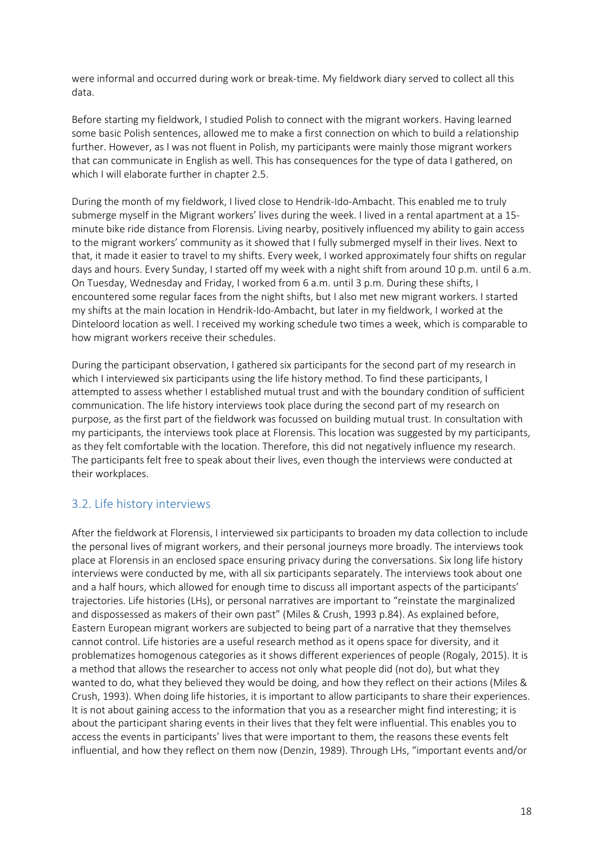were informal and occurred during work or break-time. My fieldwork diary served to collect all this data.

Before starting my fieldwork, I studied Polish to connect with the migrant workers. Having learned some basic Polish sentences, allowed me to make a first connection on which to build a relationship further. However, as I was not fluent in Polish, my participants were mainly those migrant workers that can communicate in English as well. This has consequences for the type of data I gathered, on which I will elaborate further in chapter 2.5.

During the month of my fieldwork, I lived close to Hendrik-Ido-Ambacht. This enabled me to truly submerge myself in the Migrant workers' lives during the week. I lived in a rental apartment at a 15 minute bike ride distance from Florensis. Living nearby, positively influenced my ability to gain access to the migrant workers' community as it showed that I fully submerged myself in their lives. Next to that, it made it easier to travel to my shifts. Every week, I worked approximately four shifts on regular days and hours. Every Sunday, I started off my week with a night shift from around 10 p.m. until 6 a.m. On Tuesday, Wednesday and Friday, I worked from 6 a.m. until 3 p.m. During these shifts, I encountered some regular faces from the night shifts, but I also met new migrant workers. I started my shifts at the main location in Hendrik-Ido-Ambacht, but later in my fieldwork, I worked at the Dinteloord location as well. I received my working schedule two times a week, which is comparable to how migrant workers receive their schedules.

During the participant observation, I gathered six participants for the second part of my research in which I interviewed six participants using the life history method. To find these participants, I attempted to assess whether I established mutual trust and with the boundary condition of sufficient communication. The life history interviews took place during the second part of my research on purpose, as the first part of the fieldwork was focussed on building mutual trust. In consultation with my participants, the interviews took place at Florensis. This location was suggested by my participants, as they felt comfortable with the location. Therefore, this did not negatively influence my research. The participants felt free to speak about their lives, even though the interviews were conducted at their workplaces.

### 3.2. Life history interviews

After the fieldwork at Florensis, I interviewed six participants to broaden my data collection to include the personal lives of migrant workers, and their personal journeys more broadly. The interviews took place at Florensis in an enclosed space ensuring privacy during the conversations. Six long life history interviews were conducted by me, with all six participants separately. The interviews took about one and a half hours, which allowed for enough time to discuss all important aspects of the participants' trajectories. Life histories (LHs), or personal narratives are important to "reinstate the marginalized and dispossessed as makers of their own past" (Miles & Crush, 1993 p.84). As explained before, Eastern European migrant workers are subjected to being part of a narrative that they themselves cannot control. Life histories are a useful research method as it opens space for diversity, and it problematizes homogenous categories as it shows different experiences of people (Rogaly, 2015). It is a method that allows the researcher to access not only what people did (not do), but what they wanted to do, what they believed they would be doing, and how they reflect on their actions (Miles & Crush, 1993). When doing life histories, it is important to allow participants to share their experiences. It is not about gaining access to the information that you as a researcher might find interesting; it is about the participant sharing events in their lives that they felt were influential. This enables you to access the events in participants' lives that were important to them, the reasons these events felt influential, and how they reflect on them now (Denzin, 1989). Through LHs, "important events and/or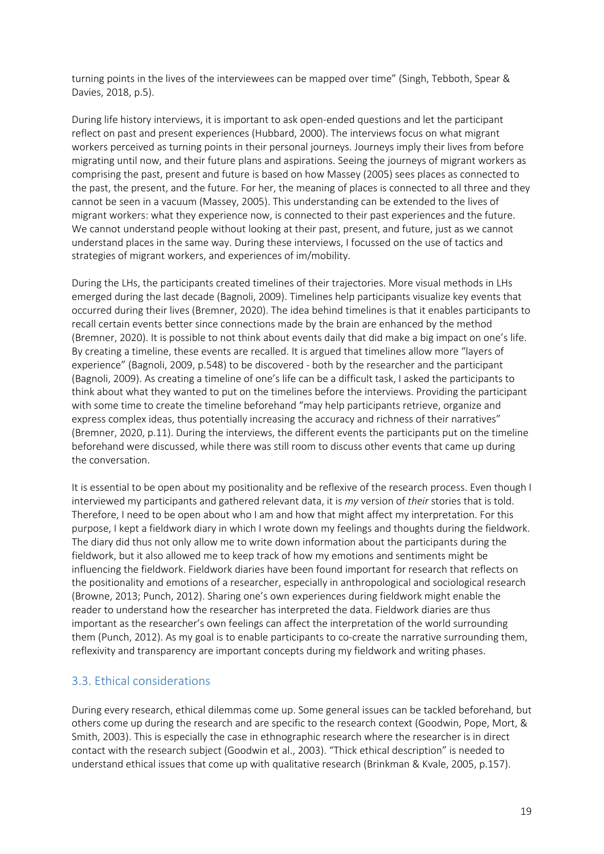turning points in the lives of the interviewees can be mapped over time" (Singh, Tebboth, Spear & Davies, 2018, p.5).

During life history interviews, it is important to ask open-ended questions and let the participant reflect on past and present experiences (Hubbard, 2000). The interviews focus on what migrant workers perceived as turning points in their personal journeys. Journeys imply their lives from before migrating until now, and their future plans and aspirations. Seeing the journeys of migrant workers as comprising the past, present and future is based on how Massey (2005) sees places as connected to the past, the present, and the future. For her, the meaning of places is connected to all three and they cannot be seen in a vacuum (Massey, 2005). This understanding can be extended to the lives of migrant workers: what they experience now, is connected to their past experiences and the future. We cannot understand people without looking at their past, present, and future, just as we cannot understand places in the same way. During these interviews, I focussed on the use of tactics and strategies of migrant workers, and experiences of im/mobility.

During the LHs, the participants created timelines of their trajectories. More visual methods in LHs emerged during the last decade (Bagnoli, 2009). Timelines help participants visualize key events that occurred during their lives (Bremner, 2020). The idea behind timelines is that it enables participants to recall certain events better since connections made by the brain are enhanced by the method (Bremner, 2020). It is possible to not think about events daily that did make a big impact on one's life. By creating a timeline, these events are recalled. It is argued that timelines allow more "layers of experience" (Bagnoli, 2009, p.548) to be discovered - both by the researcher and the participant (Bagnoli, 2009). As creating a timeline of one's life can be a difficult task, I asked the participants to think about what they wanted to put on the timelines before the interviews. Providing the participant with some time to create the timeline beforehand "may help participants retrieve, organize and express complex ideas, thus potentially increasing the accuracy and richness of their narratives" (Bremner, 2020, p.11). During the interviews, the different events the participants put on the timeline beforehand were discussed, while there was still room to discuss other events that came up during the conversation.

It is essential to be open about my positionality and be reflexive of the research process. Even though I interviewed my participants and gathered relevant data, it is *my* version of *their* stories that is told. Therefore, I need to be open about who I am and how that might affect my interpretation. For this purpose, I kept a fieldwork diary in which I wrote down my feelings and thoughts during the fieldwork. The diary did thus not only allow me to write down information about the participants during the fieldwork, but it also allowed me to keep track of how my emotions and sentiments might be influencing the fieldwork. Fieldwork diaries have been found important for research that reflects on the positionality and emotions of a researcher, especially in anthropological and sociological research (Browne, 2013; Punch, 2012). Sharing one's own experiences during fieldwork might enable the reader to understand how the researcher has interpreted the data. Fieldwork diaries are thus important as the researcher's own feelings can affect the interpretation of the world surrounding them (Punch, 2012). As my goal is to enable participants to co-create the narrative surrounding them, reflexivity and transparency are important concepts during my fieldwork and writing phases.

### 3.3. Ethical considerations

During every research, ethical dilemmas come up. Some general issues can be tackled beforehand, but others come up during the research and are specific to the research context (Goodwin, Pope, Mort, & Smith, 2003). This is especially the case in ethnographic research where the researcher is in direct contact with the research subject (Goodwin et al., 2003). "Thick ethical description" is needed to understand ethical issues that come up with qualitative research (Brinkman & Kvale, 2005, p.157).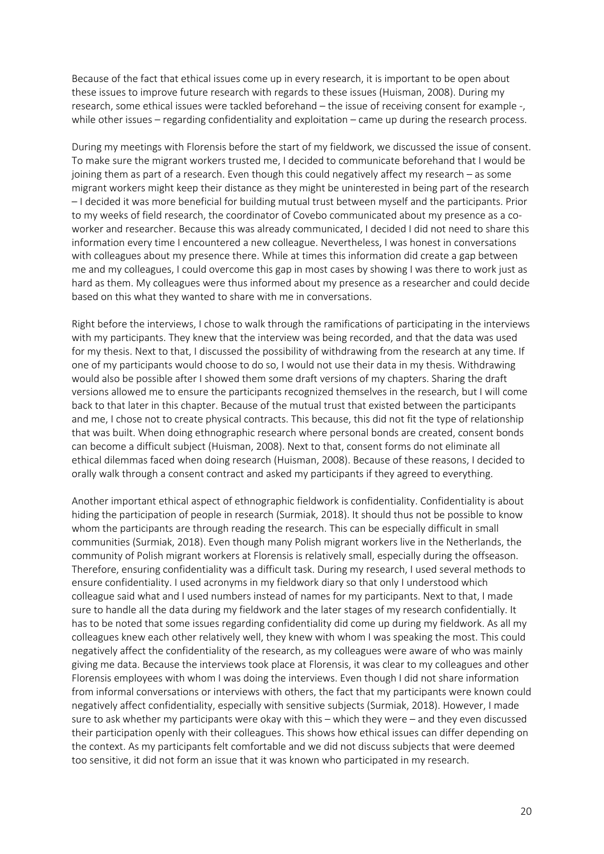Because of the fact that ethical issues come up in every research, it is important to be open about these issues to improve future research with regards to these issues (Huisman, 2008). During my research, some ethical issues were tackled beforehand – the issue of receiving consent for example -, while other issues – regarding confidentiality and exploitation – came up during the research process.

During my meetings with Florensis before the start of my fieldwork, we discussed the issue of consent. To make sure the migrant workers trusted me, I decided to communicate beforehand that I would be joining them as part of a research. Even though this could negatively affect my research – as some migrant workers might keep their distance as they might be uninterested in being part of the research – I decided it was more beneficial for building mutual trust between myself and the participants. Prior to my weeks of field research, the coordinator of Covebo communicated about my presence as a coworker and researcher. Because this was already communicated, I decided I did not need to share this information every time I encountered a new colleague. Nevertheless, I was honest in conversations with colleagues about my presence there. While at times this information did create a gap between me and my colleagues, I could overcome this gap in most cases by showing I was there to work just as hard as them. My colleagues were thus informed about my presence as a researcher and could decide based on this what they wanted to share with me in conversations.

Right before the interviews, I chose to walk through the ramifications of participating in the interviews with my participants. They knew that the interview was being recorded, and that the data was used for my thesis. Next to that, I discussed the possibility of withdrawing from the research at any time. If one of my participants would choose to do so, I would not use their data in my thesis. Withdrawing would also be possible after I showed them some draft versions of my chapters. Sharing the draft versions allowed me to ensure the participants recognized themselves in the research, but I will come back to that later in this chapter. Because of the mutual trust that existed between the participants and me, I chose not to create physical contracts. This because, this did not fit the type of relationship that was built. When doing ethnographic research where personal bonds are created, consent bonds can become a difficult subject (Huisman, 2008). Next to that, consent forms do not eliminate all ethical dilemmas faced when doing research (Huisman, 2008). Because of these reasons, I decided to orally walk through a consent contract and asked my participants if they agreed to everything.

Another important ethical aspect of ethnographic fieldwork is confidentiality. Confidentiality is about hiding the participation of people in research (Surmiak, 2018). It should thus not be possible to know whom the participants are through reading the research. This can be especially difficult in small communities (Surmiak, 2018). Even though many Polish migrant workers live in the Netherlands, the community of Polish migrant workers at Florensis is relatively small, especially during the offseason. Therefore, ensuring confidentiality was a difficult task. During my research, I used several methods to ensure confidentiality. I used acronyms in my fieldwork diary so that only I understood which colleague said what and I used numbers instead of names for my participants. Next to that, I made sure to handle all the data during my fieldwork and the later stages of my research confidentially. It has to be noted that some issues regarding confidentiality did come up during my fieldwork. As all my colleagues knew each other relatively well, they knew with whom I was speaking the most. This could negatively affect the confidentiality of the research, as my colleagues were aware of who was mainly giving me data. Because the interviews took place at Florensis, it was clear to my colleagues and other Florensis employees with whom I was doing the interviews. Even though I did not share information from informal conversations or interviews with others, the fact that my participants were known could negatively affect confidentiality, especially with sensitive subjects (Surmiak, 2018). However, I made sure to ask whether my participants were okay with this – which they were – and they even discussed their participation openly with their colleagues. This shows how ethical issues can differ depending on the context. As my participants felt comfortable and we did not discuss subjects that were deemed too sensitive, it did not form an issue that it was known who participated in my research.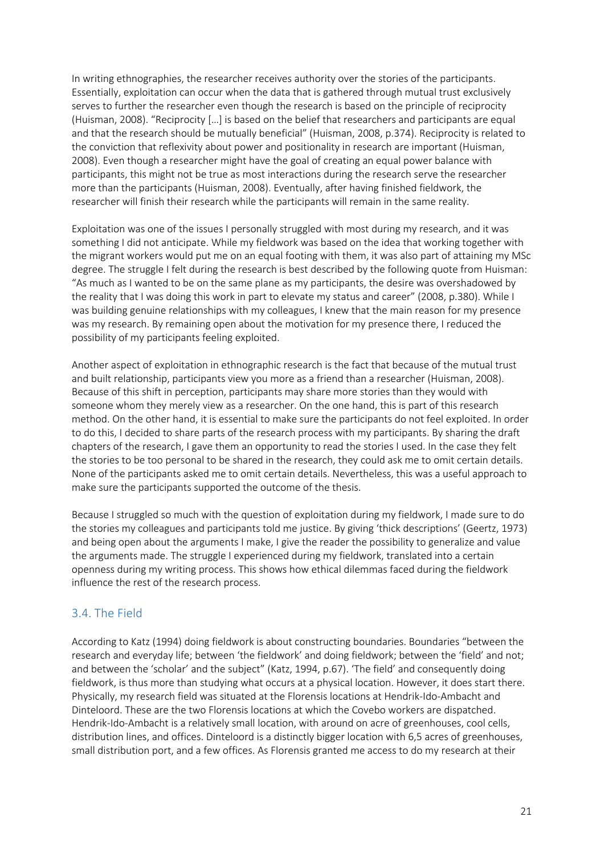In writing ethnographies, the researcher receives authority over the stories of the participants. Essentially, exploitation can occur when the data that is gathered through mutual trust exclusively serves to further the researcher even though the research is based on the principle of reciprocity (Huisman, 2008). "Reciprocity […] is based on the belief that researchers and participants are equal and that the research should be mutually beneficial" (Huisman, 2008, p.374). Reciprocity is related to the conviction that reflexivity about power and positionality in research are important (Huisman, 2008). Even though a researcher might have the goal of creating an equal power balance with participants, this might not be true as most interactions during the research serve the researcher more than the participants (Huisman, 2008). Eventually, after having finished fieldwork, the researcher will finish their research while the participants will remain in the same reality.

Exploitation was one of the issues I personally struggled with most during my research, and it was something I did not anticipate. While my fieldwork was based on the idea that working together with the migrant workers would put me on an equal footing with them, it was also part of attaining my MSc degree. The struggle I felt during the research is best described by the following quote from Huisman: "As much as I wanted to be on the same plane as my participants, the desire was overshadowed by the reality that I was doing this work in part to elevate my status and career" (2008, p.380). While I was building genuine relationships with my colleagues, I knew that the main reason for my presence was my research. By remaining open about the motivation for my presence there, I reduced the possibility of my participants feeling exploited.

Another aspect of exploitation in ethnographic research is the fact that because of the mutual trust and built relationship, participants view you more as a friend than a researcher (Huisman, 2008). Because of this shift in perception, participants may share more stories than they would with someone whom they merely view as a researcher. On the one hand, this is part of this research method. On the other hand, it is essential to make sure the participants do not feel exploited. In order to do this, I decided to share parts of the research process with my participants. By sharing the draft chapters of the research, I gave them an opportunity to read the stories I used. In the case they felt the stories to be too personal to be shared in the research, they could ask me to omit certain details. None of the participants asked me to omit certain details. Nevertheless, this was a useful approach to make sure the participants supported the outcome of the thesis.

Because I struggled so much with the question of exploitation during my fieldwork, I made sure to do the stories my colleagues and participants told me justice. By giving 'thick descriptions' (Geertz, 1973) and being open about the arguments I make, I give the reader the possibility to generalize and value the arguments made. The struggle I experienced during my fieldwork, translated into a certain openness during my writing process. This shows how ethical dilemmas faced during the fieldwork influence the rest of the research process.

### 3.4. The Field

According to Katz (1994) doing fieldwork is about constructing boundaries. Boundaries "between the research and everyday life; between 'the fieldwork' and doing fieldwork; between the 'field' and not; and between the 'scholar' and the subject" (Katz, 1994, p.67). 'The field' and consequently doing fieldwork, is thus more than studying what occurs at a physical location. However, it does start there. Physically, my research field was situated at the Florensis locations at Hendrik-Ido-Ambacht and Dinteloord. These are the two Florensis locations at which the Covebo workers are dispatched. Hendrik-Ido-Ambacht is a relatively small location, with around on acre of greenhouses, cool cells, distribution lines, and offices. Dinteloord is a distinctly bigger location with 6,5 acres of greenhouses, small distribution port, and a few offices. As Florensis granted me access to do my research at their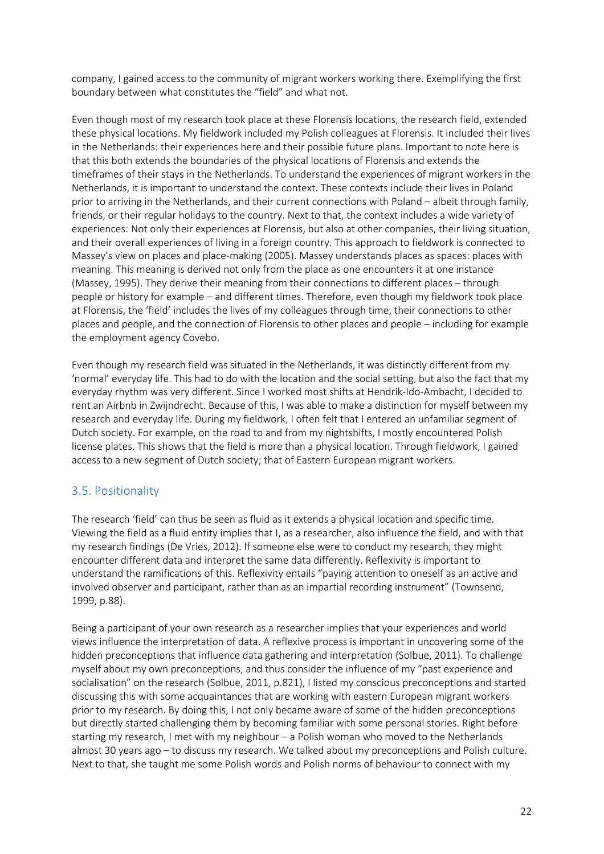company, I gained access to the community of migrant workers working there. Exemplifying the first boundary between what constitutes the "field" and what not.

Even though most of my research took place at these Florensis locations, the research field, extended these physical locations. My fieldwork included my Polish colleagues at Florensis. It included their lives in the Netherlands: their experiences here and their possible future plans. Important to note here is that this both extends the boundaries of the physical locations of Florensis and extends the timeframes of their stays in the Netherlands. To understand the experiences of migrant workers in the Netherlands, it is important to understand the context. These contexts include their lives in Poland prior to arriving in the Netherlands, and their current connections with Poland – albeit through family, friends, or their regular holidays to the country. Next to that, the context includes a wide variety of experiences: Not only their experiences at Florensis, but also at other companies, their living situation, and their overall experiences of living in a foreign country. This approach to fieldwork is connected to Massey's view on places and place-making (2005). Massey understands places as spaces: places with meaning. This meaning is derived not only from the place as one encounters it at one instance (Massey, 1995). They derive their meaning from their connections to different places – through people or history for example – and different times. Therefore, even though my fieldwork took place at Florensis, the 'field' includes the lives of my colleagues through time, their connections to other places and people, and the connection of Florensis to other places and people – including for example the employment agency Covebo.

Even though my research field was situated in the Netherlands, it was distinctly different from my 'normal' everyday life. This had to do with the location and the social setting, but also the fact that my everyday rhythm was very different. Since I worked most shifts at Hendrik-Ido-Ambacht, I decided to rent an Airbnb in Zwijndrecht. Because of this, I was able to make a distinction for myself between my research and everyday life. During my fieldwork, I often felt that I entered an unfamiliar segment of Dutch society. For example, on the road to and from my nightshifts, I mostly encountered Polish license plates. This shows that the field is more than a physical location. Through fieldwork, I gained access to a new segment of Dutch society; that of Eastern European migrant workers.

### 3.5. Positionality

The research 'field' can thus be seen as fluid as it extends a physical location and specific time. Viewing the field as a fluid entity implies that I, as a researcher, also influence the field, and with that my research findings (De Vries, 2012). If someone else were to conduct my research, they might encounter different data and interpret the same data differently. Reflexivity is important to understand the ramifications of this. Reflexivity entails "paying attention to oneself as an active and involved observer and participant, rather than as an impartial recording instrument" (Townsend, 1999, p.88).

Being a participant of your own research as a researcher implies that your experiences and world views influence the interpretation of data. A reflexive process is important in uncovering some of the hidden preconceptions that influence data gathering and interpretation (Solbue, 2011). To challenge myself about my own preconceptions, and thus consider the influence of my "past experience and socialisation" on the research (Solbue, 2011, p.821), I listed my conscious preconceptions and started discussing this with some acquaintances that are working with eastern European migrant workers prior to my research. By doing this, I not only became aware of some of the hidden preconceptions but directly started challenging them by becoming familiar with some personal stories. Right before starting my research, I met with my neighbour – a Polish woman who moved to the Netherlands almost 30 years ago – to discuss my research. We talked about my preconceptions and Polish culture. Next to that, she taught me some Polish words and Polish norms of behaviour to connect with my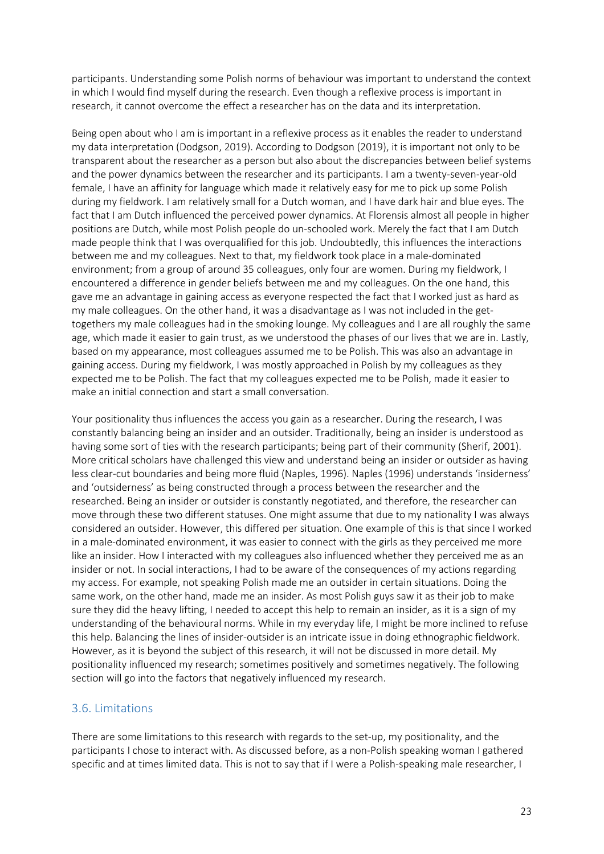participants. Understanding some Polish norms of behaviour was important to understand the context in which I would find myself during the research. Even though a reflexive process is important in research, it cannot overcome the effect a researcher has on the data and its interpretation.

Being open about who I am is important in a reflexive process as it enables the reader to understand my data interpretation (Dodgson, 2019). According to Dodgson (2019), it is important not only to be transparent about the researcher as a person but also about the discrepancies between belief systems and the power dynamics between the researcher and its participants. I am a twenty-seven-year-old female, I have an affinity for language which made it relatively easy for me to pick up some Polish during my fieldwork. I am relatively small for a Dutch woman, and I have dark hair and blue eyes. The fact that I am Dutch influenced the perceived power dynamics. At Florensis almost all people in higher positions are Dutch, while most Polish people do un-schooled work. Merely the fact that I am Dutch made people think that I was overqualified for this job. Undoubtedly, this influences the interactions between me and my colleagues. Next to that, my fieldwork took place in a male-dominated environment; from a group of around 35 colleagues, only four are women. During my fieldwork, I encountered a difference in gender beliefs between me and my colleagues. On the one hand, this gave me an advantage in gaining access as everyone respected the fact that I worked just as hard as my male colleagues. On the other hand, it was a disadvantage as I was not included in the gettogethers my male colleagues had in the smoking lounge. My colleagues and I are all roughly the same age, which made it easier to gain trust, as we understood the phases of our lives that we are in. Lastly, based on my appearance, most colleagues assumed me to be Polish. This was also an advantage in gaining access. During my fieldwork, I was mostly approached in Polish by my colleagues as they expected me to be Polish. The fact that my colleagues expected me to be Polish, made it easier to make an initial connection and start a small conversation.

Your positionality thus influences the access you gain as a researcher. During the research, I was constantly balancing being an insider and an outsider. Traditionally, being an insider is understood as having some sort of ties with the research participants; being part of their community (Sherif, 2001). More critical scholars have challenged this view and understand being an insider or outsider as having less clear-cut boundaries and being more fluid (Naples, 1996). Naples (1996) understands 'insiderness' and 'outsiderness' as being constructed through a process between the researcher and the researched. Being an insider or outsider is constantly negotiated, and therefore, the researcher can move through these two different statuses. One might assume that due to my nationality I was always considered an outsider. However, this differed per situation. One example of this is that since I worked in a male-dominated environment, it was easier to connect with the girls as they perceived me more like an insider. How I interacted with my colleagues also influenced whether they perceived me as an insider or not. In social interactions, I had to be aware of the consequences of my actions regarding my access. For example, not speaking Polish made me an outsider in certain situations. Doing the same work, on the other hand, made me an insider. As most Polish guys saw it as their job to make sure they did the heavy lifting, I needed to accept this help to remain an insider, as it is a sign of my understanding of the behavioural norms. While in my everyday life, I might be more inclined to refuse this help. Balancing the lines of insider-outsider is an intricate issue in doing ethnographic fieldwork. However, as it is beyond the subject of this research, it will not be discussed in more detail. My positionality influenced my research; sometimes positively and sometimes negatively. The following section will go into the factors that negatively influenced my research.

### 3.6. Limitations

There are some limitations to this research with regards to the set-up, my positionality, and the participants I chose to interact with. As discussed before, as a non-Polish speaking woman I gathered specific and at times limited data. This is not to say that if I were a Polish-speaking male researcher, I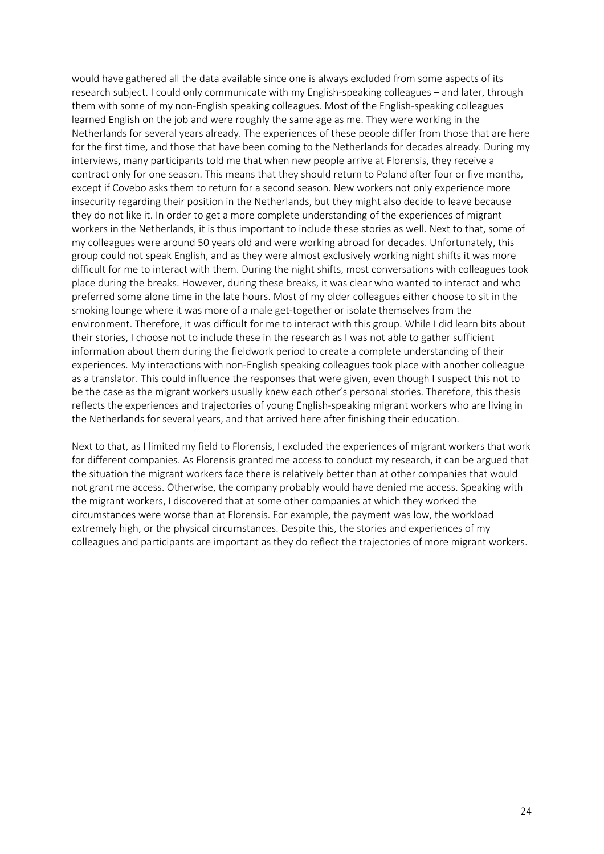would have gathered all the data available since one is always excluded from some aspects of its research subject. I could only communicate with my English-speaking colleagues – and later, through them with some of my non-English speaking colleagues. Most of the English-speaking colleagues learned English on the job and were roughly the same age as me. They were working in the Netherlands for several years already. The experiences of these people differ from those that are here for the first time, and those that have been coming to the Netherlands for decades already. During my interviews, many participants told me that when new people arrive at Florensis, they receive a contract only for one season. This means that they should return to Poland after four or five months, except if Covebo asks them to return for a second season. New workers not only experience more insecurity regarding their position in the Netherlands, but they might also decide to leave because they do not like it. In order to get a more complete understanding of the experiences of migrant workers in the Netherlands, it is thus important to include these stories as well. Next to that, some of my colleagues were around 50 years old and were working abroad for decades. Unfortunately, this group could not speak English, and as they were almost exclusively working night shifts it was more difficult for me to interact with them. During the night shifts, most conversations with colleagues took place during the breaks. However, during these breaks, it was clear who wanted to interact and who preferred some alone time in the late hours. Most of my older colleagues either choose to sit in the smoking lounge where it was more of a male get-together or isolate themselves from the environment. Therefore, it was difficult for me to interact with this group. While I did learn bits about their stories, I choose not to include these in the research as I was not able to gather sufficient information about them during the fieldwork period to create a complete understanding of their experiences. My interactions with non-English speaking colleagues took place with another colleague as a translator. This could influence the responses that were given, even though I suspect this not to be the case as the migrant workers usually knew each other's personal stories. Therefore, this thesis reflects the experiences and trajectories of young English-speaking migrant workers who are living in the Netherlands for several years, and that arrived here after finishing their education.

Next to that, as I limited my field to Florensis, I excluded the experiences of migrant workers that work for different companies. As Florensis granted me access to conduct my research, it can be argued that the situation the migrant workers face there is relatively better than at other companies that would not grant me access. Otherwise, the company probably would have denied me access. Speaking with the migrant workers, I discovered that at some other companies at which they worked the circumstances were worse than at Florensis. For example, the payment was low, the workload extremely high, or the physical circumstances. Despite this, the stories and experiences of my colleagues and participants are important as they do reflect the trajectories of more migrant workers.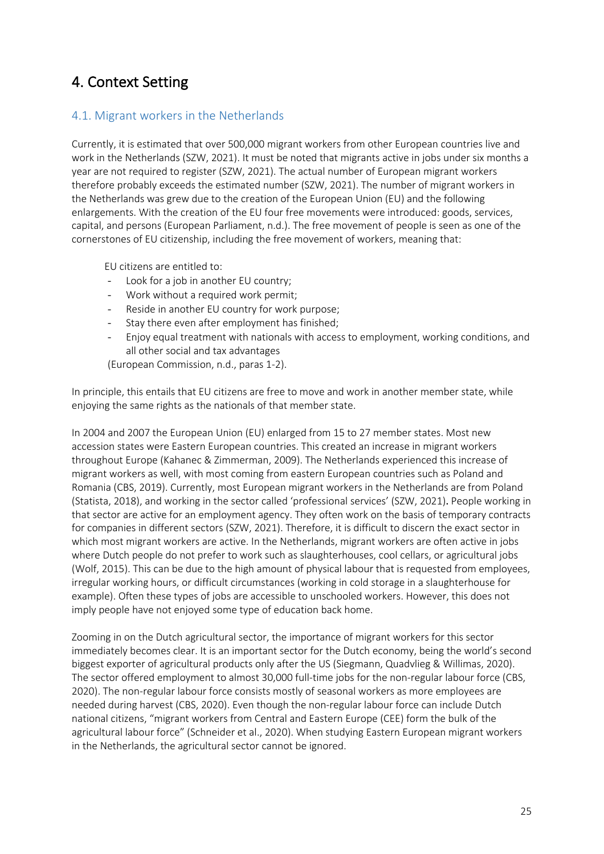### 4. Context Setting

### 4.1. Migrant workers in the Netherlands

Currently, it is estimated that over 500,000 migrant workers from other European countries live and work in the Netherlands (SZW, 2021). It must be noted that migrants active in jobs under six months a year are not required to register (SZW, 2021). The actual number of European migrant workers therefore probably exceeds the estimated number (SZW, 2021). The number of migrant workers in the Netherlands was grew due to the creation of the European Union (EU) and the following enlargements. With the creation of the EU four free movements were introduced: goods, services, capital, and persons (European Parliament, n.d.). The free movement of people is seen as one of the cornerstones of EU citizenship, including the free movement of workers, meaning that:

EU citizens are entitled to:

- Look for a job in another EU country;
- Work without a required work permit;
- Reside in another EU country for work purpose;
- Stay there even after employment has finished;
- Enjoy equal treatment with nationals with access to employment, working conditions, and all other social and tax advantages

(European Commission, n.d., paras 1-2).

In principle, this entails that EU citizens are free to move and work in another member state, while enjoying the same rights as the nationals of that member state.

In 2004 and 2007 the European Union (EU) enlarged from 15 to 27 member states. Most new accession states were Eastern European countries. This created an increase in migrant workers throughout Europe (Kahanec & Zimmerman, 2009). The Netherlands experienced this increase of migrant workers as well, with most coming from eastern European countries such as Poland and Romania (CBS, 2019). Currently, most European migrant workers in the Netherlands are from Poland (Statista, 2018), and working in the sector called 'professional services' (SZW, 2021). People working in that sector are active for an employment agency. They often work on the basis of temporary contracts for companies in different sectors (SZW, 2021). Therefore, it is difficult to discern the exact sector in which most migrant workers are active. In the Netherlands, migrant workers are often active in jobs where Dutch people do not prefer to work such as slaughterhouses, cool cellars, or agricultural jobs (Wolf, 2015). This can be due to the high amount of physical labour that is requested from employees, irregular working hours, or difficult circumstances (working in cold storage in a slaughterhouse for example). Often these types of jobs are accessible to unschooled workers. However, this does not imply people have not enjoyed some type of education back home.

Zooming in on the Dutch agricultural sector, the importance of migrant workers for this sector immediately becomes clear. It is an important sector for the Dutch economy, being the world's second biggest exporter of agricultural products only after the US (Siegmann, Quadvlieg & Willimas, 2020). The sector offered employment to almost 30,000 full-time jobs for the non-regular labour force (CBS, 2020). The non-regular labour force consists mostly of seasonal workers as more employees are needed during harvest (CBS, 2020). Even though the non-regular labour force can include Dutch national citizens, "migrant workers from Central and Eastern Europe (CEE) form the bulk of the agricultural labour force" (Schneider et al., 2020). When studying Eastern European migrant workers in the Netherlands, the agricultural sector cannot be ignored.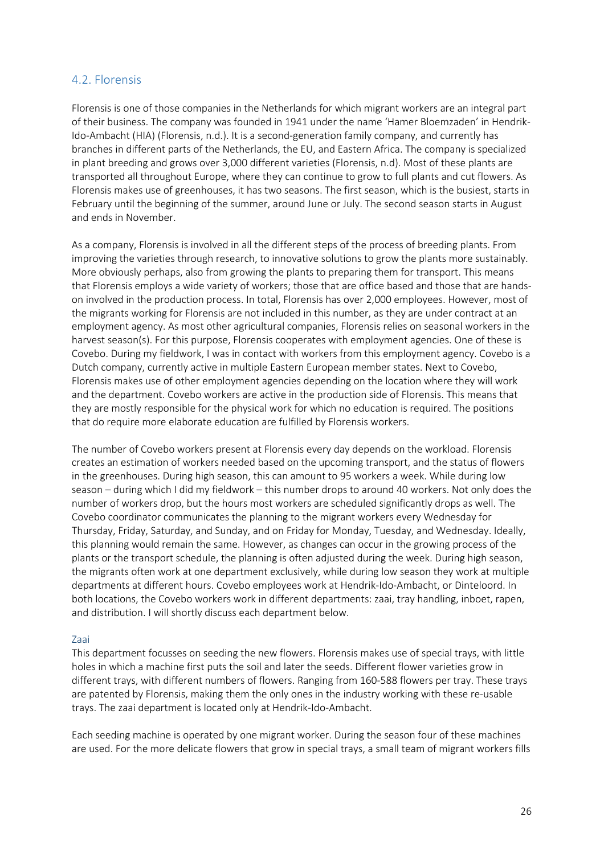### 4.2. Florensis

Florensis is one of those companies in the Netherlands for which migrant workers are an integral part of their business. The company was founded in 1941 under the name 'Hamer Bloemzaden' in Hendrik-Ido-Ambacht (HIA) (Florensis, n.d.). It is a second-generation family company, and currently has branches in different parts of the Netherlands, the EU, and Eastern Africa. The company is specialized in plant breeding and grows over 3,000 different varieties (Florensis, n.d). Most of these plants are transported all throughout Europe, where they can continue to grow to full plants and cut flowers. As Florensis makes use of greenhouses, it has two seasons. The first season, which is the busiest, starts in February until the beginning of the summer, around June or July. The second season starts in August and ends in November.

As a company, Florensis is involved in all the different steps of the process of breeding plants. From improving the varieties through research, to innovative solutions to grow the plants more sustainably. More obviously perhaps, also from growing the plants to preparing them for transport. This means that Florensis employs a wide variety of workers; those that are office based and those that are handson involved in the production process. In total, Florensis has over 2,000 employees. However, most of the migrants working for Florensis are not included in this number, as they are under contract at an employment agency. As most other agricultural companies, Florensis relies on seasonal workers in the harvest season(s). For this purpose, Florensis cooperates with employment agencies. One of these is Covebo. During my fieldwork, I was in contact with workers from this employment agency. Covebo is a Dutch company, currently active in multiple Eastern European member states. Next to Covebo, Florensis makes use of other employment agencies depending on the location where they will work and the department. Covebo workers are active in the production side of Florensis. This means that they are mostly responsible for the physical work for which no education is required. The positions that do require more elaborate education are fulfilled by Florensis workers.

The number of Covebo workers present at Florensis every day depends on the workload. Florensis creates an estimation of workers needed based on the upcoming transport, and the status of flowers in the greenhouses. During high season, this can amount to 95 workers a week. While during low season – during which I did my fieldwork – this number drops to around 40 workers. Not only does the number of workers drop, but the hours most workers are scheduled significantly drops as well. The Covebo coordinator communicates the planning to the migrant workers every Wednesday for Thursday, Friday, Saturday, and Sunday, and on Friday for Monday, Tuesday, and Wednesday. Ideally, this planning would remain the same. However, as changes can occur in the growing process of the plants or the transport schedule, the planning is often adjusted during the week. During high season, the migrants often work at one department exclusively, while during low season they work at multiple departments at different hours. Covebo employees work at Hendrik-Ido-Ambacht, or Dinteloord. In both locations, the Covebo workers work in different departments: zaai, tray handling, inboet, rapen, and distribution. I will shortly discuss each department below.

### Zaai

This department focusses on seeding the new flowers. Florensis makes use of special trays, with little holes in which a machine first puts the soil and later the seeds. Different flower varieties grow in different trays, with different numbers of flowers. Ranging from 160-588 flowers per tray. These trays are patented by Florensis, making them the only ones in the industry working with these re-usable trays. The zaai department is located only at Hendrik-Ido-Ambacht.

Each seeding machine is operated by one migrant worker. During the season four of these machines are used. For the more delicate flowers that grow in special trays, a small team of migrant workers fills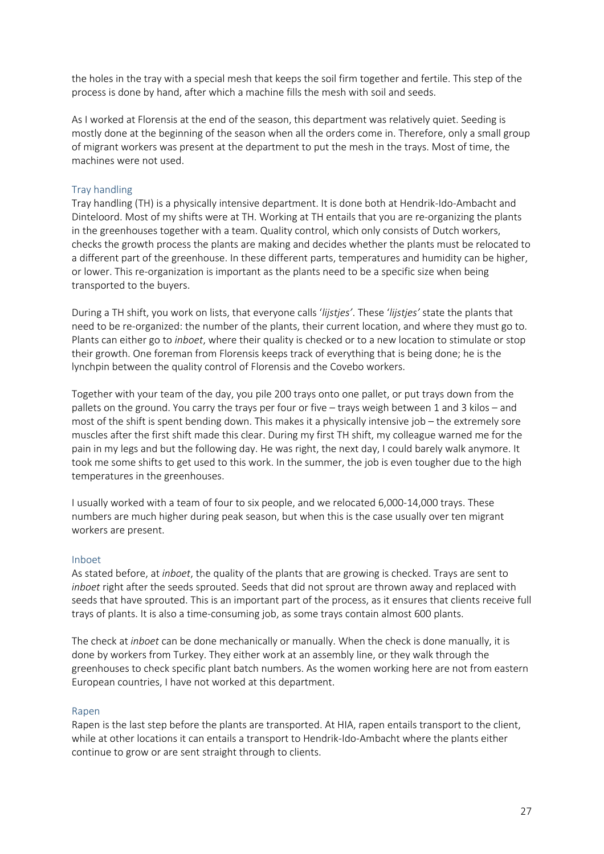the holes in the tray with a special mesh that keeps the soil firm together and fertile. This step of the process is done by hand, after which a machine fills the mesh with soil and seeds.

As I worked at Florensis at the end of the season, this department was relatively quiet. Seeding is mostly done at the beginning of the season when all the orders come in. Therefore, only a small group of migrant workers was present at the department to put the mesh in the trays. Most of time, the machines were not used.

### Tray handling

Tray handling (TH) is a physically intensive department. It is done both at Hendrik-Ido-Ambacht and Dinteloord. Most of my shifts were at TH. Working at TH entails that you are re-organizing the plants in the greenhouses together with a team. Quality control, which only consists of Dutch workers, checks the growth process the plants are making and decides whether the plants must be relocated to a different part of the greenhouse. In these different parts, temperatures and humidity can be higher, or lower. This re-organization is important as the plants need to be a specific size when being transported to the buyers.

During a TH shift, you work on lists, that everyone calls '*lijstjes'*. These '*lijstjes'* state the plants that need to be re-organized: the number of the plants, their current location, and where they must go to. Plants can either go to *inboet*, where their quality is checked or to a new location to stimulate or stop their growth. One foreman from Florensis keeps track of everything that is being done; he is the lynchpin between the quality control of Florensis and the Covebo workers.

Together with your team of the day, you pile 200 trays onto one pallet, or put trays down from the pallets on the ground. You carry the trays per four or five – trays weigh between 1 and 3 kilos – and most of the shift is spent bending down. This makes it a physically intensive job – the extremely sore muscles after the first shift made this clear. During my first TH shift, my colleague warned me for the pain in my legs and but the following day. He was right, the next day, I could barely walk anymore. It took me some shifts to get used to this work. In the summer, the job is even tougher due to the high temperatures in the greenhouses.

I usually worked with a team of four to six people, and we relocated 6,000-14,000 trays. These numbers are much higher during peak season, but when this is the case usually over ten migrant workers are present.

### Inboet

As stated before, at *inboet*, the quality of the plants that are growing is checked. Trays are sent to *inboet* right after the seeds sprouted. Seeds that did not sprout are thrown away and replaced with seeds that have sprouted. This is an important part of the process, as it ensures that clients receive full trays of plants. It is also a time-consuming job, as some trays contain almost 600 plants.

The check at *inboet* can be done mechanically or manually. When the check is done manually, it is done by workers from Turkey. They either work at an assembly line, or they walk through the greenhouses to check specific plant batch numbers. As the women working here are not from eastern European countries, I have not worked at this department.

### Rapen

Rapen is the last step before the plants are transported. At HIA, rapen entails transport to the client, while at other locations it can entails a transport to Hendrik-Ido-Ambacht where the plants either continue to grow or are sent straight through to clients.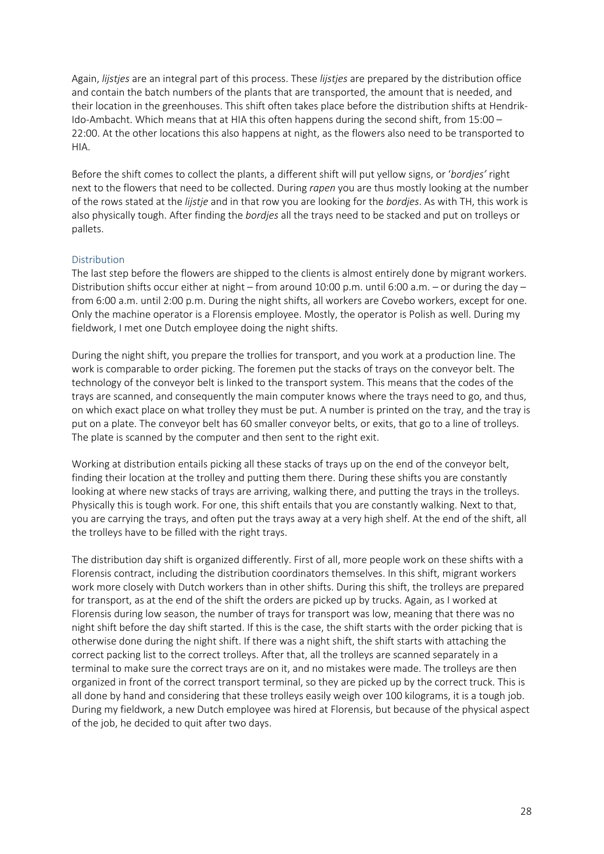Again, *lijstjes* are an integral part of this process. These *lijstjes* are prepared by the distribution office and contain the batch numbers of the plants that are transported, the amount that is needed, and their location in the greenhouses. This shift often takes place before the distribution shifts at Hendrik-Ido-Ambacht. Which means that at HIA this often happens during the second shift, from 15:00 – 22:00. At the other locations this also happens at night, as the flowers also need to be transported to HIA.

Before the shift comes to collect the plants, a different shift will put yellow signs, or '*bordjes'* right next to the flowers that need to be collected. During *rapen* you are thus mostly looking at the number of the rows stated at the *lijstje* and in that row you are looking for the *bordjes*. As with TH, this work is also physically tough. After finding the *bordjes* all the trays need to be stacked and put on trolleys or pallets.

### Distribution

The last step before the flowers are shipped to the clients is almost entirely done by migrant workers. Distribution shifts occur either at night – from around 10:00 p.m. until 6:00 a.m. – or during the day – from 6:00 a.m. until 2:00 p.m. During the night shifts, all workers are Covebo workers, except for one. Only the machine operator is a Florensis employee. Mostly, the operator is Polish as well. During my fieldwork, I met one Dutch employee doing the night shifts.

During the night shift, you prepare the trollies for transport, and you work at a production line. The work is comparable to order picking. The foremen put the stacks of trays on the conveyor belt. The technology of the conveyor belt is linked to the transport system. This means that the codes of the trays are scanned, and consequently the main computer knows where the trays need to go, and thus, on which exact place on what trolley they must be put. A number is printed on the tray, and the tray is put on a plate. The conveyor belt has 60 smaller conveyor belts, or exits, that go to a line of trolleys. The plate is scanned by the computer and then sent to the right exit.

Working at distribution entails picking all these stacks of trays up on the end of the conveyor belt, finding their location at the trolley and putting them there. During these shifts you are constantly looking at where new stacks of trays are arriving, walking there, and putting the trays in the trolleys. Physically this is tough work. For one, this shift entails that you are constantly walking. Next to that, you are carrying the trays, and often put the trays away at a very high shelf. At the end of the shift, all the trolleys have to be filled with the right trays.

The distribution day shift is organized differently. First of all, more people work on these shifts with a Florensis contract, including the distribution coordinators themselves. In this shift, migrant workers work more closely with Dutch workers than in other shifts. During this shift, the trolleys are prepared for transport, as at the end of the shift the orders are picked up by trucks. Again, as I worked at Florensis during low season, the number of trays for transport was low, meaning that there was no night shift before the day shift started. If this is the case, the shift starts with the order picking that is otherwise done during the night shift. If there was a night shift, the shift starts with attaching the correct packing list to the correct trolleys. After that, all the trolleys are scanned separately in a terminal to make sure the correct trays are on it, and no mistakes were made. The trolleys are then organized in front of the correct transport terminal, so they are picked up by the correct truck. This is all done by hand and considering that these trolleys easily weigh over 100 kilograms, it is a tough job. During my fieldwork, a new Dutch employee was hired at Florensis, but because of the physical aspect of the job, he decided to quit after two days.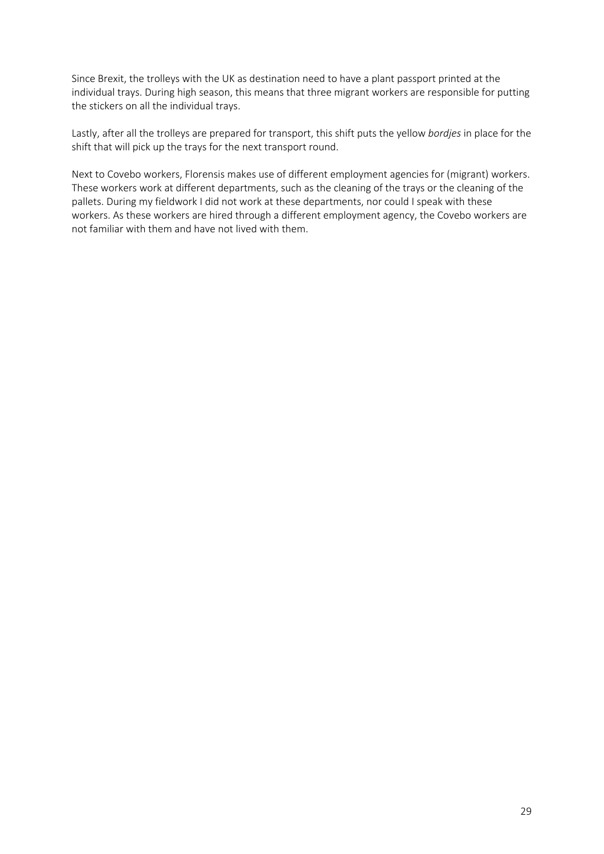Since Brexit, the trolleys with the UK as destination need to have a plant passport printed at the individual trays. During high season, this means that three migrant workers are responsible for putting the stickers on all the individual trays.

Lastly, after all the trolleys are prepared for transport, this shift puts the yellow *bordjes* in place for the shift that will pick up the trays for the next transport round.

Next to Covebo workers, Florensis makes use of different employment agencies for (migrant) workers. These workers work at different departments, such as the cleaning of the trays or the cleaning of the pallets. During my fieldwork I did not work at these departments, nor could I speak with these workers. As these workers are hired through a different employment agency, the Covebo workers are not familiar with them and have not lived with them.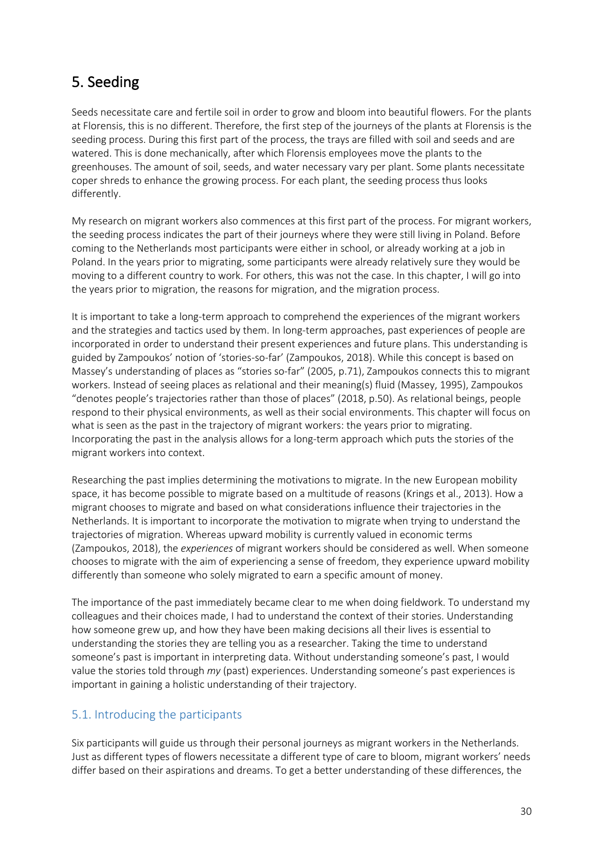### 5. Seeding

Seeds necessitate care and fertile soil in order to grow and bloom into beautiful flowers. For the plants at Florensis, this is no different. Therefore, the first step of the journeys of the plants at Florensis is the seeding process. During this first part of the process, the trays are filled with soil and seeds and are watered. This is done mechanically, after which Florensis employees move the plants to the greenhouses. The amount of soil, seeds, and water necessary vary per plant. Some plants necessitate coper shreds to enhance the growing process. For each plant, the seeding process thus looks differently.

My research on migrant workers also commences at this first part of the process. For migrant workers, the seeding process indicates the part of their journeys where they were still living in Poland. Before coming to the Netherlands most participants were either in school, or already working at a job in Poland. In the years prior to migrating, some participants were already relatively sure they would be moving to a different country to work. For others, this was not the case. In this chapter, I will go into the years prior to migration, the reasons for migration, and the migration process.

It is important to take a long-term approach to comprehend the experiences of the migrant workers and the strategies and tactics used by them. In long-term approaches, past experiences of people are incorporated in order to understand their present experiences and future plans. This understanding is guided by Zampoukos' notion of 'stories-so-far' (Zampoukos, 2018). While this concept is based on Massey's understanding of places as "stories so-far" (2005, p.71), Zampoukos connects this to migrant workers. Instead of seeing places as relational and their meaning(s) fluid (Massey, 1995), Zampoukos "denotes people's trajectories rather than those of places" (2018, p.50). As relational beings, people respond to their physical environments, as well as their social environments. This chapter will focus on what is seen as the past in the trajectory of migrant workers: the years prior to migrating. Incorporating the past in the analysis allows for a long-term approach which puts the stories of the migrant workers into context.

Researching the past implies determining the motivations to migrate. In the new European mobility space, it has become possible to migrate based on a multitude of reasons (Krings et al., 2013). How a migrant chooses to migrate and based on what considerations influence their trajectories in the Netherlands. It is important to incorporate the motivation to migrate when trying to understand the trajectories of migration. Whereas upward mobility is currently valued in economic terms (Zampoukos, 2018), the *experiences* of migrant workers should be considered as well. When someone chooses to migrate with the aim of experiencing a sense of freedom, they experience upward mobility differently than someone who solely migrated to earn a specific amount of money.

The importance of the past immediately became clear to me when doing fieldwork. To understand my colleagues and their choices made, I had to understand the context of their stories. Understanding how someone grew up, and how they have been making decisions all their lives is essential to understanding the stories they are telling you as a researcher. Taking the time to understand someone's past is important in interpreting data. Without understanding someone's past, I would value the stories told through *my* (past) experiences. Understanding someone's past experiences is important in gaining a holistic understanding of their trajectory.

### 5.1. Introducing the participants

Six participants will guide us through their personal journeys as migrant workers in the Netherlands. Just as different types of flowers necessitate a different type of care to bloom, migrant workers' needs differ based on their aspirations and dreams. To get a better understanding of these differences, the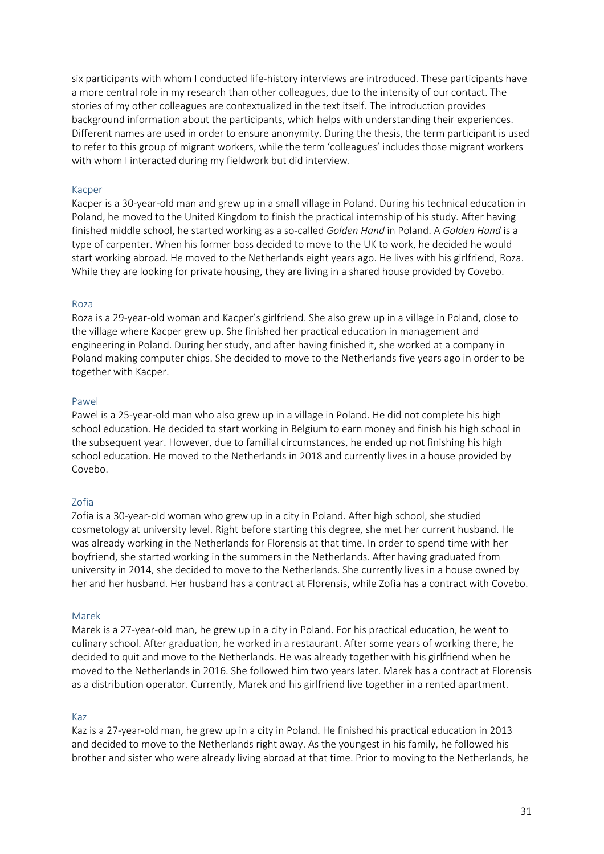six participants with whom I conducted life-history interviews are introduced. These participants have a more central role in my research than other colleagues, due to the intensity of our contact. The stories of my other colleagues are contextualized in the text itself. The introduction provides background information about the participants, which helps with understanding their experiences. Different names are used in order to ensure anonymity. During the thesis, the term participant is used to refer to this group of migrant workers, while the term 'colleagues' includes those migrant workers with whom I interacted during my fieldwork but did interview.

#### Kacper

Kacper is a 30-year-old man and grew up in a small village in Poland. During his technical education in Poland, he moved to the United Kingdom to finish the practical internship of his study. After having finished middle school, he started working as a so-called *Golden Hand* in Poland. A *Golden Hand* is a type of carpenter. When his former boss decided to move to the UK to work, he decided he would start working abroad. He moved to the Netherlands eight years ago. He lives with his girlfriend, Roza. While they are looking for private housing, they are living in a shared house provided by Covebo.

#### Roza

Roza is a 29-year-old woman and Kacper's girlfriend. She also grew up in a village in Poland, close to the village where Kacper grew up. She finished her practical education in management and engineering in Poland. During her study, and after having finished it, she worked at a company in Poland making computer chips. She decided to move to the Netherlands five years ago in order to be together with Kacper.

#### Pawel

Pawel is a 25-year-old man who also grew up in a village in Poland. He did not complete his high school education. He decided to start working in Belgium to earn money and finish his high school in the subsequent year. However, due to familial circumstances, he ended up not finishing his high school education. He moved to the Netherlands in 2018 and currently lives in a house provided by Covebo.

#### Zofia

Zofia is a 30-year-old woman who grew up in a city in Poland. After high school, she studied cosmetology at university level. Right before starting this degree, she met her current husband. He was already working in the Netherlands for Florensis at that time. In order to spend time with her boyfriend, she started working in the summers in the Netherlands. After having graduated from university in 2014, she decided to move to the Netherlands. She currently lives in a house owned by her and her husband. Her husband has a contract at Florensis, while Zofia has a contract with Covebo.

#### Marek

Marek is a 27-year-old man, he grew up in a city in Poland. For his practical education, he went to culinary school. After graduation, he worked in a restaurant. After some years of working there, he decided to quit and move to the Netherlands. He was already together with his girlfriend when he moved to the Netherlands in 2016. She followed him two years later. Marek has a contract at Florensis as a distribution operator. Currently, Marek and his girlfriend live together in a rented apartment.

#### Kaz

Kaz is a 27-year-old man, he grew up in a city in Poland. He finished his practical education in 2013 and decided to move to the Netherlands right away. As the youngest in his family, he followed his brother and sister who were already living abroad at that time. Prior to moving to the Netherlands, he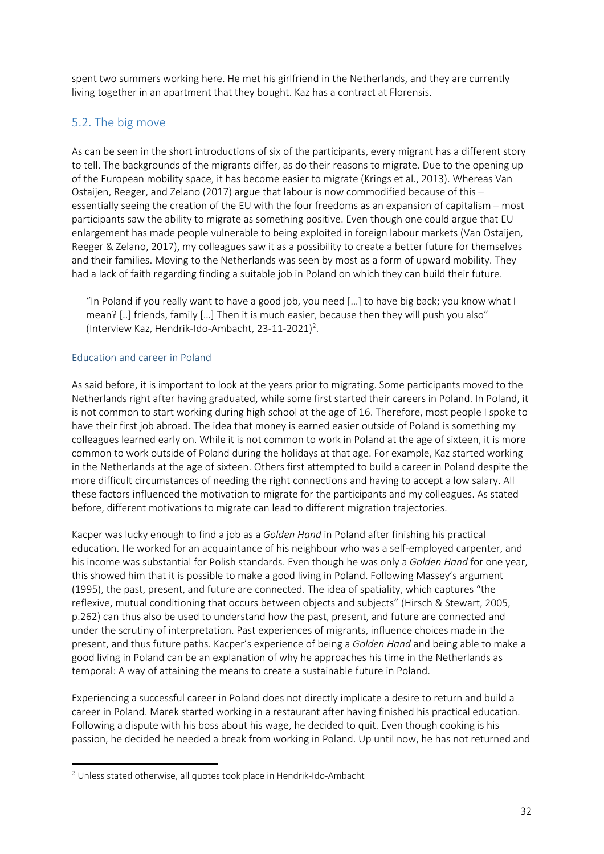spent two summers working here. He met his girlfriend in the Netherlands, and they are currently living together in an apartment that they bought. Kaz has a contract at Florensis.

### 5.2. The big move

As can be seen in the short introductions of six of the participants, every migrant has a different story to tell. The backgrounds of the migrants differ, as do their reasons to migrate. Due to the opening up of the European mobility space, it has become easier to migrate (Krings et al., 2013). Whereas Van Ostaijen, Reeger, and Zelano (2017) argue that labour is now commodified because of this – essentially seeing the creation of the EU with the four freedoms as an expansion of capitalism – most participants saw the ability to migrate as something positive. Even though one could argue that EU enlargement has made people vulnerable to being exploited in foreign labour markets (Van Ostaijen, Reeger & Zelano, 2017), my colleagues saw it as a possibility to create a better future for themselves and their families. Moving to the Netherlands was seen by most as a form of upward mobility. They had a lack of faith regarding finding a suitable job in Poland on which they can build their future.

"In Poland if you really want to have a good job, you need […] to have big back; you know what I mean? [..] friends, family […] Then it is much easier, because then they will push you also" (Interview Kaz, Hendrik-Ido-Ambacht, 23-11-2021)<sup>2</sup>.

### Education and career in Poland

As said before, it is important to look at the years prior to migrating. Some participants moved to the Netherlands right after having graduated, while some first started their careers in Poland. In Poland, it is not common to start working during high school at the age of 16. Therefore, most people I spoke to have their first job abroad. The idea that money is earned easier outside of Poland is something my colleagues learned early on. While it is not common to work in Poland at the age of sixteen, it is more common to work outside of Poland during the holidays at that age. For example, Kaz started working in the Netherlands at the age of sixteen. Others first attempted to build a career in Poland despite the more difficult circumstances of needing the right connections and having to accept a low salary. All these factors influenced the motivation to migrate for the participants and my colleagues. As stated before, different motivations to migrate can lead to different migration trajectories.

Kacper was lucky enough to find a job as a *Golden Hand* in Poland after finishing his practical education. He worked for an acquaintance of his neighbour who was a self-employed carpenter, and his income was substantial for Polish standards. Even though he was only a *Golden Hand* for one year, this showed him that it is possible to make a good living in Poland. Following Massey's argument (1995), the past, present, and future are connected. The idea of spatiality, which captures "the reflexive, mutual conditioning that occurs between objects and subjects" (Hirsch & Stewart, 2005, p.262) can thus also be used to understand how the past, present, and future are connected and under the scrutiny of interpretation. Past experiences of migrants, influence choices made in the present, and thus future paths. Kacper's experience of being a *Golden Hand* and being able to make a good living in Poland can be an explanation of why he approaches his time in the Netherlands as temporal: A way of attaining the means to create a sustainable future in Poland.

Experiencing a successful career in Poland does not directly implicate a desire to return and build a career in Poland. Marek started working in a restaurant after having finished his practical education. Following a dispute with his boss about his wage, he decided to quit. Even though cooking is his passion, he decided he needed a break from working in Poland. Up until now, he has not returned and

<sup>2</sup> Unless stated otherwise, all quotes took place in Hendrik-Ido-Ambacht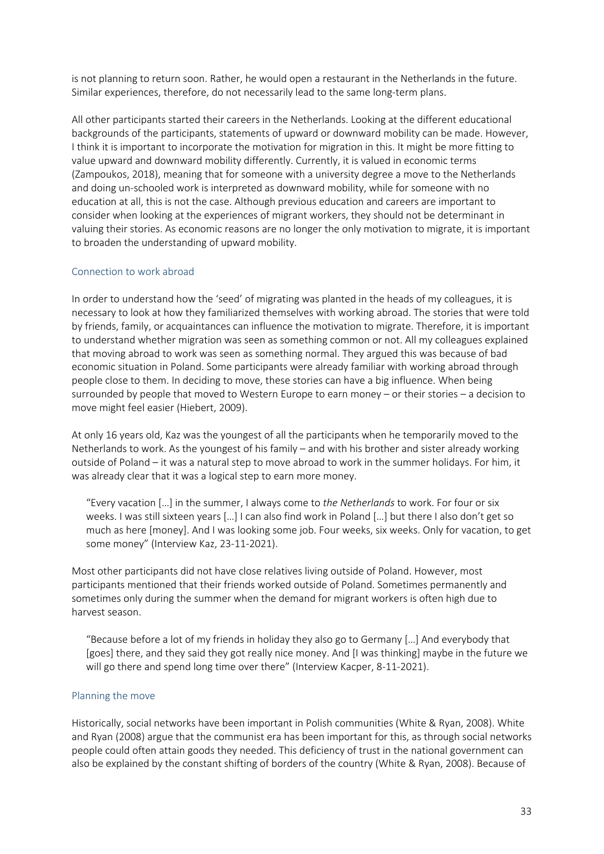is not planning to return soon. Rather, he would open a restaurant in the Netherlands in the future. Similar experiences, therefore, do not necessarily lead to the same long-term plans.

All other participants started their careers in the Netherlands. Looking at the different educational backgrounds of the participants, statements of upward or downward mobility can be made. However, I think it is important to incorporate the motivation for migration in this. It might be more fitting to value upward and downward mobility differently. Currently, it is valued in economic terms (Zampoukos, 2018), meaning that for someone with a university degree a move to the Netherlands and doing un-schooled work is interpreted as downward mobility, while for someone with no education at all, this is not the case. Although previous education and careers are important to consider when looking at the experiences of migrant workers, they should not be determinant in valuing their stories. As economic reasons are no longer the only motivation to migrate, it is important to broaden the understanding of upward mobility.

### Connection to work abroad

In order to understand how the 'seed' of migrating was planted in the heads of my colleagues, it is necessary to look at how they familiarized themselves with working abroad. The stories that were told by friends, family, or acquaintances can influence the motivation to migrate. Therefore, it is important to understand whether migration was seen as something common or not. All my colleagues explained that moving abroad to work was seen as something normal. They argued this was because of bad economic situation in Poland. Some participants were already familiar with working abroad through people close to them. In deciding to move, these stories can have a big influence. When being surrounded by people that moved to Western Europe to earn money – or their stories – a decision to move might feel easier (Hiebert, 2009).

At only 16 years old, Kaz was the youngest of all the participants when he temporarily moved to the Netherlands to work. As the youngest of his family – and with his brother and sister already working outside of Poland – it was a natural step to move abroad to work in the summer holidays. For him, it was already clear that it was a logical step to earn more money.

"Every vacation […] in the summer, I always come to *the Netherlands* to work. For four or six weeks. I was still sixteen years […] I can also find work in Poland […] but there I also don't get so much as here [money]. And I was looking some job. Four weeks, six weeks. Only for vacation, to get some money" (Interview Kaz, 23-11-2021).

Most other participants did not have close relatives living outside of Poland. However, most participants mentioned that their friends worked outside of Poland. Sometimes permanently and sometimes only during the summer when the demand for migrant workers is often high due to harvest season.

"Because before a lot of my friends in holiday they also go to Germany […] And everybody that [goes] there, and they said they got really nice money. And [I was thinking] maybe in the future we will go there and spend long time over there" (Interview Kacper, 8-11-2021).

### Planning the move

Historically, social networks have been important in Polish communities (White & Ryan, 2008). White and Ryan (2008) argue that the communist era has been important for this, as through social networks people could often attain goods they needed. This deficiency of trust in the national government can also be explained by the constant shifting of borders of the country (White & Ryan, 2008). Because of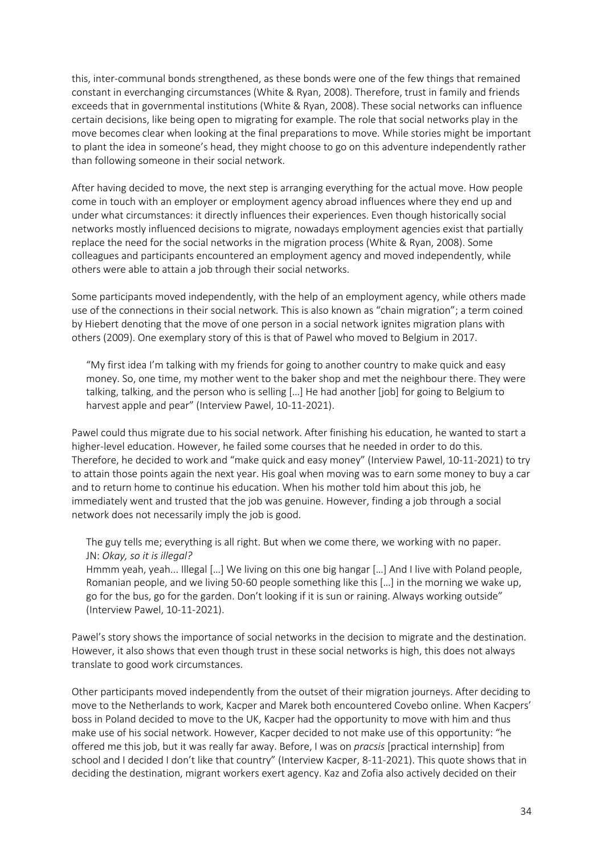this, inter-communal bonds strengthened, as these bonds were one of the few things that remained constant in everchanging circumstances (White & Ryan, 2008). Therefore, trust in family and friends exceeds that in governmental institutions (White & Ryan, 2008). These social networks can influence certain decisions, like being open to migrating for example. The role that social networks play in the move becomes clear when looking at the final preparations to move. While stories might be important to plant the idea in someone's head, they might choose to go on this adventure independently rather than following someone in their social network.

After having decided to move, the next step is arranging everything for the actual move. How people come in touch with an employer or employment agency abroad influences where they end up and under what circumstances: it directly influences their experiences. Even though historically social networks mostly influenced decisions to migrate, nowadays employment agencies exist that partially replace the need for the social networks in the migration process (White & Ryan, 2008). Some colleagues and participants encountered an employment agency and moved independently, while others were able to attain a job through their social networks.

Some participants moved independently, with the help of an employment agency, while others made use of the connections in their social network. This is also known as "chain migration"; a term coined by Hiebert denoting that the move of one person in a social network ignites migration plans with others (2009). One exemplary story of this is that of Pawel who moved to Belgium in 2017.

"My first idea I'm talking with my friends for going to another country to make quick and easy money. So, one time, my mother went to the baker shop and met the neighbour there. They were talking, talking, and the person who is selling […] He had another [job] for going to Belgium to harvest apple and pear" (Interview Pawel, 10-11-2021).

Pawel could thus migrate due to his social network. After finishing his education, he wanted to start a higher-level education. However, he failed some courses that he needed in order to do this. Therefore, he decided to work and "make quick and easy money" (Interview Pawel, 10-11-2021) to try to attain those points again the next year. His goal when moving was to earn some money to buy a car and to return home to continue his education. When his mother told him about this job, he immediately went and trusted that the job was genuine. However, finding a job through a social network does not necessarily imply the job is good.

The guy tells me; everything is all right. But when we come there, we working with no paper. JN: *Okay, so it is illegal?*

Hmmm yeah, yeah... Illegal […] We living on this one big hangar […] And I live with Poland people, Romanian people, and we living 50-60 people something like this […] in the morning we wake up, go for the bus, go for the garden. Don't looking if it is sun or raining. Always working outside" (Interview Pawel, 10-11-2021).

Pawel's story shows the importance of social networks in the decision to migrate and the destination. However, it also shows that even though trust in these social networks is high, this does not always translate to good work circumstances.

Other participants moved independently from the outset of their migration journeys. After deciding to move to the Netherlands to work, Kacper and Marek both encountered Covebo online. When Kacpers' boss in Poland decided to move to the UK, Kacper had the opportunity to move with him and thus make use of his social network. However, Kacper decided to not make use of this opportunity: "he offered me this job, but it was really far away. Before, I was on *pracsis* [practical internship] from school and I decided I don't like that country" (Interview Kacper, 8-11-2021). This quote shows that in deciding the destination, migrant workers exert agency. Kaz and Zofia also actively decided on their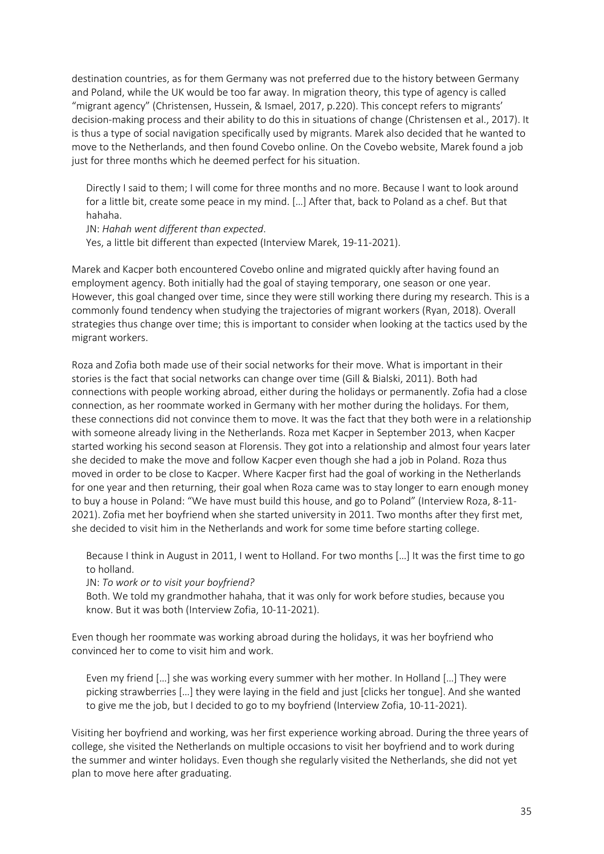destination countries, as for them Germany was not preferred due to the history between Germany and Poland, while the UK would be too far away. In migration theory, this type of agency is called "migrant agency" (Christensen, Hussein, & Ismael, 2017, p.220). This concept refers to migrants' decision-making process and their ability to do this in situations of change (Christensen et al., 2017). It is thus a type of social navigation specifically used by migrants. Marek also decided that he wanted to move to the Netherlands, and then found Covebo online. On the Covebo website, Marek found a job just for three months which he deemed perfect for his situation.

Directly I said to them; I will come for three months and no more. Because I want to look around for a little bit, create some peace in my mind. […] After that, back to Poland as a chef. But that hahaha.

JN: *Hahah went different than expected*.

Yes, a little bit different than expected (Interview Marek, 19-11-2021).

Marek and Kacper both encountered Covebo online and migrated quickly after having found an employment agency. Both initially had the goal of staying temporary, one season or one year. However, this goal changed over time, since they were still working there during my research. This is a commonly found tendency when studying the trajectories of migrant workers (Ryan, 2018). Overall strategies thus change over time; this is important to consider when looking at the tactics used by the migrant workers.

Roza and Zofia both made use of their social networks for their move. What is important in their stories is the fact that social networks can change over time (Gill & Bialski, 2011). Both had connections with people working abroad, either during the holidays or permanently. Zofia had a close connection, as her roommate worked in Germany with her mother during the holidays. For them, these connections did not convince them to move. It was the fact that they both were in a relationship with someone already living in the Netherlands. Roza met Kacper in September 2013, when Kacper started working his second season at Florensis. They got into a relationship and almost four years later she decided to make the move and follow Kacper even though she had a job in Poland. Roza thus moved in order to be close to Kacper. Where Kacper first had the goal of working in the Netherlands for one year and then returning, their goal when Roza came was to stay longer to earn enough money to buy a house in Poland: "We have must build this house, and go to Poland" (Interview Roza, 8-11- 2021). Zofia met her boyfriend when she started university in 2011. Two months after they first met, she decided to visit him in the Netherlands and work for some time before starting college.

Because I think in August in 2011, I went to Holland. For two months […] It was the first time to go to holland.

JN: *To work or to visit your boyfriend?*

Both. We told my grandmother hahaha, that it was only for work before studies, because you know. But it was both (Interview Zofia, 10-11-2021).

Even though her roommate was working abroad during the holidays, it was her boyfriend who convinced her to come to visit him and work.

Even my friend […] she was working every summer with her mother. In Holland […] They were picking strawberries […] they were laying in the field and just [clicks her tongue]. And she wanted to give me the job, but I decided to go to my boyfriend (Interview Zofia, 10-11-2021).

Visiting her boyfriend and working, was her first experience working abroad. During the three years of college, she visited the Netherlands on multiple occasions to visit her boyfriend and to work during the summer and winter holidays. Even though she regularly visited the Netherlands, she did not yet plan to move here after graduating.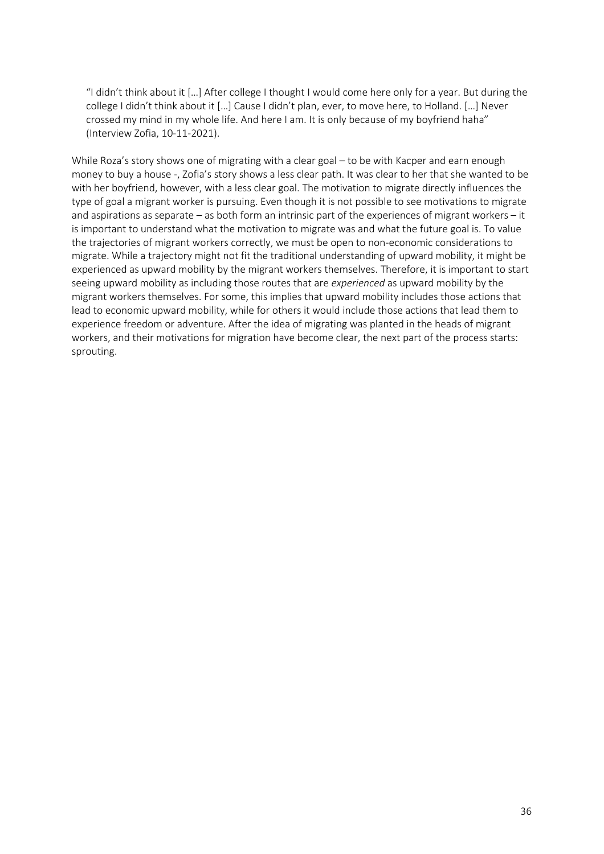"I didn't think about it […] After college I thought I would come here only for a year. But during the college I didn't think about it […] Cause I didn't plan, ever, to move here, to Holland. […] Never crossed my mind in my whole life. And here I am. It is only because of my boyfriend haha" (Interview Zofia, 10-11-2021).

While Roza's story shows one of migrating with a clear goal – to be with Kacper and earn enough money to buy a house -, Zofia's story shows a less clear path. It was clear to her that she wanted to be with her boyfriend, however, with a less clear goal. The motivation to migrate directly influences the type of goal a migrant worker is pursuing. Even though it is not possible to see motivations to migrate and aspirations as separate – as both form an intrinsic part of the experiences of migrant workers – it is important to understand what the motivation to migrate was and what the future goal is. To value the trajectories of migrant workers correctly, we must be open to non-economic considerations to migrate. While a trajectory might not fit the traditional understanding of upward mobility, it might be experienced as upward mobility by the migrant workers themselves. Therefore, it is important to start seeing upward mobility as including those routes that are *experienced* as upward mobility by the migrant workers themselves. For some, this implies that upward mobility includes those actions that lead to economic upward mobility, while for others it would include those actions that lead them to experience freedom or adventure. After the idea of migrating was planted in the heads of migrant workers, and their motivations for migration have become clear, the next part of the process starts: sprouting.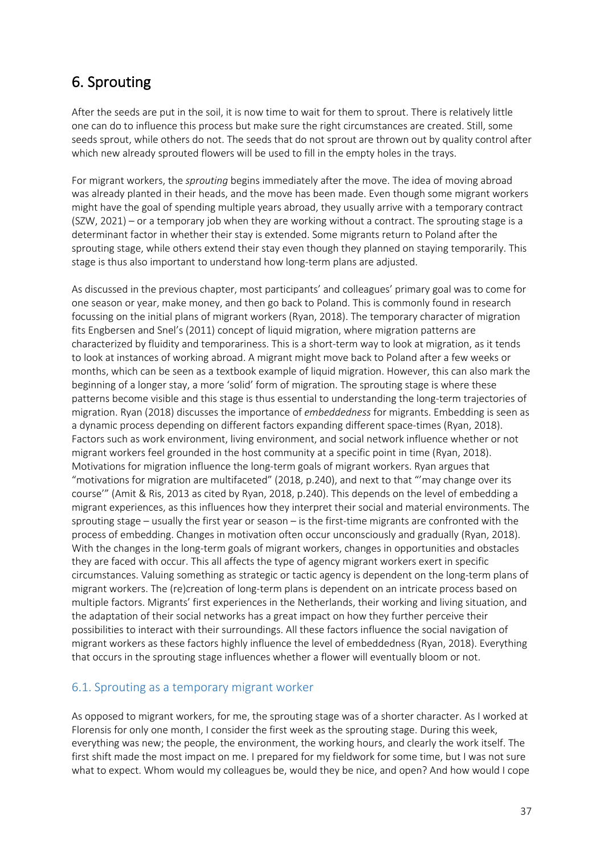# 6. Sprouting

After the seeds are put in the soil, it is now time to wait for them to sprout. There is relatively little one can do to influence this process but make sure the right circumstances are created. Still, some seeds sprout, while others do not. The seeds that do not sprout are thrown out by quality control after which new already sprouted flowers will be used to fill in the empty holes in the trays.

For migrant workers, the *sprouting* begins immediately after the move. The idea of moving abroad was already planted in their heads, and the move has been made. Even though some migrant workers might have the goal of spending multiple years abroad, they usually arrive with a temporary contract (SZW, 2021) – or a temporary job when they are working without a contract. The sprouting stage is a determinant factor in whether their stay is extended. Some migrants return to Poland after the sprouting stage, while others extend their stay even though they planned on staying temporarily. This stage is thus also important to understand how long-term plans are adjusted.

As discussed in the previous chapter, most participants' and colleagues' primary goal was to come for one season or year, make money, and then go back to Poland. This is commonly found in research focussing on the initial plans of migrant workers (Ryan, 2018). The temporary character of migration fits Engbersen and Snel's (2011) concept of liquid migration, where migration patterns are characterized by fluidity and temporariness. This is a short-term way to look at migration, as it tends to look at instances of working abroad. A migrant might move back to Poland after a few weeks or months, which can be seen as a textbook example of liquid migration. However, this can also mark the beginning of a longer stay, a more 'solid' form of migration. The sprouting stage is where these patterns become visible and this stage is thus essential to understanding the long-term trajectories of migration. Ryan (2018) discusses the importance of *embeddedness* for migrants. Embedding is seen as a dynamic process depending on different factors expanding different space-times (Ryan, 2018). Factors such as work environment, living environment, and social network influence whether or not migrant workers feel grounded in the host community at a specific point in time (Ryan, 2018). Motivations for migration influence the long-term goals of migrant workers. Ryan argues that "motivations for migration are multifaceted" (2018, p.240), and next to that "'may change over its course'" (Amit & Ris, 2013 as cited by Ryan, 2018, p.240). This depends on the level of embedding a migrant experiences, as this influences how they interpret their social and material environments. The sprouting stage – usually the first year or season – is the first-time migrants are confronted with the process of embedding. Changes in motivation often occur unconsciously and gradually (Ryan, 2018). With the changes in the long-term goals of migrant workers, changes in opportunities and obstacles they are faced with occur. This all affects the type of agency migrant workers exert in specific circumstances. Valuing something as strategic or tactic agency is dependent on the long-term plans of migrant workers. The (re)creation of long-term plans is dependent on an intricate process based on multiple factors. Migrants' first experiences in the Netherlands, their working and living situation, and the adaptation of their social networks has a great impact on how they further perceive their possibilities to interact with their surroundings. All these factors influence the social navigation of migrant workers as these factors highly influence the level of embeddedness (Ryan, 2018). Everything that occurs in the sprouting stage influences whether a flower will eventually bloom or not.

### 6.1. Sprouting as a temporary migrant worker

As opposed to migrant workers, for me, the sprouting stage was of a shorter character. As I worked at Florensis for only one month, I consider the first week as the sprouting stage. During this week, everything was new; the people, the environment, the working hours, and clearly the work itself. The first shift made the most impact on me. I prepared for my fieldwork for some time, but I was not sure what to expect. Whom would my colleagues be, would they be nice, and open? And how would I cope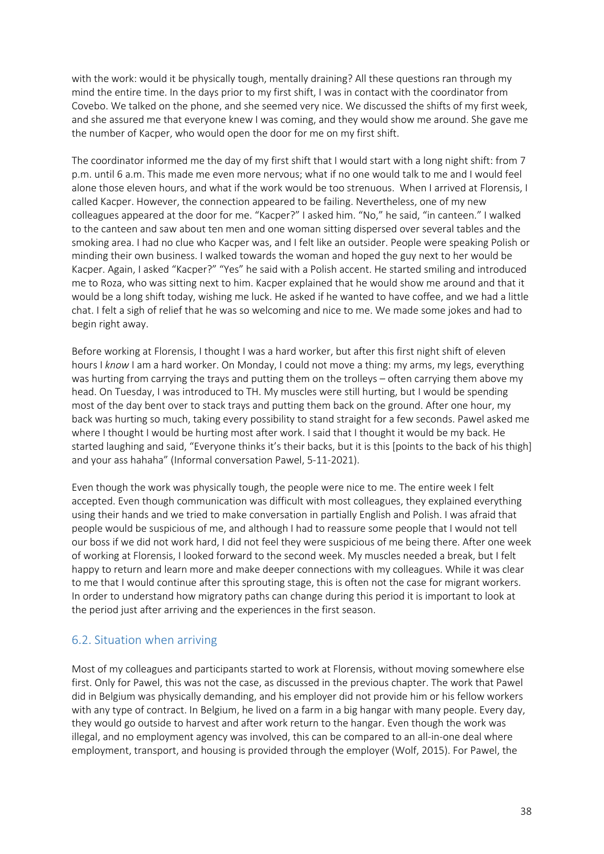with the work: would it be physically tough, mentally draining? All these questions ran through my mind the entire time. In the days prior to my first shift, I was in contact with the coordinator from Covebo. We talked on the phone, and she seemed very nice. We discussed the shifts of my first week, and she assured me that everyone knew I was coming, and they would show me around. She gave me the number of Kacper, who would open the door for me on my first shift.

The coordinator informed me the day of my first shift that I would start with a long night shift: from 7 p.m. until 6 a.m. This made me even more nervous; what if no one would talk to me and I would feel alone those eleven hours, and what if the work would be too strenuous. When I arrived at Florensis, I called Kacper. However, the connection appeared to be failing. Nevertheless, one of my new colleagues appeared at the door for me. "Kacper?" I asked him. "No," he said, "in canteen." I walked to the canteen and saw about ten men and one woman sitting dispersed over several tables and the smoking area. I had no clue who Kacper was, and I felt like an outsider. People were speaking Polish or minding their own business. I walked towards the woman and hoped the guy next to her would be Kacper. Again, I asked "Kacper?" "Yes" he said with a Polish accent. He started smiling and introduced me to Roza, who was sitting next to him. Kacper explained that he would show me around and that it would be a long shift today, wishing me luck. He asked if he wanted to have coffee, and we had a little chat. I felt a sigh of relief that he was so welcoming and nice to me. We made some jokes and had to begin right away.

Before working at Florensis, I thought I was a hard worker, but after this first night shift of eleven hours I *know* I am a hard worker. On Monday, I could not move a thing: my arms, my legs, everything was hurting from carrying the trays and putting them on the trolleys – often carrying them above my head. On Tuesday, I was introduced to TH. My muscles were still hurting, but I would be spending most of the day bent over to stack trays and putting them back on the ground. After one hour, my back was hurting so much, taking every possibility to stand straight for a few seconds. Pawel asked me where I thought I would be hurting most after work. I said that I thought it would be my back. He started laughing and said, "Everyone thinks it's their backs, but it is this [points to the back of his thigh] and your ass hahaha" (Informal conversation Pawel, 5-11-2021).

Even though the work was physically tough, the people were nice to me. The entire week I felt accepted. Even though communication was difficult with most colleagues, they explained everything using their hands and we tried to make conversation in partially English and Polish. I was afraid that people would be suspicious of me, and although I had to reassure some people that I would not tell our boss if we did not work hard, I did not feel they were suspicious of me being there. After one week of working at Florensis, I looked forward to the second week. My muscles needed a break, but I felt happy to return and learn more and make deeper connections with my colleagues. While it was clear to me that I would continue after this sprouting stage, this is often not the case for migrant workers. In order to understand how migratory paths can change during this period it is important to look at the period just after arriving and the experiences in the first season.

## 6.2. Situation when arriving

Most of my colleagues and participants started to work at Florensis, without moving somewhere else first. Only for Pawel, this was not the case, as discussed in the previous chapter. The work that Pawel did in Belgium was physically demanding, and his employer did not provide him or his fellow workers with any type of contract. In Belgium, he lived on a farm in a big hangar with many people. Every day, they would go outside to harvest and after work return to the hangar. Even though the work was illegal, and no employment agency was involved, this can be compared to an all-in-one deal where employment, transport, and housing is provided through the employer (Wolf, 2015). For Pawel, the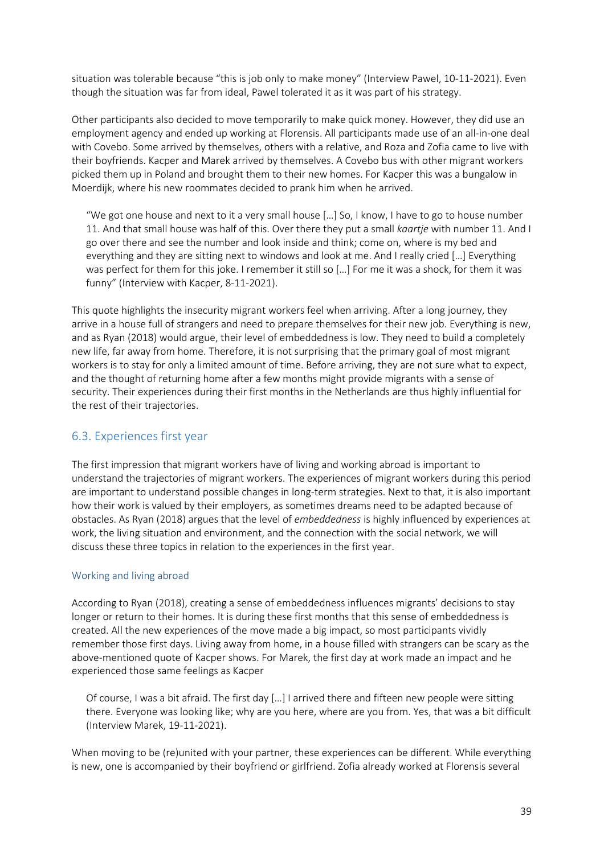situation was tolerable because "this is job only to make money" (Interview Pawel, 10-11-2021). Even though the situation was far from ideal, Pawel tolerated it as it was part of his strategy.

Other participants also decided to move temporarily to make quick money. However, they did use an employment agency and ended up working at Florensis. All participants made use of an all-in-one deal with Covebo. Some arrived by themselves, others with a relative, and Roza and Zofia came to live with their boyfriends. Kacper and Marek arrived by themselves. A Covebo bus with other migrant workers picked them up in Poland and brought them to their new homes. For Kacper this was a bungalow in Moerdijk, where his new roommates decided to prank him when he arrived.

"We got one house and next to it a very small house […] So, I know, I have to go to house number 11. And that small house was half of this. Over there they put a small *kaartje* with number 11. And I go over there and see the number and look inside and think; come on, where is my bed and everything and they are sitting next to windows and look at me. And I really cried […] Everything was perfect for them for this joke. I remember it still so […] For me it was a shock, for them it was funny" (Interview with Kacper, 8-11-2021).

This quote highlights the insecurity migrant workers feel when arriving. After a long journey, they arrive in a house full of strangers and need to prepare themselves for their new job. Everything is new, and as Ryan (2018) would argue, their level of embeddedness is low. They need to build a completely new life, far away from home. Therefore, it is not surprising that the primary goal of most migrant workers is to stay for only a limited amount of time. Before arriving, they are not sure what to expect, and the thought of returning home after a few months might provide migrants with a sense of security. Their experiences during their first months in the Netherlands are thus highly influential for the rest of their trajectories.

# 6.3. Experiences first year

The first impression that migrant workers have of living and working abroad is important to understand the trajectories of migrant workers. The experiences of migrant workers during this period are important to understand possible changes in long-term strategies. Next to that, it is also important how their work is valued by their employers, as sometimes dreams need to be adapted because of obstacles. As Ryan (2018) argues that the level of *embeddedness* is highly influenced by experiences at work, the living situation and environment, and the connection with the social network, we will discuss these three topics in relation to the experiences in the first year.

### Working and living abroad

According to Ryan (2018), creating a sense of embeddedness influences migrants' decisions to stay longer or return to their homes. It is during these first months that this sense of embeddedness is created. All the new experiences of the move made a big impact, so most participants vividly remember those first days. Living away from home, in a house filled with strangers can be scary as the above-mentioned quote of Kacper shows. For Marek, the first day at work made an impact and he experienced those same feelings as Kacper

Of course, I was a bit afraid. The first day […] I arrived there and fifteen new people were sitting there. Everyone was looking like; why are you here, where are you from. Yes, that was a bit difficult (Interview Marek, 19-11-2021).

When moving to be (re)united with your partner, these experiences can be different. While everything is new, one is accompanied by their boyfriend or girlfriend. Zofia already worked at Florensis several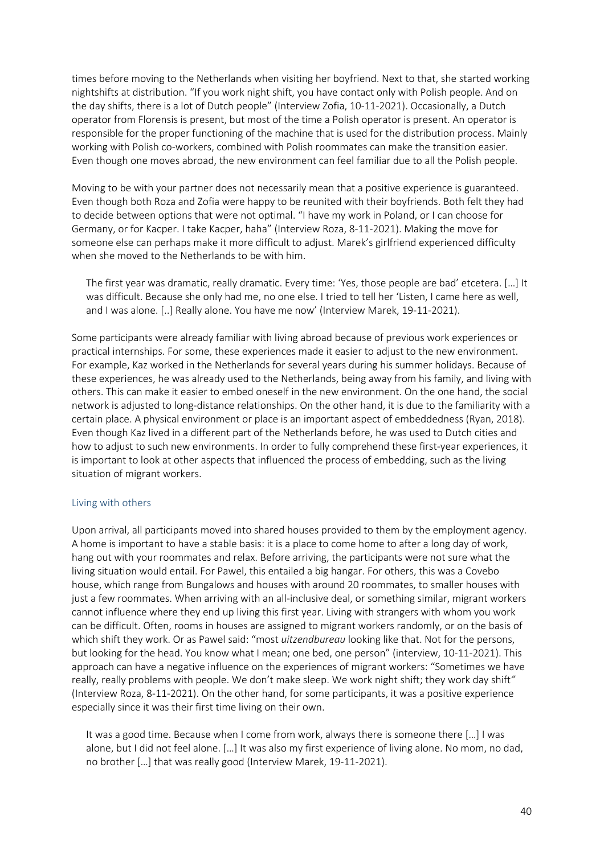times before moving to the Netherlands when visiting her boyfriend. Next to that, she started working nightshifts at distribution. "If you work night shift, you have contact only with Polish people. And on the day shifts, there is a lot of Dutch people" (Interview Zofia, 10-11-2021). Occasionally, a Dutch operator from Florensis is present, but most of the time a Polish operator is present. An operator is responsible for the proper functioning of the machine that is used for the distribution process. Mainly working with Polish co-workers, combined with Polish roommates can make the transition easier. Even though one moves abroad, the new environment can feel familiar due to all the Polish people.

Moving to be with your partner does not necessarily mean that a positive experience is guaranteed. Even though both Roza and Zofia were happy to be reunited with their boyfriends. Both felt they had to decide between options that were not optimal. "I have my work in Poland, or I can choose for Germany, or for Kacper. I take Kacper, haha" (Interview Roza, 8-11-2021). Making the move for someone else can perhaps make it more difficult to adjust. Marek's girlfriend experienced difficulty when she moved to the Netherlands to be with him.

The first year was dramatic, really dramatic. Every time: 'Yes, those people are bad' etcetera. […] It was difficult. Because she only had me, no one else. I tried to tell her 'Listen, I came here as well, and I was alone. [..] Really alone. You have me now' (Interview Marek, 19-11-2021).

Some participants were already familiar with living abroad because of previous work experiences or practical internships. For some, these experiences made it easier to adjust to the new environment. For example, Kaz worked in the Netherlands for several years during his summer holidays. Because of these experiences, he was already used to the Netherlands, being away from his family, and living with others. This can make it easier to embed oneself in the new environment. On the one hand, the social network is adjusted to long-distance relationships. On the other hand, it is due to the familiarity with a certain place. A physical environment or place is an important aspect of embeddedness (Ryan, 2018). Even though Kaz lived in a different part of the Netherlands before, he was used to Dutch cities and how to adjust to such new environments. In order to fully comprehend these first-year experiences, it is important to look at other aspects that influenced the process of embedding, such as the living situation of migrant workers.

### Living with others

Upon arrival, all participants moved into shared houses provided to them by the employment agency. A home is important to have a stable basis: it is a place to come home to after a long day of work, hang out with your roommates and relax. Before arriving, the participants were not sure what the living situation would entail. For Pawel, this entailed a big hangar. For others, this was a Covebo house, which range from Bungalows and houses with around 20 roommates, to smaller houses with just a few roommates. When arriving with an all-inclusive deal, or something similar, migrant workers cannot influence where they end up living this first year. Living with strangers with whom you work can be difficult. Often, rooms in houses are assigned to migrant workers randomly, or on the basis of which shift they work. Or as Pawel said: "most *uitzendbureau* looking like that. Not for the persons, but looking for the head. You know what I mean; one bed, one person" (interview, 10-11-2021). This approach can have a negative influence on the experiences of migrant workers: "Sometimes we have really, really problems with people. We don't make sleep. We work night shift; they work day shift*"* (Interview Roza, 8-11-2021). On the other hand, for some participants, it was a positive experience especially since it was their first time living on their own.

It was a good time. Because when I come from work, always there is someone there […] I was alone, but I did not feel alone. […] It was also my first experience of living alone. No mom, no dad, no brother […] that was really good (Interview Marek, 19-11-2021).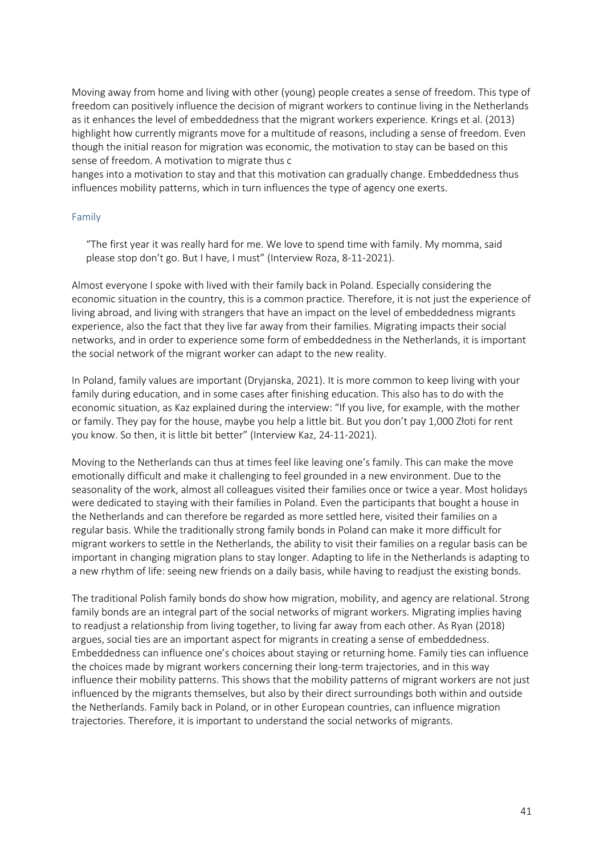Moving away from home and living with other (young) people creates a sense of freedom. This type of freedom can positively influence the decision of migrant workers to continue living in the Netherlands as it enhances the level of embeddedness that the migrant workers experience. Krings et al. (2013) highlight how currently migrants move for a multitude of reasons, including a sense of freedom. Even though the initial reason for migration was economic, the motivation to stay can be based on this sense of freedom. A motivation to migrate thus c

hanges into a motivation to stay and that this motivation can gradually change. Embeddedness thus influences mobility patterns, which in turn influences the type of agency one exerts.

#### Family

"The first year it was really hard for me. We love to spend time with family. My momma, said please stop don't go. But I have, I must" (Interview Roza, 8-11-2021).

Almost everyone I spoke with lived with their family back in Poland. Especially considering the economic situation in the country, this is a common practice. Therefore, it is not just the experience of living abroad, and living with strangers that have an impact on the level of embeddedness migrants experience, also the fact that they live far away from their families. Migrating impacts their social networks, and in order to experience some form of embeddedness in the Netherlands, it is important the social network of the migrant worker can adapt to the new reality.

In Poland, family values are important (Dryjanska, 2021). It is more common to keep living with your family during education, and in some cases after finishing education. This also has to do with the economic situation, as Kaz explained during the interview: "If you live, for example, with the mother or family. They pay for the house, maybe you help a little bit. But you don't pay 1,000 Złoti for rent you know. So then, it is little bit better" (Interview Kaz, 24-11-2021).

Moving to the Netherlands can thus at times feel like leaving one's family. This can make the move emotionally difficult and make it challenging to feel grounded in a new environment. Due to the seasonality of the work, almost all colleagues visited their families once or twice a year. Most holidays were dedicated to staying with their families in Poland. Even the participants that bought a house in the Netherlands and can therefore be regarded as more settled here, visited their families on a regular basis. While the traditionally strong family bonds in Poland can make it more difficult for migrant workers to settle in the Netherlands, the ability to visit their families on a regular basis can be important in changing migration plans to stay longer. Adapting to life in the Netherlands is adapting to a new rhythm of life: seeing new friends on a daily basis, while having to readjust the existing bonds.

The traditional Polish family bonds do show how migration, mobility, and agency are relational. Strong family bonds are an integral part of the social networks of migrant workers. Migrating implies having to readjust a relationship from living together, to living far away from each other. As Ryan (2018) argues, social ties are an important aspect for migrants in creating a sense of embeddedness. Embeddedness can influence one's choices about staying or returning home. Family ties can influence the choices made by migrant workers concerning their long-term trajectories, and in this way influence their mobility patterns. This shows that the mobility patterns of migrant workers are not just influenced by the migrants themselves, but also by their direct surroundings both within and outside the Netherlands. Family back in Poland, or in other European countries, can influence migration trajectories. Therefore, it is important to understand the social networks of migrants.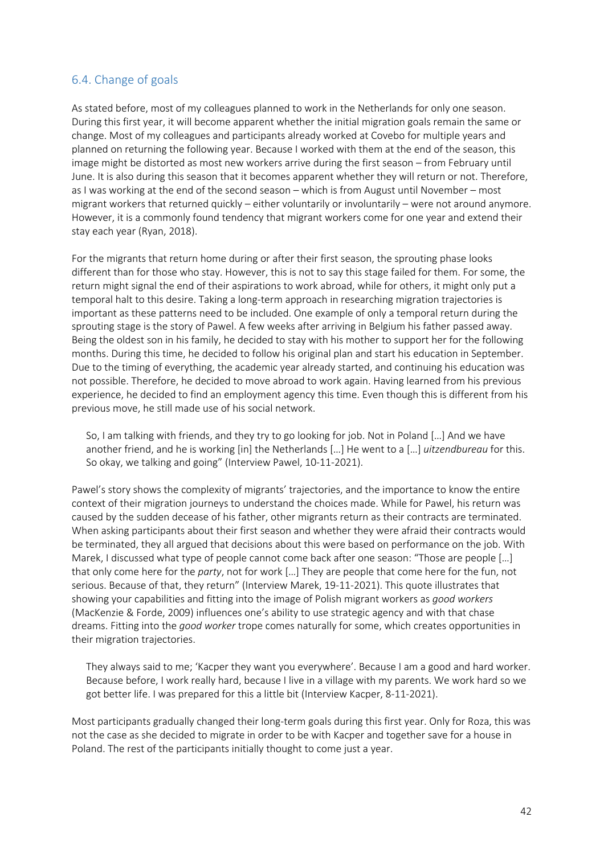## 6.4. Change of goals

As stated before, most of my colleagues planned to work in the Netherlands for only one season. During this first year, it will become apparent whether the initial migration goals remain the same or change. Most of my colleagues and participants already worked at Covebo for multiple years and planned on returning the following year. Because I worked with them at the end of the season, this image might be distorted as most new workers arrive during the first season – from February until June. It is also during this season that it becomes apparent whether they will return or not. Therefore, as I was working at the end of the second season – which is from August until November – most migrant workers that returned quickly – either voluntarily or involuntarily – were not around anymore. However, it is a commonly found tendency that migrant workers come for one year and extend their stay each year (Ryan, 2018).

For the migrants that return home during or after their first season, the sprouting phase looks different than for those who stay. However, this is not to say this stage failed for them. For some, the return might signal the end of their aspirations to work abroad, while for others, it might only put a temporal halt to this desire. Taking a long-term approach in researching migration trajectories is important as these patterns need to be included. One example of only a temporal return during the sprouting stage is the story of Pawel. A few weeks after arriving in Belgium his father passed away. Being the oldest son in his family, he decided to stay with his mother to support her for the following months. During this time, he decided to follow his original plan and start his education in September. Due to the timing of everything, the academic year already started, and continuing his education was not possible. Therefore, he decided to move abroad to work again. Having learned from his previous experience, he decided to find an employment agency this time. Even though this is different from his previous move, he still made use of his social network.

So, I am talking with friends, and they try to go looking for job. Not in Poland […] And we have another friend, and he is working [in] the Netherlands […] He went to a […] *uitzendbureau* for this. So okay, we talking and going" (Interview Pawel, 10-11-2021).

Pawel's story shows the complexity of migrants' trajectories, and the importance to know the entire context of their migration journeys to understand the choices made. While for Pawel, his return was caused by the sudden decease of his father, other migrants return as their contracts are terminated. When asking participants about their first season and whether they were afraid their contracts would be terminated, they all argued that decisions about this were based on performance on the job. With Marek, I discussed what type of people cannot come back after one season: "Those are people […] that only come here for the *party*, not for work […] They are people that come here for the fun, not serious. Because of that, they return" (Interview Marek, 19-11-2021). This quote illustrates that showing your capabilities and fitting into the image of Polish migrant workers as *good workers* (MacKenzie & Forde, 2009) influences one's ability to use strategic agency and with that chase dreams. Fitting into the *good worker* trope comes naturally for some, which creates opportunities in their migration trajectories.

They always said to me; 'Kacper they want you everywhere'. Because I am a good and hard worker. Because before, I work really hard, because I live in a village with my parents. We work hard so we got better life. I was prepared for this a little bit (Interview Kacper, 8-11-2021).

Most participants gradually changed their long-term goals during this first year. Only for Roza, this was not the case as she decided to migrate in order to be with Kacper and together save for a house in Poland. The rest of the participants initially thought to come just a year.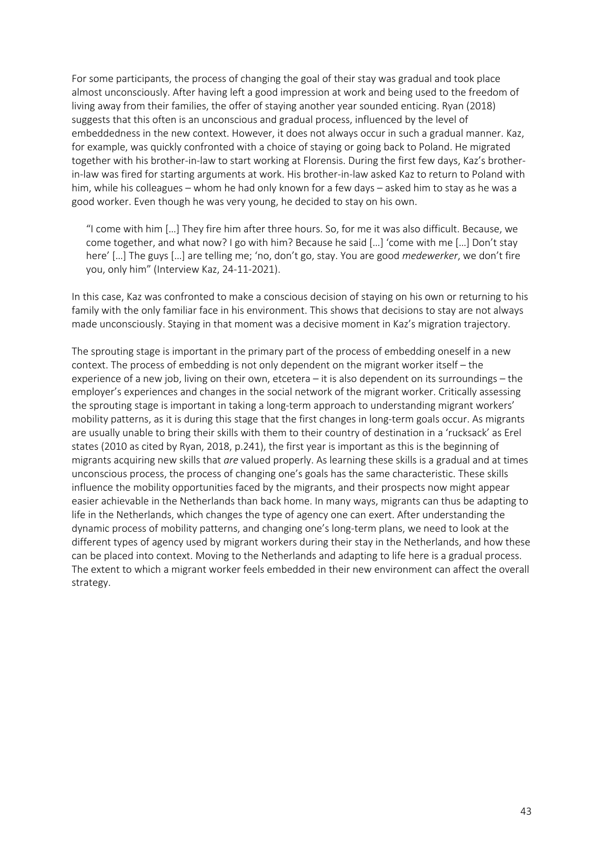For some participants, the process of changing the goal of their stay was gradual and took place almost unconsciously. After having left a good impression at work and being used to the freedom of living away from their families, the offer of staying another year sounded enticing. Ryan (2018) suggests that this often is an unconscious and gradual process, influenced by the level of embeddedness in the new context. However, it does not always occur in such a gradual manner. Kaz, for example, was quickly confronted with a choice of staying or going back to Poland. He migrated together with his brother-in-law to start working at Florensis. During the first few days, Kaz's brotherin-law was fired for starting arguments at work. His brother-in-law asked Kaz to return to Poland with him, while his colleagues – whom he had only known for a few days – asked him to stay as he was a good worker. Even though he was very young, he decided to stay on his own.

"I come with him […] They fire him after three hours. So, for me it was also difficult. Because, we come together, and what now? I go with him? Because he said […] 'come with me […] Don't stay here' […] The guys […] are telling me; 'no, don't go, stay. You are good *medewerker*, we don't fire you, only him" (Interview Kaz, 24-11-2021).

In this case, Kaz was confronted to make a conscious decision of staying on his own or returning to his family with the only familiar face in his environment. This shows that decisions to stay are not always made unconsciously. Staying in that moment was a decisive moment in Kaz's migration trajectory.

The sprouting stage is important in the primary part of the process of embedding oneself in a new context. The process of embedding is not only dependent on the migrant worker itself – the experience of a new job, living on their own, etcetera – it is also dependent on its surroundings – the employer's experiences and changes in the social network of the migrant worker. Critically assessing the sprouting stage is important in taking a long-term approach to understanding migrant workers' mobility patterns, as it is during this stage that the first changes in long-term goals occur. As migrants are usually unable to bring their skills with them to their country of destination in a 'rucksack' as Erel states (2010 as cited by Ryan, 2018, p.241), the first year is important as this is the beginning of migrants acquiring new skills that *are* valued properly. As learning these skills is a gradual and at times unconscious process, the process of changing one's goals has the same characteristic. These skills influence the mobility opportunities faced by the migrants, and their prospects now might appear easier achievable in the Netherlands than back home. In many ways, migrants can thus be adapting to life in the Netherlands, which changes the type of agency one can exert. After understanding the dynamic process of mobility patterns, and changing one's long-term plans, we need to look at the different types of agency used by migrant workers during their stay in the Netherlands, and how these can be placed into context. Moving to the Netherlands and adapting to life here is a gradual process. The extent to which a migrant worker feels embedded in their new environment can affect the overall strategy.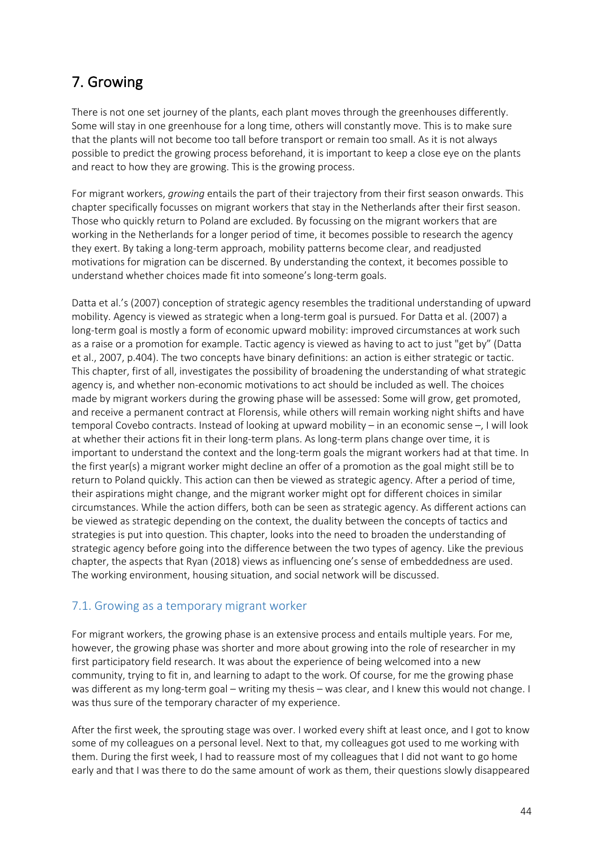# 7. Growing

There is not one set journey of the plants, each plant moves through the greenhouses differently. Some will stay in one greenhouse for a long time, others will constantly move. This is to make sure that the plants will not become too tall before transport or remain too small. As it is not always possible to predict the growing process beforehand, it is important to keep a close eye on the plants and react to how they are growing. This is the growing process.

For migrant workers, *growing* entails the part of their trajectory from their first season onwards. This chapter specifically focusses on migrant workers that stay in the Netherlands after their first season. Those who quickly return to Poland are excluded. By focussing on the migrant workers that are working in the Netherlands for a longer period of time, it becomes possible to research the agency they exert. By taking a long-term approach, mobility patterns become clear, and readjusted motivations for migration can be discerned. By understanding the context, it becomes possible to understand whether choices made fit into someone's long-term goals.

Datta et al.'s (2007) conception of strategic agency resembles the traditional understanding of upward mobility. Agency is viewed as strategic when a long-term goal is pursued. For Datta et al. (2007) a long-term goal is mostly a form of economic upward mobility: improved circumstances at work such as a raise or a promotion for example. Tactic agency is viewed as having to act to just "get by" (Datta et al., 2007, p.404). The two concepts have binary definitions: an action is either strategic or tactic. This chapter, first of all, investigates the possibility of broadening the understanding of what strategic agency is, and whether non-economic motivations to act should be included as well. The choices made by migrant workers during the growing phase will be assessed: Some will grow, get promoted, and receive a permanent contract at Florensis, while others will remain working night shifts and have temporal Covebo contracts. Instead of looking at upward mobility – in an economic sense –, I will look at whether their actions fit in their long-term plans. As long-term plans change over time, it is important to understand the context and the long-term goals the migrant workers had at that time. In the first year(s) a migrant worker might decline an offer of a promotion as the goal might still be to return to Poland quickly. This action can then be viewed as strategic agency. After a period of time, their aspirations might change, and the migrant worker might opt for different choices in similar circumstances. While the action differs, both can be seen as strategic agency. As different actions can be viewed as strategic depending on the context, the duality between the concepts of tactics and strategies is put into question. This chapter, looks into the need to broaden the understanding of strategic agency before going into the difference between the two types of agency. Like the previous chapter, the aspects that Ryan (2018) views as influencing one's sense of embeddedness are used. The working environment, housing situation, and social network will be discussed.

## 7.1. Growing as a temporary migrant worker

For migrant workers, the growing phase is an extensive process and entails multiple years. For me, however, the growing phase was shorter and more about growing into the role of researcher in my first participatory field research. It was about the experience of being welcomed into a new community, trying to fit in, and learning to adapt to the work. Of course, for me the growing phase was different as my long-term goal – writing my thesis – was clear, and I knew this would not change. I was thus sure of the temporary character of my experience.

After the first week, the sprouting stage was over. I worked every shift at least once, and I got to know some of my colleagues on a personal level. Next to that, my colleagues got used to me working with them. During the first week, I had to reassure most of my colleagues that I did not want to go home early and that I was there to do the same amount of work as them, their questions slowly disappeared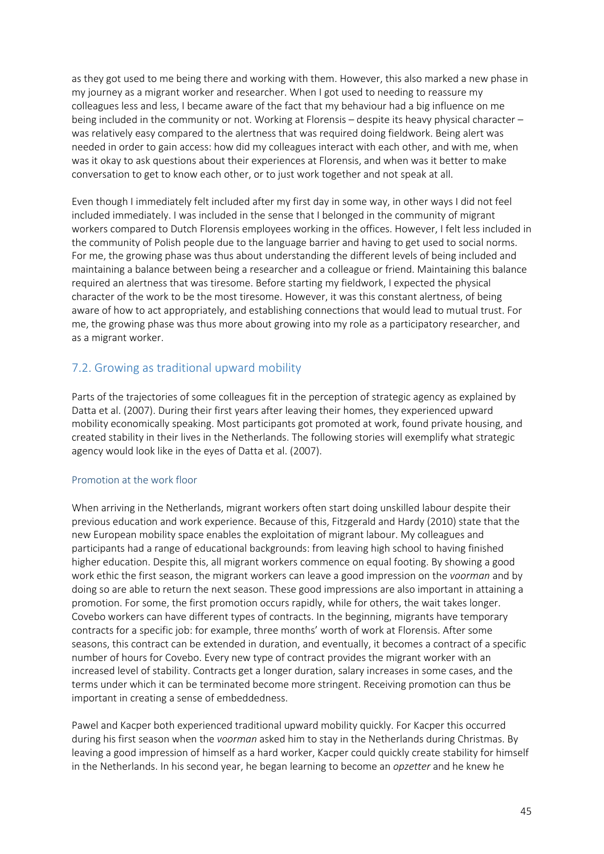as they got used to me being there and working with them. However, this also marked a new phase in my journey as a migrant worker and researcher. When I got used to needing to reassure my colleagues less and less, I became aware of the fact that my behaviour had a big influence on me being included in the community or not. Working at Florensis – despite its heavy physical character – was relatively easy compared to the alertness that was required doing fieldwork. Being alert was needed in order to gain access: how did my colleagues interact with each other, and with me, when was it okay to ask questions about their experiences at Florensis, and when was it better to make conversation to get to know each other, or to just work together and not speak at all.

Even though I immediately felt included after my first day in some way, in other ways I did not feel included immediately. I was included in the sense that I belonged in the community of migrant workers compared to Dutch Florensis employees working in the offices. However, I felt less included in the community of Polish people due to the language barrier and having to get used to social norms. For me, the growing phase was thus about understanding the different levels of being included and maintaining a balance between being a researcher and a colleague or friend. Maintaining this balance required an alertness that was tiresome. Before starting my fieldwork, I expected the physical character of the work to be the most tiresome. However, it was this constant alertness, of being aware of how to act appropriately, and establishing connections that would lead to mutual trust. For me, the growing phase was thus more about growing into my role as a participatory researcher, and as a migrant worker.

# 7.2. Growing as traditional upward mobility

Parts of the trajectories of some colleagues fit in the perception of strategic agency as explained by Datta et al. (2007). During their first years after leaving their homes, they experienced upward mobility economically speaking. Most participants got promoted at work, found private housing, and created stability in their lives in the Netherlands. The following stories will exemplify what strategic agency would look like in the eyes of Datta et al. (2007).

### Promotion at the work floor

When arriving in the Netherlands, migrant workers often start doing unskilled labour despite their previous education and work experience. Because of this, Fitzgerald and Hardy (2010) state that the new European mobility space enables the exploitation of migrant labour. My colleagues and participants had a range of educational backgrounds: from leaving high school to having finished higher education. Despite this, all migrant workers commence on equal footing. By showing a good work ethic the first season, the migrant workers can leave a good impression on the *voorman* and by doing so are able to return the next season. These good impressions are also important in attaining a promotion. For some, the first promotion occurs rapidly, while for others, the wait takes longer. Covebo workers can have different types of contracts. In the beginning, migrants have temporary contracts for a specific job: for example, three months' worth of work at Florensis. After some seasons, this contract can be extended in duration, and eventually, it becomes a contract of a specific number of hours for Covebo. Every new type of contract provides the migrant worker with an increased level of stability. Contracts get a longer duration, salary increases in some cases, and the terms under which it can be terminated become more stringent. Receiving promotion can thus be important in creating a sense of embeddedness.

Pawel and Kacper both experienced traditional upward mobility quickly. For Kacper this occurred during his first season when the *voorman* asked him to stay in the Netherlands during Christmas. By leaving a good impression of himself as a hard worker, Kacper could quickly create stability for himself in the Netherlands. In his second year, he began learning to become an *opzetter* and he knew he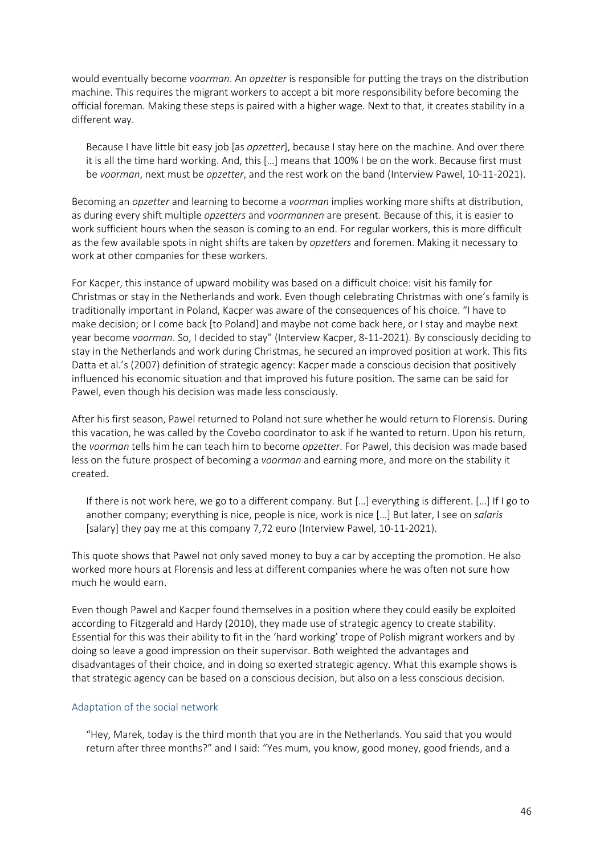would eventually become *voorman*. An *opzetter* is responsible for putting the trays on the distribution machine. This requires the migrant workers to accept a bit more responsibility before becoming the official foreman. Making these steps is paired with a higher wage. Next to that, it creates stability in a different way.

Because I have little bit easy job [as *opzetter*], because I stay here on the machine. And over there it is all the time hard working. And, this […] means that 100% I be on the work. Because first must be *voorman*, next must be *opzetter*, and the rest work on the band (Interview Pawel, 10-11-2021).

Becoming an *opzetter* and learning to become a *voorman* implies working more shifts at distribution, as during every shift multiple *opzetters* and *voormannen* are present. Because of this, it is easier to work sufficient hours when the season is coming to an end. For regular workers, this is more difficult as the few available spots in night shifts are taken by *opzetters* and foremen. Making it necessary to work at other companies for these workers.

For Kacper, this instance of upward mobility was based on a difficult choice: visit his family for Christmas or stay in the Netherlands and work. Even though celebrating Christmas with one's family is traditionally important in Poland, Kacper was aware of the consequences of his choice. "I have to make decision; or I come back [to Poland] and maybe not come back here, or I stay and maybe next year become *voorman*. So, I decided to stay" (Interview Kacper, 8-11-2021). By consciously deciding to stay in the Netherlands and work during Christmas, he secured an improved position at work. This fits Datta et al.'s (2007) definition of strategic agency: Kacper made a conscious decision that positively influenced his economic situation and that improved his future position. The same can be said for Pawel, even though his decision was made less consciously.

After his first season, Pawel returned to Poland not sure whether he would return to Florensis. During this vacation, he was called by the Covebo coordinator to ask if he wanted to return. Upon his return, the *voorman* tells him he can teach him to become *opzetter*. For Pawel, this decision was made based less on the future prospect of becoming a *voorman* and earning more, and more on the stability it created.

If there is not work here, we go to a different company. But […] everything is different. […] If I go to another company; everything is nice, people is nice, work is nice […] But later, I see on *salaris* [salary] they pay me at this company 7,72 euro (Interview Pawel, 10-11-2021).

This quote shows that Pawel not only saved money to buy a car by accepting the promotion. He also worked more hours at Florensis and less at different companies where he was often not sure how much he would earn.

Even though Pawel and Kacper found themselves in a position where they could easily be exploited according to Fitzgerald and Hardy (2010), they made use of strategic agency to create stability. Essential for this was their ability to fit in the 'hard working' trope of Polish migrant workers and by doing so leave a good impression on their supervisor. Both weighted the advantages and disadvantages of their choice, and in doing so exerted strategic agency. What this example shows is that strategic agency can be based on a conscious decision, but also on a less conscious decision.

### Adaptation of the social network

"Hey, Marek, today is the third month that you are in the Netherlands. You said that you would return after three months?" and I said: "Yes mum, you know, good money, good friends, and a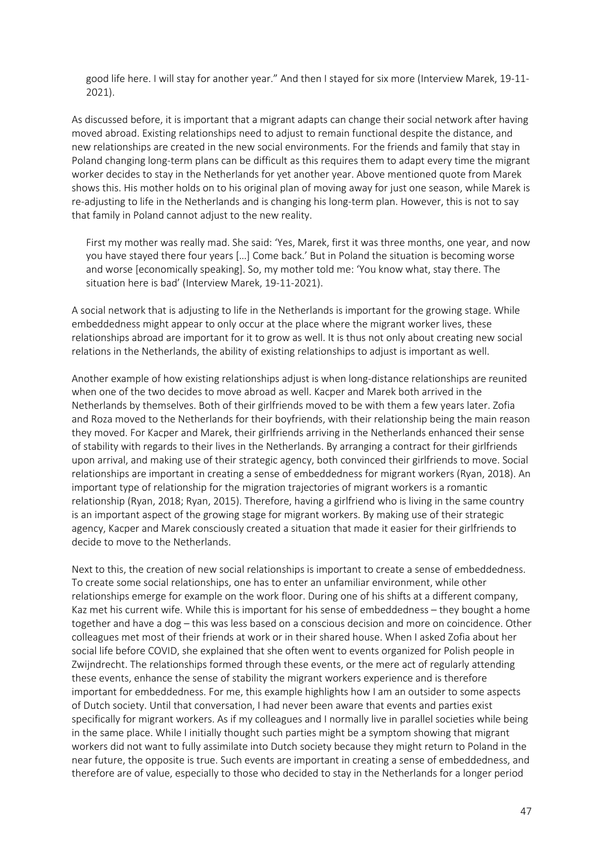good life here. I will stay for another year." And then I stayed for six more (Interview Marek, 19-11- 2021).

As discussed before, it is important that a migrant adapts can change their social network after having moved abroad. Existing relationships need to adjust to remain functional despite the distance, and new relationships are created in the new social environments. For the friends and family that stay in Poland changing long-term plans can be difficult as this requires them to adapt every time the migrant worker decides to stay in the Netherlands for yet another year. Above mentioned quote from Marek shows this. His mother holds on to his original plan of moving away for just one season, while Marek is re-adjusting to life in the Netherlands and is changing his long-term plan. However, this is not to say that family in Poland cannot adjust to the new reality.

First my mother was really mad. She said: 'Yes, Marek, first it was three months, one year, and now you have stayed there four years […] Come back.' But in Poland the situation is becoming worse and worse [economically speaking]. So, my mother told me: 'You know what, stay there. The situation here is bad' (Interview Marek, 19-11-2021).

A social network that is adjusting to life in the Netherlands is important for the growing stage. While embeddedness might appear to only occur at the place where the migrant worker lives, these relationships abroad are important for it to grow as well. It is thus not only about creating new social relations in the Netherlands, the ability of existing relationships to adjust is important as well.

Another example of how existing relationships adjust is when long-distance relationships are reunited when one of the two decides to move abroad as well. Kacper and Marek both arrived in the Netherlands by themselves. Both of their girlfriends moved to be with them a few years later. Zofia and Roza moved to the Netherlands for their boyfriends, with their relationship being the main reason they moved. For Kacper and Marek, their girlfriends arriving in the Netherlands enhanced their sense of stability with regards to their lives in the Netherlands. By arranging a contract for their girlfriends upon arrival, and making use of their strategic agency, both convinced their girlfriends to move. Social relationships are important in creating a sense of embeddedness for migrant workers (Ryan, 2018). An important type of relationship for the migration trajectories of migrant workers is a romantic relationship (Ryan, 2018; Ryan, 2015). Therefore, having a girlfriend who is living in the same country is an important aspect of the growing stage for migrant workers. By making use of their strategic agency, Kacper and Marek consciously created a situation that made it easier for their girlfriends to decide to move to the Netherlands.

Next to this, the creation of new social relationships is important to create a sense of embeddedness. To create some social relationships, one has to enter an unfamiliar environment, while other relationships emerge for example on the work floor. During one of his shifts at a different company, Kaz met his current wife. While this is important for his sense of embeddedness – they bought a home together and have a dog – this was less based on a conscious decision and more on coincidence. Other colleagues met most of their friends at work or in their shared house. When I asked Zofia about her social life before COVID, she explained that she often went to events organized for Polish people in Zwijndrecht. The relationships formed through these events, or the mere act of regularly attending these events, enhance the sense of stability the migrant workers experience and is therefore important for embeddedness. For me, this example highlights how I am an outsider to some aspects of Dutch society. Until that conversation, I had never been aware that events and parties exist specifically for migrant workers. As if my colleagues and I normally live in parallel societies while being in the same place. While I initially thought such parties might be a symptom showing that migrant workers did not want to fully assimilate into Dutch society because they might return to Poland in the near future, the opposite is true. Such events are important in creating a sense of embeddedness, and therefore are of value, especially to those who decided to stay in the Netherlands for a longer period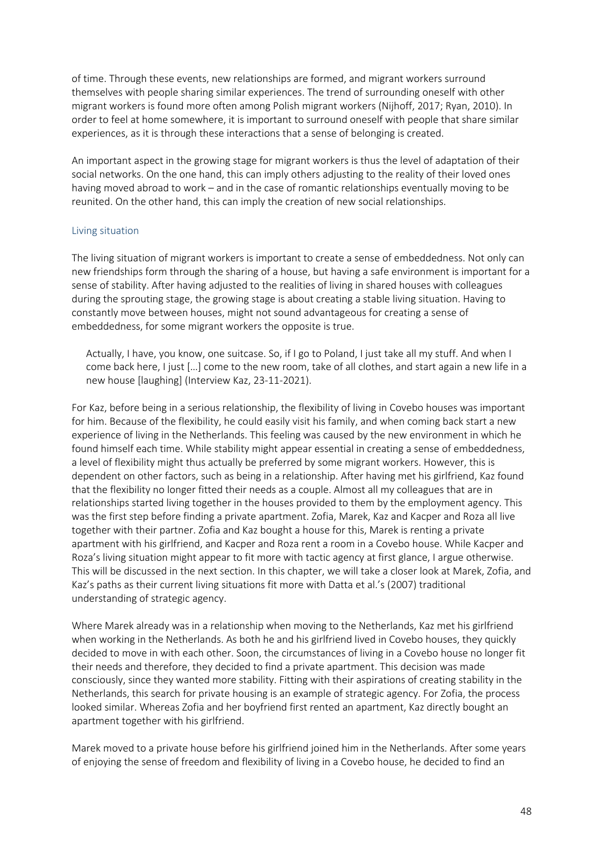of time. Through these events, new relationships are formed, and migrant workers surround themselves with people sharing similar experiences. The trend of surrounding oneself with other migrant workers is found more often among Polish migrant workers (Nijhoff, 2017; Ryan, 2010). In order to feel at home somewhere, it is important to surround oneself with people that share similar experiences, as it is through these interactions that a sense of belonging is created.

An important aspect in the growing stage for migrant workers is thus the level of adaptation of their social networks. On the one hand, this can imply others adjusting to the reality of their loved ones having moved abroad to work – and in the case of romantic relationships eventually moving to be reunited. On the other hand, this can imply the creation of new social relationships.

### Living situation

The living situation of migrant workers is important to create a sense of embeddedness. Not only can new friendships form through the sharing of a house, but having a safe environment is important for a sense of stability. After having adjusted to the realities of living in shared houses with colleagues during the sprouting stage, the growing stage is about creating a stable living situation. Having to constantly move between houses, might not sound advantageous for creating a sense of embeddedness, for some migrant workers the opposite is true.

Actually, I have, you know, one suitcase. So, if I go to Poland, I just take all my stuff. And when I come back here, I just […] come to the new room, take of all clothes, and start again a new life in a new house [laughing] (Interview Kaz, 23-11-2021).

For Kaz, before being in a serious relationship, the flexibility of living in Covebo houses was important for him. Because of the flexibility, he could easily visit his family, and when coming back start a new experience of living in the Netherlands. This feeling was caused by the new environment in which he found himself each time. While stability might appear essential in creating a sense of embeddedness, a level of flexibility might thus actually be preferred by some migrant workers. However, this is dependent on other factors, such as being in a relationship. After having met his girlfriend, Kaz found that the flexibility no longer fitted their needs as a couple. Almost all my colleagues that are in relationships started living together in the houses provided to them by the employment agency. This was the first step before finding a private apartment. Zofia, Marek, Kaz and Kacper and Roza all live together with their partner. Zofia and Kaz bought a house for this, Marek is renting a private apartment with his girlfriend, and Kacper and Roza rent a room in a Covebo house. While Kacper and Roza's living situation might appear to fit more with tactic agency at first glance, I argue otherwise. This will be discussed in the next section. In this chapter, we will take a closer look at Marek, Zofia, and Kaz's paths as their current living situations fit more with Datta et al.'s (2007) traditional understanding of strategic agency.

Where Marek already was in a relationship when moving to the Netherlands, Kaz met his girlfriend when working in the Netherlands. As both he and his girlfriend lived in Covebo houses, they quickly decided to move in with each other. Soon, the circumstances of living in a Covebo house no longer fit their needs and therefore, they decided to find a private apartment. This decision was made consciously, since they wanted more stability. Fitting with their aspirations of creating stability in the Netherlands, this search for private housing is an example of strategic agency. For Zofia, the process looked similar. Whereas Zofia and her boyfriend first rented an apartment, Kaz directly bought an apartment together with his girlfriend.

Marek moved to a private house before his girlfriend joined him in the Netherlands. After some years of enjoying the sense of freedom and flexibility of living in a Covebo house, he decided to find an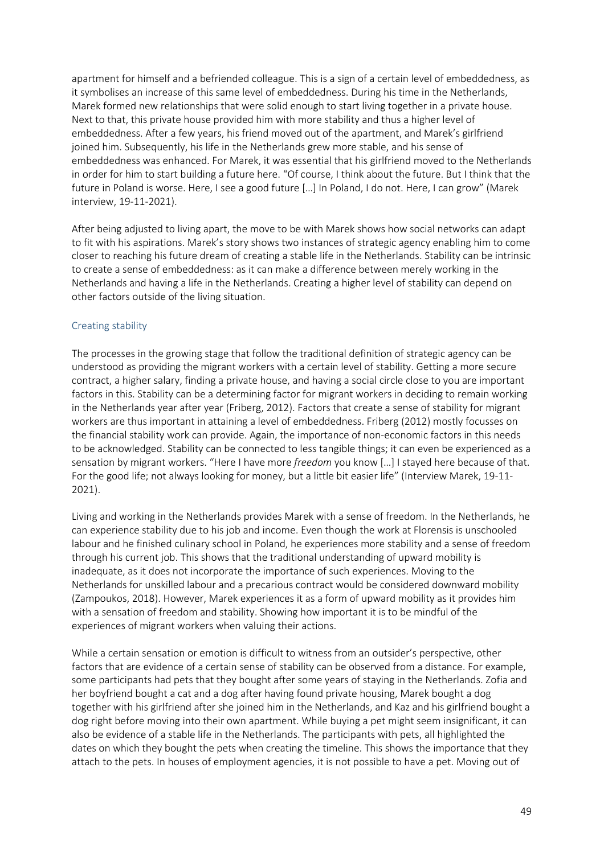apartment for himself and a befriended colleague. This is a sign of a certain level of embeddedness, as it symbolises an increase of this same level of embeddedness. During his time in the Netherlands, Marek formed new relationships that were solid enough to start living together in a private house. Next to that, this private house provided him with more stability and thus a higher level of embeddedness. After a few years, his friend moved out of the apartment, and Marek's girlfriend joined him. Subsequently, his life in the Netherlands grew more stable, and his sense of embeddedness was enhanced. For Marek, it was essential that his girlfriend moved to the Netherlands in order for him to start building a future here. "Of course, I think about the future. But I think that the future in Poland is worse. Here, I see a good future […] In Poland, I do not. Here, I can grow" (Marek interview, 19-11-2021).

After being adjusted to living apart, the move to be with Marek shows how social networks can adapt to fit with his aspirations. Marek's story shows two instances of strategic agency enabling him to come closer to reaching his future dream of creating a stable life in the Netherlands. Stability can be intrinsic to create a sense of embeddedness: as it can make a difference between merely working in the Netherlands and having a life in the Netherlands. Creating a higher level of stability can depend on other factors outside of the living situation.

### Creating stability

The processes in the growing stage that follow the traditional definition of strategic agency can be understood as providing the migrant workers with a certain level of stability. Getting a more secure contract, a higher salary, finding a private house, and having a social circle close to you are important factors in this. Stability can be a determining factor for migrant workers in deciding to remain working in the Netherlands year after year (Friberg, 2012). Factors that create a sense of stability for migrant workers are thus important in attaining a level of embeddedness. Friberg (2012) mostly focusses on the financial stability work can provide. Again, the importance of non-economic factors in this needs to be acknowledged. Stability can be connected to less tangible things; it can even be experienced as a sensation by migrant workers. "Here I have more *freedom* you know […] I stayed here because of that. For the good life; not always looking for money, but a little bit easier life" (Interview Marek, 19-11- 2021).

Living and working in the Netherlands provides Marek with a sense of freedom. In the Netherlands, he can experience stability due to his job and income. Even though the work at Florensis is unschooled labour and he finished culinary school in Poland, he experiences more stability and a sense of freedom through his current job. This shows that the traditional understanding of upward mobility is inadequate, as it does not incorporate the importance of such experiences. Moving to the Netherlands for unskilled labour and a precarious contract would be considered downward mobility (Zampoukos, 2018). However, Marek experiences it as a form of upward mobility as it provides him with a sensation of freedom and stability. Showing how important it is to be mindful of the experiences of migrant workers when valuing their actions.

While a certain sensation or emotion is difficult to witness from an outsider's perspective, other factors that are evidence of a certain sense of stability can be observed from a distance. For example, some participants had pets that they bought after some years of staying in the Netherlands. Zofia and her boyfriend bought a cat and a dog after having found private housing, Marek bought a dog together with his girlfriend after she joined him in the Netherlands, and Kaz and his girlfriend bought a dog right before moving into their own apartment. While buying a pet might seem insignificant, it can also be evidence of a stable life in the Netherlands. The participants with pets, all highlighted the dates on which they bought the pets when creating the timeline. This shows the importance that they attach to the pets. In houses of employment agencies, it is not possible to have a pet. Moving out of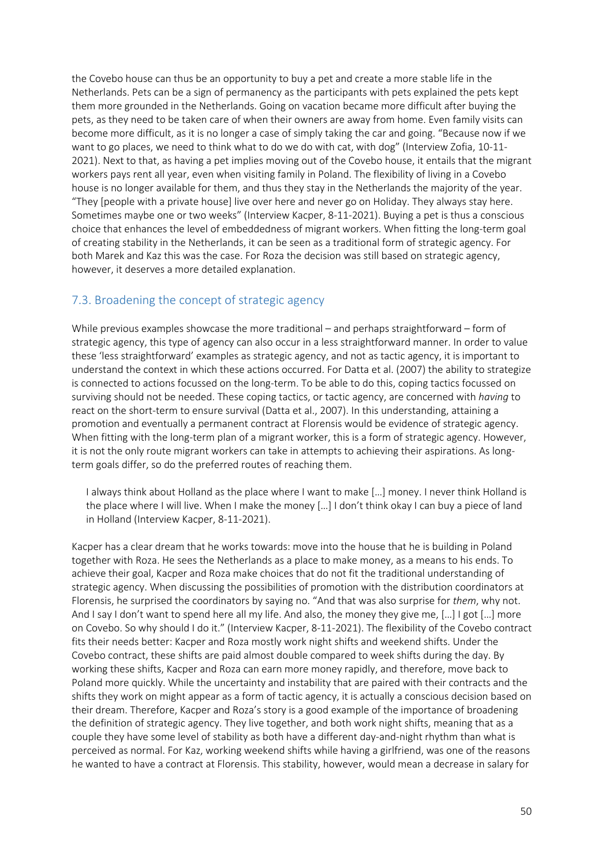the Covebo house can thus be an opportunity to buy a pet and create a more stable life in the Netherlands. Pets can be a sign of permanency as the participants with pets explained the pets kept them more grounded in the Netherlands. Going on vacation became more difficult after buying the pets, as they need to be taken care of when their owners are away from home. Even family visits can become more difficult, as it is no longer a case of simply taking the car and going. "Because now if we want to go places, we need to think what to do we do with cat, with dog" (Interview Zofia, 10-11- 2021). Next to that, as having a pet implies moving out of the Covebo house, it entails that the migrant workers pays rent all year, even when visiting family in Poland. The flexibility of living in a Covebo house is no longer available for them, and thus they stay in the Netherlands the majority of the year. "They [people with a private house] live over here and never go on Holiday. They always stay here. Sometimes maybe one or two weeks" (Interview Kacper, 8-11-2021). Buying a pet is thus a conscious choice that enhances the level of embeddedness of migrant workers. When fitting the long-term goal of creating stability in the Netherlands, it can be seen as a traditional form of strategic agency. For both Marek and Kaz this was the case. For Roza the decision was still based on strategic agency, however, it deserves a more detailed explanation.

## 7.3. Broadening the concept of strategic agency

While previous examples showcase the more traditional – and perhaps straightforward – form of strategic agency, this type of agency can also occur in a less straightforward manner. In order to value these 'less straightforward' examples as strategic agency, and not as tactic agency, it is important to understand the context in which these actions occurred. For Datta et al. (2007) the ability to strategize is connected to actions focussed on the long-term. To be able to do this, coping tactics focussed on surviving should not be needed. These coping tactics, or tactic agency, are concerned with *having* to react on the short-term to ensure survival (Datta et al., 2007). In this understanding, attaining a promotion and eventually a permanent contract at Florensis would be evidence of strategic agency. When fitting with the long-term plan of a migrant worker, this is a form of strategic agency. However, it is not the only route migrant workers can take in attempts to achieving their aspirations. As longterm goals differ, so do the preferred routes of reaching them.

I always think about Holland as the place where I want to make […] money. I never think Holland is the place where I will live. When I make the money […] I don't think okay I can buy a piece of land in Holland (Interview Kacper, 8-11-2021).

Kacper has a clear dream that he works towards: move into the house that he is building in Poland together with Roza. He sees the Netherlands as a place to make money, as a means to his ends. To achieve their goal, Kacper and Roza make choices that do not fit the traditional understanding of strategic agency. When discussing the possibilities of promotion with the distribution coordinators at Florensis, he surprised the coordinators by saying no. "And that was also surprise for *them*, why not. And I say I don't want to spend here all my life. And also, the money they give me, […] I got […] more on Covebo. So why should I do it." (Interview Kacper, 8-11-2021). The flexibility of the Covebo contract fits their needs better: Kacper and Roza mostly work night shifts and weekend shifts. Under the Covebo contract, these shifts are paid almost double compared to week shifts during the day. By working these shifts, Kacper and Roza can earn more money rapidly, and therefore, move back to Poland more quickly. While the uncertainty and instability that are paired with their contracts and the shifts they work on might appear as a form of tactic agency, it is actually a conscious decision based on their dream. Therefore, Kacper and Roza's story is a good example of the importance of broadening the definition of strategic agency. They live together, and both work night shifts, meaning that as a couple they have some level of stability as both have a different day-and-night rhythm than what is perceived as normal. For Kaz, working weekend shifts while having a girlfriend, was one of the reasons he wanted to have a contract at Florensis. This stability, however, would mean a decrease in salary for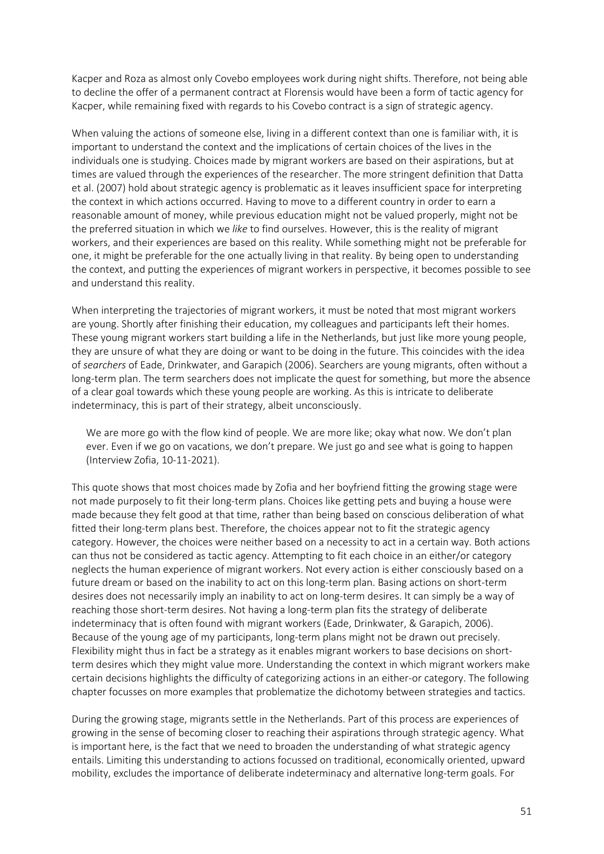Kacper and Roza as almost only Covebo employees work during night shifts. Therefore, not being able to decline the offer of a permanent contract at Florensis would have been a form of tactic agency for Kacper, while remaining fixed with regards to his Covebo contract is a sign of strategic agency.

When valuing the actions of someone else, living in a different context than one is familiar with, it is important to understand the context and the implications of certain choices of the lives in the individuals one is studying. Choices made by migrant workers are based on their aspirations, but at times are valued through the experiences of the researcher. The more stringent definition that Datta et al. (2007) hold about strategic agency is problematic as it leaves insufficient space for interpreting the context in which actions occurred. Having to move to a different country in order to earn a reasonable amount of money, while previous education might not be valued properly, might not be the preferred situation in which we *like* to find ourselves. However, this is the reality of migrant workers, and their experiences are based on this reality. While something might not be preferable for one, it might be preferable for the one actually living in that reality. By being open to understanding the context, and putting the experiences of migrant workers in perspective, it becomes possible to see and understand this reality.

When interpreting the trajectories of migrant workers, it must be noted that most migrant workers are young. Shortly after finishing their education, my colleagues and participants left their homes. These young migrant workers start building a life in the Netherlands, but just like more young people, they are unsure of what they are doing or want to be doing in the future. This coincides with the idea of *searchers* of Eade, Drinkwater, and Garapich (2006). Searchers are young migrants, often without a long-term plan. The term searchers does not implicate the quest for something, but more the absence of a clear goal towards which these young people are working. As this is intricate to deliberate indeterminacy, this is part of their strategy, albeit unconsciously.

We are more go with the flow kind of people. We are more like; okay what now. We don't plan ever. Even if we go on vacations, we don't prepare. We just go and see what is going to happen (Interview Zofia, 10-11-2021).

This quote shows that most choices made by Zofia and her boyfriend fitting the growing stage were not made purposely to fit their long-term plans. Choices like getting pets and buying a house were made because they felt good at that time, rather than being based on conscious deliberation of what fitted their long-term plans best. Therefore, the choices appear not to fit the strategic agency category. However, the choices were neither based on a necessity to act in a certain way. Both actions can thus not be considered as tactic agency. Attempting to fit each choice in an either/or category neglects the human experience of migrant workers. Not every action is either consciously based on a future dream or based on the inability to act on this long-term plan. Basing actions on short-term desires does not necessarily imply an inability to act on long-term desires. It can simply be a way of reaching those short-term desires. Not having a long-term plan fits the strategy of deliberate indeterminacy that is often found with migrant workers (Eade, Drinkwater, & Garapich, 2006). Because of the young age of my participants, long-term plans might not be drawn out precisely. Flexibility might thus in fact be a strategy as it enables migrant workers to base decisions on shortterm desires which they might value more. Understanding the context in which migrant workers make certain decisions highlights the difficulty of categorizing actions in an either-or category. The following chapter focusses on more examples that problematize the dichotomy between strategies and tactics.

During the growing stage, migrants settle in the Netherlands. Part of this process are experiences of growing in the sense of becoming closer to reaching their aspirations through strategic agency. What is important here, is the fact that we need to broaden the understanding of what strategic agency entails. Limiting this understanding to actions focussed on traditional, economically oriented, upward mobility, excludes the importance of deliberate indeterminacy and alternative long-term goals. For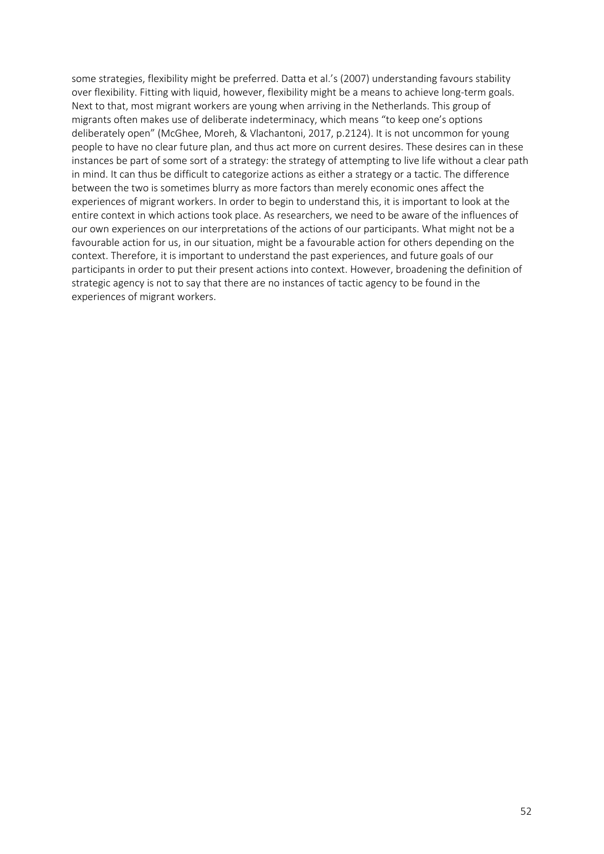some strategies, flexibility might be preferred. Datta et al.'s (2007) understanding favours stability over flexibility. Fitting with liquid, however, flexibility might be a means to achieve long-term goals. Next to that, most migrant workers are young when arriving in the Netherlands. This group of migrants often makes use of deliberate indeterminacy, which means "to keep one's options deliberately open" (McGhee, Moreh, & Vlachantoni, 2017, p.2124). It is not uncommon for young people to have no clear future plan, and thus act more on current desires. These desires can in these instances be part of some sort of a strategy: the strategy of attempting to live life without a clear path in mind. It can thus be difficult to categorize actions as either a strategy or a tactic. The difference between the two is sometimes blurry as more factors than merely economic ones affect the experiences of migrant workers. In order to begin to understand this, it is important to look at the entire context in which actions took place. As researchers, we need to be aware of the influences of our own experiences on our interpretations of the actions of our participants. What might not be a favourable action for us, in our situation, might be a favourable action for others depending on the context. Therefore, it is important to understand the past experiences, and future goals of our participants in order to put their present actions into context. However, broadening the definition of strategic agency is not to say that there are no instances of tactic agency to be found in the experiences of migrant workers.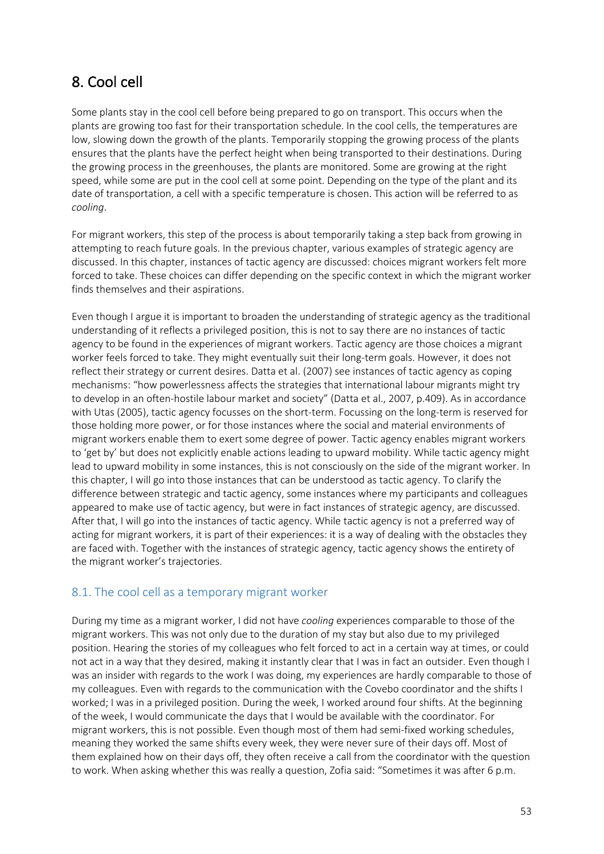# 8. Cool cell

Some plants stay in the cool cell before being prepared to go on transport. This occurs when the plants are growing too fast for their transportation schedule. In the cool cells, the temperatures are low, slowing down the growth of the plants. Temporarily stopping the growing process of the plants ensures that the plants have the perfect height when being transported to their destinations. During the growing process in the greenhouses, the plants are monitored. Some are growing at the right speed, while some are put in the cool cell at some point. Depending on the type of the plant and its date of transportation, a cell with a specific temperature is chosen. This action will be referred to as *cooling*.

For migrant workers, this step of the process is about temporarily taking a step back from growing in attempting to reach future goals. In the previous chapter, various examples of strategic agency are discussed. In this chapter, instances of tactic agency are discussed: choices migrant workers felt more forced to take. These choices can differ depending on the specific context in which the migrant worker finds themselves and their aspirations.

Even though I argue it is important to broaden the understanding of strategic agency as the traditional understanding of it reflects a privileged position, this is not to say there are no instances of tactic agency to be found in the experiences of migrant workers. Tactic agency are those choices a migrant worker feels forced to take. They might eventually suit their long-term goals. However, it does not reflect their strategy or current desires. Datta et al. (2007) see instances of tactic agency as coping mechanisms: "how powerlessness affects the strategies that international labour migrants might try to develop in an often-hostile labour market and society" (Datta et al., 2007, p.409). As in accordance with Utas (2005), tactic agency focusses on the short-term. Focussing on the long-term is reserved for those holding more power, or for those instances where the social and material environments of migrant workers enable them to exert some degree of power. Tactic agency enables migrant workers to 'get by' but does not explicitly enable actions leading to upward mobility. While tactic agency might lead to upward mobility in some instances, this is not consciously on the side of the migrant worker. In this chapter, I will go into those instances that can be understood as tactic agency. To clarify the difference between strategic and tactic agency, some instances where my participants and colleagues appeared to make use of tactic agency, but were in fact instances of strategic agency, are discussed. After that, I will go into the instances of tactic agency. While tactic agency is not a preferred way of acting for migrant workers, it is part of their experiences: it is a way of dealing with the obstacles they are faced with. Together with the instances of strategic agency, tactic agency shows the entirety of the migrant worker's trajectories.

## 8.1. The cool cell as a temporary migrant worker

During my time as a migrant worker, I did not have *cooling* experiences comparable to those of the migrant workers. This was not only due to the duration of my stay but also due to my privileged position. Hearing the stories of my colleagues who felt forced to act in a certain way at times, or could not act in a way that they desired, making it instantly clear that I was in fact an outsider. Even though I was an insider with regards to the work I was doing, my experiences are hardly comparable to those of my colleagues. Even with regards to the communication with the Covebo coordinator and the shifts I worked; I was in a privileged position. During the week, I worked around four shifts. At the beginning of the week, I would communicate the days that I would be available with the coordinator. For migrant workers, this is not possible. Even though most of them had semi-fixed working schedules, meaning they worked the same shifts every week, they were never sure of their days off. Most of them explained how on their days off, they often receive a call from the coordinator with the question to work. When asking whether this was really a question, Zofia said: "Sometimes it was after 6 p.m.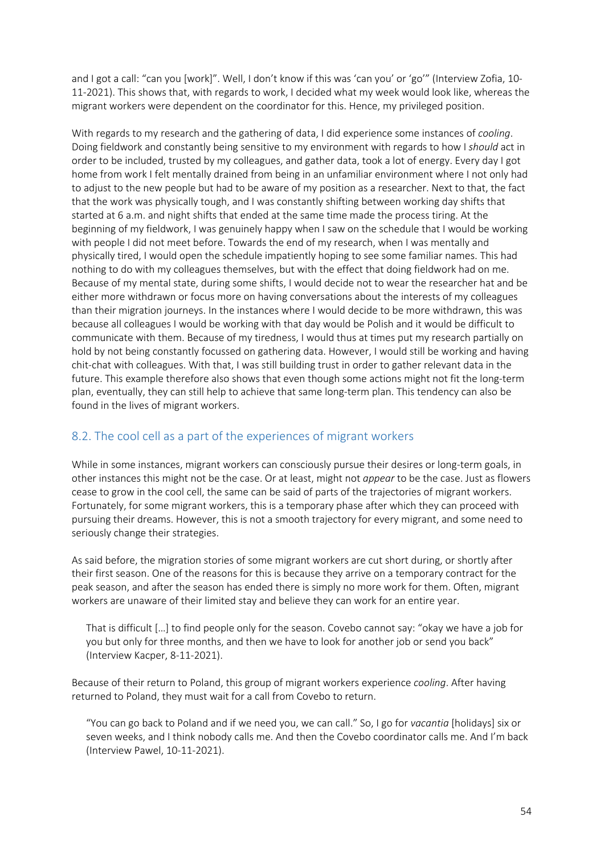and I got a call: "can you [work]". Well, I don't know if this was 'can you' or 'go'" (Interview Zofia, 10- 11-2021). This shows that, with regards to work, I decided what my week would look like, whereas the migrant workers were dependent on the coordinator for this. Hence, my privileged position.

With regards to my research and the gathering of data, I did experience some instances of *cooling*. Doing fieldwork and constantly being sensitive to my environment with regards to how I *should* act in order to be included, trusted by my colleagues, and gather data, took a lot of energy. Every day I got home from work I felt mentally drained from being in an unfamiliar environment where I not only had to adjust to the new people but had to be aware of my position as a researcher. Next to that, the fact that the work was physically tough, and I was constantly shifting between working day shifts that started at 6 a.m. and night shifts that ended at the same time made the process tiring. At the beginning of my fieldwork, I was genuinely happy when I saw on the schedule that I would be working with people I did not meet before. Towards the end of my research, when I was mentally and physically tired, I would open the schedule impatiently hoping to see some familiar names. This had nothing to do with my colleagues themselves, but with the effect that doing fieldwork had on me. Because of my mental state, during some shifts, I would decide not to wear the researcher hat and be either more withdrawn or focus more on having conversations about the interests of my colleagues than their migration journeys. In the instances where I would decide to be more withdrawn, this was because all colleagues I would be working with that day would be Polish and it would be difficult to communicate with them. Because of my tiredness, I would thus at times put my research partially on hold by not being constantly focussed on gathering data. However, I would still be working and having chit-chat with colleagues. With that, I was still building trust in order to gather relevant data in the future. This example therefore also shows that even though some actions might not fit the long-term plan, eventually, they can still help to achieve that same long-term plan. This tendency can also be found in the lives of migrant workers.

# 8.2. The cool cell as a part of the experiences of migrant workers

While in some instances, migrant workers can consciously pursue their desires or long-term goals, in other instances this might not be the case. Or at least, might not *appear* to be the case. Just as flowers cease to grow in the cool cell, the same can be said of parts of the trajectories of migrant workers. Fortunately, for some migrant workers, this is a temporary phase after which they can proceed with pursuing their dreams. However, this is not a smooth trajectory for every migrant, and some need to seriously change their strategies.

As said before, the migration stories of some migrant workers are cut short during, or shortly after their first season. One of the reasons for this is because they arrive on a temporary contract for the peak season, and after the season has ended there is simply no more work for them. Often, migrant workers are unaware of their limited stay and believe they can work for an entire year.

That is difficult […] to find people only for the season. Covebo cannot say: "okay we have a job for you but only for three months, and then we have to look for another job or send you back" (Interview Kacper, 8-11-2021).

Because of their return to Poland, this group of migrant workers experience *cooling*. After having returned to Poland, they must wait for a call from Covebo to return.

"You can go back to Poland and if we need you, we can call." So, I go for *vacantia* [holidays] six or seven weeks, and I think nobody calls me. And then the Covebo coordinator calls me. And I'm back (Interview Pawel, 10-11-2021).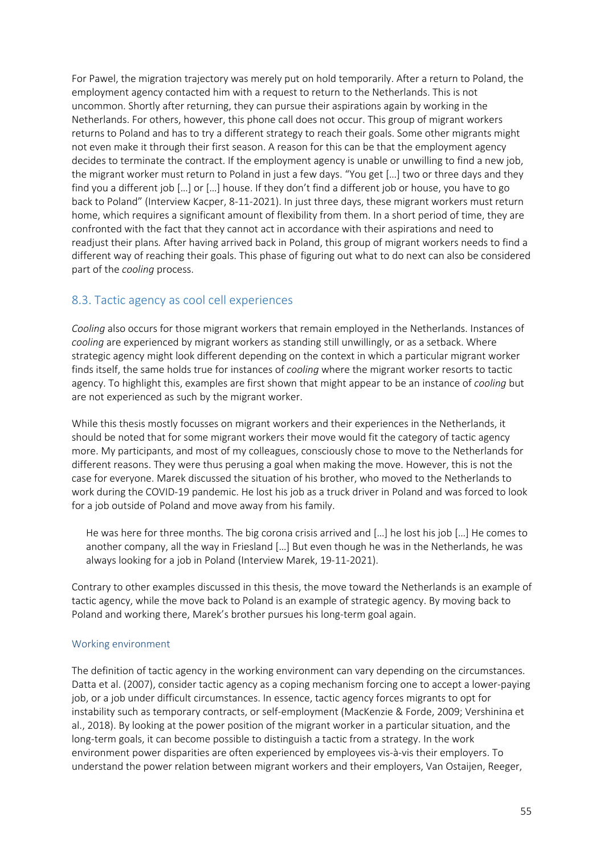For Pawel, the migration trajectory was merely put on hold temporarily. After a return to Poland, the employment agency contacted him with a request to return to the Netherlands. This is not uncommon. Shortly after returning, they can pursue their aspirations again by working in the Netherlands. For others, however, this phone call does not occur. This group of migrant workers returns to Poland and has to try a different strategy to reach their goals. Some other migrants might not even make it through their first season. A reason for this can be that the employment agency decides to terminate the contract. If the employment agency is unable or unwilling to find a new job, the migrant worker must return to Poland in just a few days. "You get […] two or three days and they find you a different job […] or […] house. If they don't find a different job or house, you have to go back to Poland" (Interview Kacper, 8-11-2021). In just three days, these migrant workers must return home, which requires a significant amount of flexibility from them. In a short period of time, they are confronted with the fact that they cannot act in accordance with their aspirations and need to readjust their plans*.* After having arrived back in Poland, this group of migrant workers needs to find a different way of reaching their goals. This phase of figuring out what to do next can also be considered part of the *cooling* process.

## 8.3. Tactic agency as cool cell experiences

*Cooling* also occurs for those migrant workers that remain employed in the Netherlands. Instances of *cooling* are experienced by migrant workers as standing still unwillingly, or as a setback. Where strategic agency might look different depending on the context in which a particular migrant worker finds itself, the same holds true for instances of *cooling* where the migrant worker resorts to tactic agency. To highlight this, examples are first shown that might appear to be an instance of *cooling* but are not experienced as such by the migrant worker.

While this thesis mostly focusses on migrant workers and their experiences in the Netherlands, it should be noted that for some migrant workers their move would fit the category of tactic agency more. My participants, and most of my colleagues, consciously chose to move to the Netherlands for different reasons. They were thus perusing a goal when making the move. However, this is not the case for everyone. Marekdiscussed the situation of his brother, who moved to the Netherlands to work during the COVID-19 pandemic. He lost his job as a truck driver in Poland and was forced to look for a job outside of Poland and move away from his family.

He was here for three months. The big corona crisis arrived and […] he lost his job […] He comes to another company, all the way in Friesland […] But even though he was in the Netherlands, he was always looking for a job in Poland (Interview Marek, 19-11-2021).

Contrary to other examples discussed in this thesis, the move toward the Netherlands is an example of tactic agency, while the move back to Poland is an example of strategic agency. By moving back to Poland and working there, Marek's brother pursues his long-term goal again.

## Working environment

The definition of tactic agency in the working environment can vary depending on the circumstances. Datta et al. (2007), consider tactic agency as a coping mechanism forcing one to accept a lower-paying job, or a job under difficult circumstances. In essence, tactic agency forces migrants to opt for instability such as temporary contracts, or self-employment (MacKenzie & Forde, 2009; Vershinina et al., 2018). By looking at the power position of the migrant worker in a particular situation, and the long-term goals, it can become possible to distinguish a tactic from a strategy. In the work environment power disparities are often experienced by employees vis-à-vis their employers. To understand the power relation between migrant workers and their employers, Van Ostaijen, Reeger,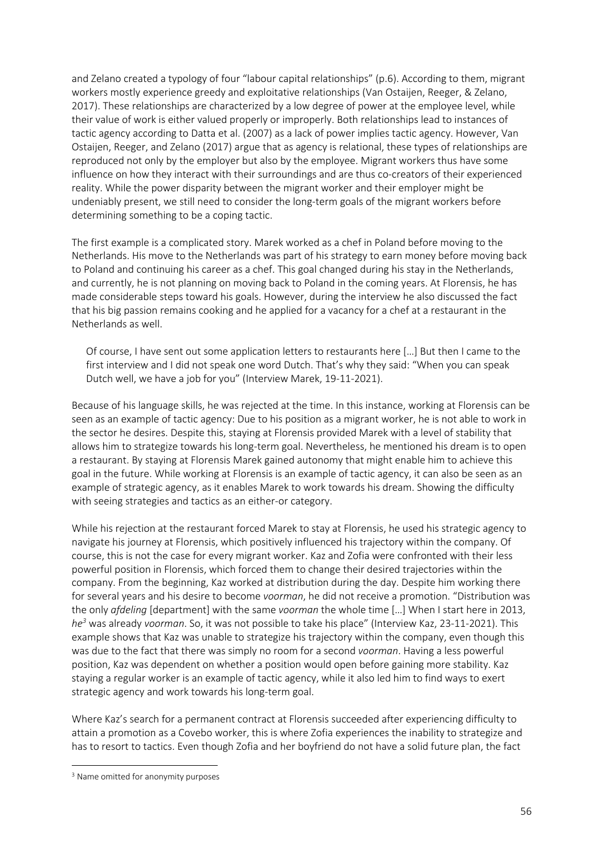and Zelano created a typology of four "labour capital relationships" (p.6). According to them, migrant workers mostly experience greedy and exploitative relationships (Van Ostaijen, Reeger, & Zelano, 2017). These relationships are characterized by a low degree of power at the employee level, while their value of work is either valued properly or improperly. Both relationships lead to instances of tactic agency according to Datta et al. (2007) as a lack of power implies tactic agency. However, Van Ostaijen, Reeger, and Zelano (2017) argue that as agency is relational, these types of relationships are reproduced not only by the employer but also by the employee. Migrant workers thus have some influence on how they interact with their surroundings and are thus co-creators of their experienced reality. While the power disparity between the migrant worker and their employer might be undeniably present, we still need to consider the long-term goals of the migrant workers before determining something to be a coping tactic.

The first example is a complicated story. Marek worked as a chef in Poland before moving to the Netherlands. His move to the Netherlands was part of his strategy to earn money before moving back to Poland and continuing his career as a chef. This goal changed during his stay in the Netherlands, and currently, he is not planning on moving back to Poland in the coming years. At Florensis, he has made considerable steps toward his goals. However, during the interview he also discussed the fact that his big passion remains cooking and he applied for a vacancy for a chef at a restaurant in the Netherlands as well.

Of course, I have sent out some application letters to restaurants here […] But then I came to the first interview and I did not speak one word Dutch. That's why they said: "When you can speak Dutch well, we have a job for you" (Interview Marek, 19-11-2021).

Because of his language skills, he was rejected at the time. In this instance, working at Florensis can be seen as an example of tactic agency: Due to his position as a migrant worker, he is not able to work in the sector he desires. Despite this, staying at Florensis provided Marek with a level of stability that allows him to strategize towards his long-term goal. Nevertheless, he mentioned his dream is to open a restaurant. By staying at Florensis Marek gained autonomy that might enable him to achieve this goal in the future. While working at Florensis is an example of tactic agency, it can also be seen as an example of strategic agency, as it enables Marek to work towards his dream. Showing the difficulty with seeing strategies and tactics as an either-or category.

While his rejection at the restaurant forced Marek to stay at Florensis, he used his strategic agency to navigate his journey at Florensis, which positively influenced his trajectory within the company. Of course, this is not the case for every migrant worker. Kaz and Zofia were confronted with their less powerful position in Florensis, which forced them to change their desired trajectories within the company. From the beginning, Kaz worked at distribution during the day. Despite him working there for several years and his desire to become *voorman*, he did not receive a promotion. "Distribution was the only *afdeling* [department] with the same *voorman* the whole time […] When I start here in 2013, *he3* was already *voorman*. So, it was not possible to take his place" (Interview Kaz, 23-11-2021). This example shows that Kaz was unable to strategize his trajectory within the company, even though this was due to the fact that there was simply no room for a second *voorman*. Having a less powerful position, Kaz was dependent on whether a position would open before gaining more stability. Kaz staying a regular worker is an example of tactic agency, while it also led him to find ways to exert strategic agency and work towards his long-term goal.

Where Kaz's search for a permanent contract at Florensis succeeded after experiencing difficulty to attain a promotion as a Covebo worker, this is where Zofia experiences the inability to strategize and has to resort to tactics. Even though Zofia and her boyfriend do not have a solid future plan, the fact

<sup>&</sup>lt;sup>3</sup> Name omitted for anonymity purposes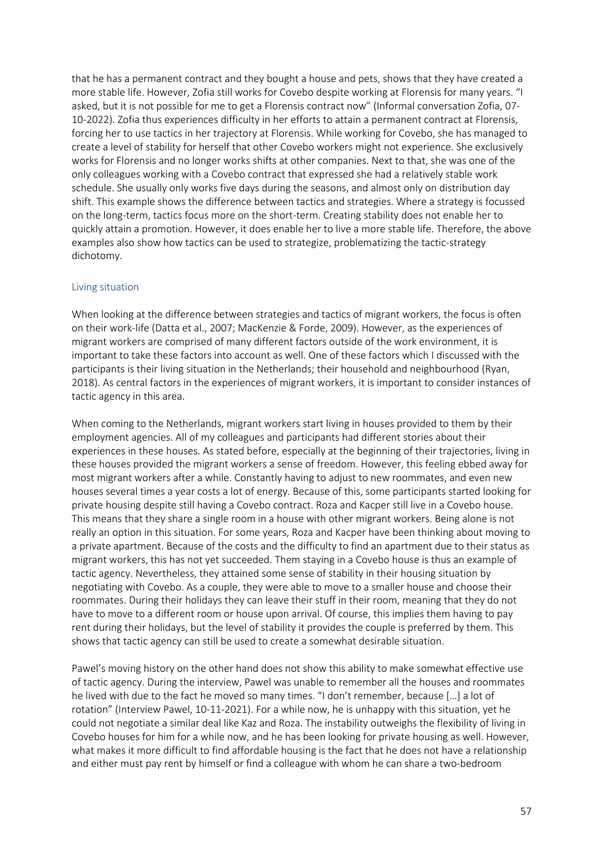that he has a permanent contract and they bought a house and pets, shows that they have created a more stable life. However, Zofia still works for Covebo despite working at Florensis for many years. "I asked, but it is not possible for me to get a Florensis contract now" (Informal conversation Zofia, 07- 10-2022). Zofia thus experiences difficulty in her efforts to attain a permanent contract at Florensis, forcing her to use tactics in her trajectory at Florensis. While working for Covebo, she has managed to create a level of stability for herself that other Covebo workers might not experience. She exclusively works for Florensis and no longer works shifts at other companies. Next to that, she was one of the only colleagues working with a Covebo contract that expressed she had a relatively stable work schedule. She usually only works five days during the seasons, and almost only on distribution day shift. This example shows the difference between tactics and strategies. Where a strategy is focussed on the long-term, tactics focus more on the short-term. Creating stability does not enable her to quickly attain a promotion. However, it does enable her to live a more stable life. Therefore, the above examples also show how tactics can be used to strategize, problematizing the tactic-strategy dichotomy.

### Living situation

When looking at the difference between strategies and tactics of migrant workers, the focus is often on their work-life (Datta et al., 2007; MacKenzie & Forde, 2009). However, as the experiences of migrant workers are comprised of many different factors outside of the work environment, it is important to take these factors into account as well. One of these factors which I discussed with the participants is their living situation in the Netherlands; their household and neighbourhood (Ryan, 2018). As central factors in the experiences of migrant workers, it is important to consider instances of tactic agency in this area.

When coming to the Netherlands, migrant workers start living in houses provided to them by their employment agencies. All of my colleagues and participants had different stories about their experiences in these houses. As stated before, especially at the beginning of their trajectories, living in these houses provided the migrant workers a sense of freedom. However, this feeling ebbed away for most migrant workers after a while. Constantly having to adjust to new roommates, and even new houses several times a year costs a lot of energy. Because of this, some participants started looking for private housing despite still having a Covebo contract. Roza and Kacper still live in a Covebo house. This means that they share a single room in a house with other migrant workers. Being alone is not really an option in this situation. For some years, Roza and Kacper have been thinking about moving to a private apartment. Because of the costs and the difficulty to find an apartment due to their status as migrant workers, this has not yet succeeded. Them staying in a Covebo house is thus an example of tactic agency. Nevertheless, they attained some sense of stability in their housing situation by negotiating with Covebo. As a couple, they were able to move to a smaller house and choose their roommates. During their holidays they can leave their stuff in their room, meaning that they do not have to move to a different room or house upon arrival. Of course, this implies them having to pay rent during their holidays, but the level of stability it provides the couple is preferred by them. This shows that tactic agency can still be used to create a somewhat desirable situation.

Pawel's moving history on the other hand does not show this ability to make somewhat effective use of tactic agency. During the interview, Pawel was unable to remember all the houses and roommates he lived with due to the fact he moved so many times. "I don't remember, because […] a lot of rotation" (Interview Pawel, 10-11-2021). For a while now, he is unhappy with this situation, yet he could not negotiate a similar deal like Kaz and Roza. The instability outweighs the flexibility of living in Covebo houses for him for a while now, and he has been looking for private housing as well. However, what makes it more difficult to find affordable housing is the fact that he does not have a relationship and either must pay rent by himself or find a colleague with whom he can share a two-bedroom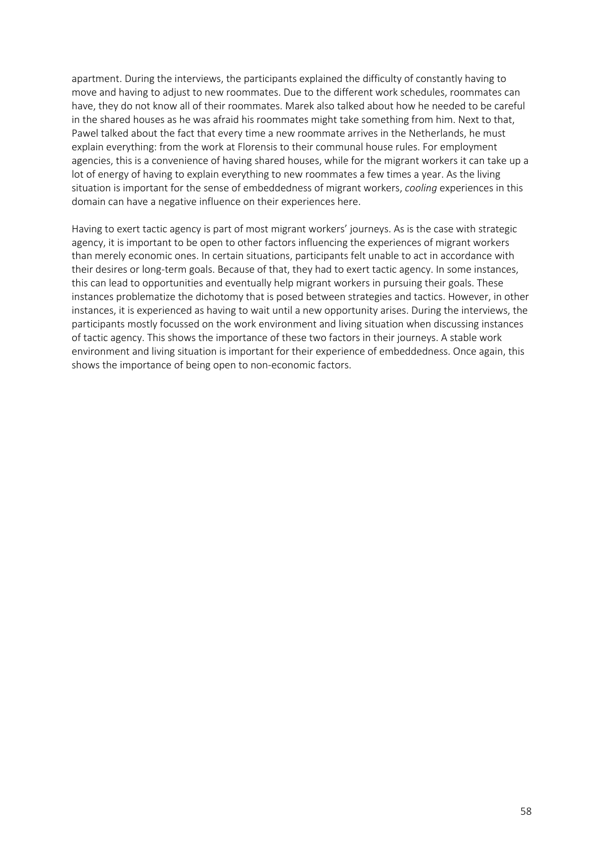apartment. During the interviews, the participants explained the difficulty of constantly having to move and having to adjust to new roommates. Due to the different work schedules, roommates can have, they do not know all of their roommates. Marek also talked about how he needed to be careful in the shared houses as he was afraid his roommates might take something from him. Next to that, Pawel talked about the fact that every time a new roommate arrives in the Netherlands, he must explain everything: from the work at Florensis to their communal house rules. For employment agencies, this is a convenience of having shared houses, while for the migrant workers it can take up a lot of energy of having to explain everything to new roommates a few times a year. As the living situation is important for the sense of embeddedness of migrant workers, *cooling* experiences in this domain can have a negative influence on their experiences here.

Having to exert tactic agency is part of most migrant workers' journeys. As is the case with strategic agency, it is important to be open to other factors influencing the experiences of migrant workers than merely economic ones. In certain situations, participants felt unable to act in accordance with their desires or long-term goals. Because of that, they had to exert tactic agency. In some instances, this can lead to opportunities and eventually help migrant workers in pursuing their goals. These instances problematize the dichotomy that is posed between strategies and tactics. However, in other instances, it is experienced as having to wait until a new opportunity arises. During the interviews, the participants mostly focussed on the work environment and living situation when discussing instances of tactic agency. This shows the importance of these two factors in their journeys. A stable work environment and living situation is important for their experience of embeddedness. Once again, this shows the importance of being open to non-economic factors.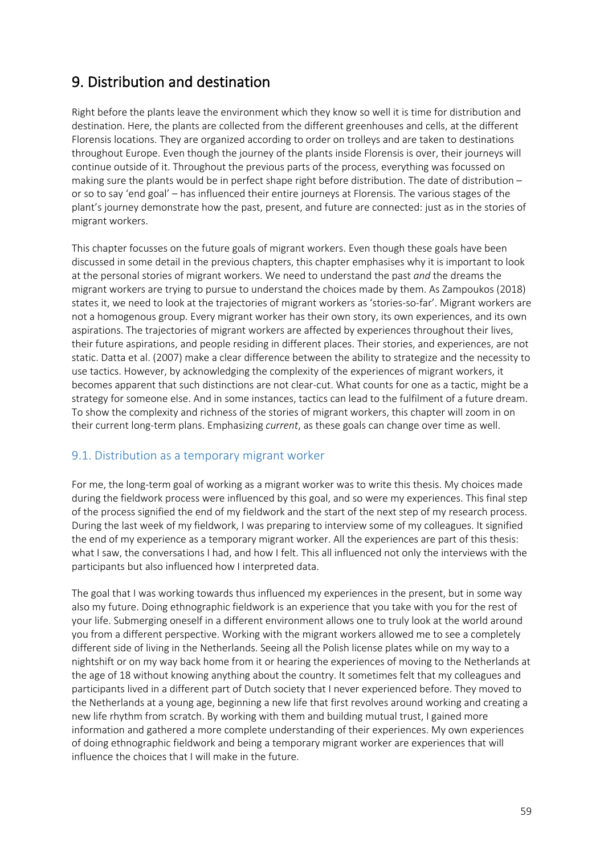# 9. Distribution and destination

Right before the plants leave the environment which they know so well it is time for distribution and destination. Here, the plants are collected from the different greenhouses and cells, at the different Florensis locations. They are organized according to order on trolleys and are taken to destinations throughout Europe. Even though the journey of the plants inside Florensis is over, their journeys will continue outside of it. Throughout the previous parts of the process, everything was focussed on making sure the plants would be in perfect shape right before distribution. The date of distribution – or so to say 'end goal' – has influenced their entire journeys at Florensis. The various stages of the plant's journey demonstrate how the past, present, and future are connected: just as in the stories of migrant workers.

This chapter focusses on the future goals of migrant workers. Even though these goals have been discussed in some detail in the previous chapters, this chapter emphasises why it is important to look at the personal stories of migrant workers. We need to understand the past *and* the dreams the migrant workers are trying to pursue to understand the choices made by them. As Zampoukos (2018) states it, we need to look at the trajectories of migrant workers as 'stories-so-far'. Migrant workers are not a homogenous group. Every migrant worker has their own story, its own experiences, and its own aspirations. The trajectories of migrant workers are affected by experiences throughout their lives, their future aspirations, and people residing in different places. Their stories, and experiences, are not static. Datta et al. (2007) make a clear difference between the ability to strategize and the necessity to use tactics. However, by acknowledging the complexity of the experiences of migrant workers, it becomes apparent that such distinctions are not clear-cut. What counts for one as a tactic, might be a strategy for someone else. And in some instances, tactics can lead to the fulfilment of a future dream. To show the complexity and richness of the stories of migrant workers, this chapter will zoom in on their current long-term plans. Emphasizing *current*, as these goals can change over time as well.

# 9.1. Distribution as a temporary migrant worker

For me, the long-term goal of working as a migrant worker was to write this thesis. My choices made during the fieldwork process were influenced by this goal, and so were my experiences. This final step of the process signified the end of my fieldwork and the start of the next step of my research process. During the last week of my fieldwork, I was preparing to interview some of my colleagues. It signified the end of my experience as a temporary migrant worker. All the experiences are part of this thesis: what I saw, the conversations I had, and how I felt. This all influenced not only the interviews with the participants but also influenced how I interpreted data.

The goal that I was working towards thus influenced my experiences in the present, but in some way also my future. Doing ethnographic fieldwork is an experience that you take with you for the rest of your life. Submerging oneself in a different environment allows one to truly look at the world around you from a different perspective. Working with the migrant workers allowed me to see a completely different side of living in the Netherlands. Seeing all the Polish license plates while on my way to a nightshift or on my way back home from it or hearing the experiences of moving to the Netherlands at the age of 18 without knowing anything about the country. It sometimes felt that my colleagues and participants lived in a different part of Dutch society that I never experienced before. They moved to the Netherlands at a young age, beginning a new life that first revolves around working and creating a new life rhythm from scratch. By working with them and building mutual trust, I gained more information and gathered a more complete understanding of their experiences. My own experiences of doing ethnographic fieldwork and being a temporary migrant worker are experiences that will influence the choices that I will make in the future.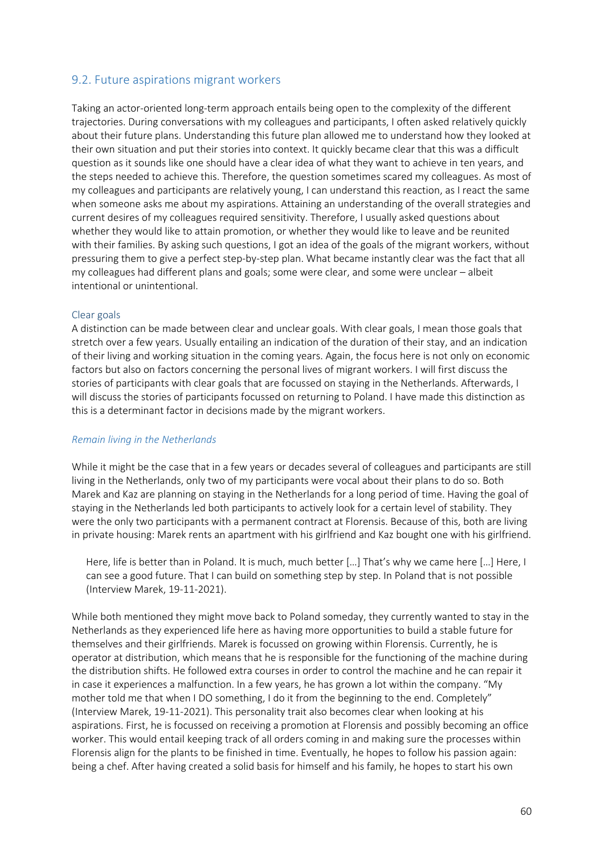### 9.2. Future aspirations migrant workers

Taking an actor-oriented long-term approach entails being open to the complexity of the different trajectories. During conversations with my colleagues and participants, I often asked relatively quickly about their future plans. Understanding this future plan allowed me to understand how they looked at their own situation and put their stories into context. It quickly became clear that this was a difficult question as it sounds like one should have a clear idea of what they want to achieve in ten years, and the steps needed to achieve this. Therefore, the question sometimes scared my colleagues. As most of my colleagues and participants are relatively young, I can understand this reaction, as I react the same when someone asks me about my aspirations. Attaining an understanding of the overall strategies and current desires of my colleagues required sensitivity. Therefore, I usually asked questions about whether they would like to attain promotion, or whether they would like to leave and be reunited with their families. By asking such questions, I got an idea of the goals of the migrant workers, without pressuring them to give a perfect step-by-step plan. What became instantly clear was the fact that all my colleagues had different plans and goals; some were clear, and some were unclear – albeit intentional or unintentional.

#### Clear goals

A distinction can be made between clear and unclear goals. With clear goals, I mean those goals that stretch over a few years. Usually entailing an indication of the duration of their stay, and an indication of their living and working situation in the coming years. Again, the focus here is not only on economic factors but also on factors concerning the personal lives of migrant workers. I will first discuss the stories of participants with clear goals that are focussed on staying in the Netherlands. Afterwards, I will discuss the stories of participants focussed on returning to Poland. I have made this distinction as this is a determinant factor in decisions made by the migrant workers.

### *Remain living in the Netherlands*

While it might be the case that in a few years or decades several of colleagues and participants are still living in the Netherlands, only two of my participants were vocal about their plans to do so. Both Marek and Kaz are planning on staying in the Netherlands for a long period of time. Having the goal of staying in the Netherlands led both participants to actively look for a certain level of stability. They were the only two participants with a permanent contract at Florensis. Because of this, both are living in private housing: Marek rents an apartment with his girlfriend and Kaz bought one with his girlfriend.

Here, life is better than in Poland. It is much, much better […] That's why we came here […] Here, I can see a good future. That I can build on something step by step. In Poland that is not possible (Interview Marek, 19-11-2021).

While both mentioned they might move back to Poland someday, they currently wanted to stay in the Netherlands as they experienced life here as having more opportunities to build a stable future for themselves and their girlfriends. Marek is focussed on growing within Florensis. Currently, he is operator at distribution, which means that he is responsible for the functioning of the machine during the distribution shifts. He followed extra courses in order to control the machine and he can repair it in case it experiences a malfunction. In a few years, he has grown a lot within the company. "My mother told me that when I DO something, I do it from the beginning to the end. Completely" (Interview Marek, 19-11-2021). This personality trait also becomes clear when looking at his aspirations. First, he is focussed on receiving a promotion at Florensis and possibly becoming an office worker. This would entail keeping track of all orders coming in and making sure the processes within Florensis align for the plants to be finished in time. Eventually, he hopes to follow his passion again: being a chef. After having created a solid basis for himself and his family, he hopes to start his own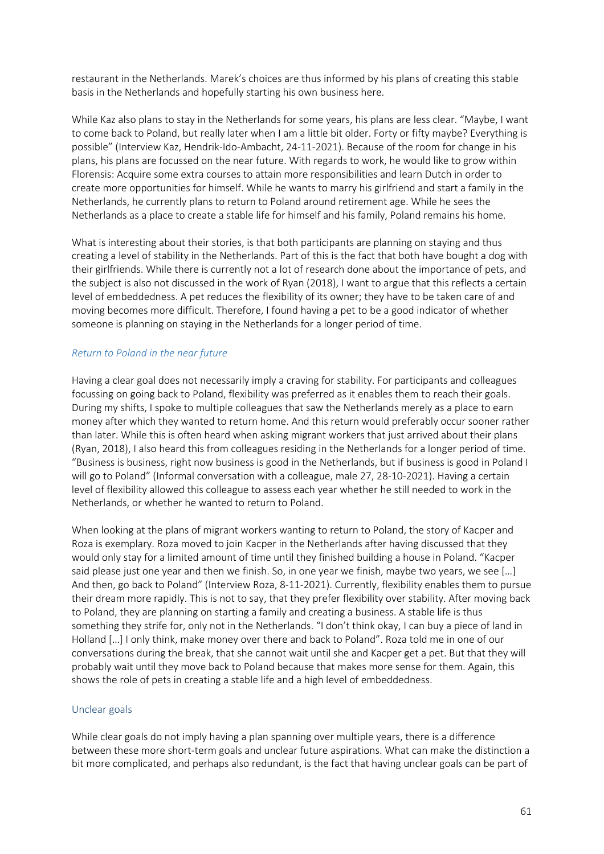restaurant in the Netherlands. Marek's choices are thus informed by his plans of creating this stable basis in the Netherlands and hopefully starting his own business here.

While Kaz also plans to stay in the Netherlands for some years, his plans are less clear. "Maybe, I want to come back to Poland, but really later when I am a little bit older. Forty or fifty maybe? Everything is possible" (Interview Kaz, Hendrik-Ido-Ambacht, 24-11-2021). Because of the room for change in his plans, his plans are focussed on the near future. With regards to work, he would like to grow within Florensis: Acquire some extra courses to attain more responsibilities and learn Dutch in order to create more opportunities for himself. While he wants to marry his girlfriend and start a family in the Netherlands, he currently plans to return to Poland around retirement age. While he sees the Netherlands as a place to create a stable life for himself and his family, Poland remains his home.

What is interesting about their stories, is that both participants are planning on staying and thus creating a level of stability in the Netherlands. Part of this is the fact that both have bought a dog with their girlfriends. While there is currently not a lot of research done about the importance of pets, and the subject is also not discussed in the work of Ryan (2018), I want to argue that this reflects a certain level of embeddedness. A pet reduces the flexibility of its owner; they have to be taken care of and moving becomes more difficult. Therefore, I found having a pet to be a good indicator of whether someone is planning on staying in the Netherlands for a longer period of time.

### *Return to Poland in the near future*

Having a clear goal does not necessarily imply a craving for stability. For participants and colleagues focussing on going back to Poland, flexibility was preferred as it enables them to reach their goals. During my shifts, I spoke to multiple colleagues that saw the Netherlands merely as a place to earn money after which they wanted to return home. And this return would preferably occur sooner rather than later. While this is often heard when asking migrant workers that just arrived about their plans (Ryan, 2018), I also heard this from colleagues residing in the Netherlands for a longer period of time. "Business is business, right now business is good in the Netherlands, but if business is good in Poland I will go to Poland" (Informal conversation with a colleague, male 27, 28-10-2021). Having a certain level of flexibility allowed this colleague to assess each year whether he still needed to work in the Netherlands, or whether he wanted to return to Poland.

When looking at the plans of migrant workers wanting to return to Poland, the story of Kacper and Roza is exemplary. Roza moved to join Kacper in the Netherlands after having discussed that they would only stay for a limited amount of time until they finished building a house in Poland. "Kacper said please just one year and then we finish. So, in one year we finish, maybe two years, we see […] And then, go back to Poland" (Interview Roza, 8-11-2021). Currently, flexibility enables them to pursue their dream more rapidly. This is not to say, that they prefer flexibility over stability. After moving back to Poland, they are planning on starting a family and creating a business. A stable life is thus something they strife for, only not in the Netherlands. "I don't think okay, I can buy a piece of land in Holland […] I only think, make money over there and back to Poland". Roza told me in one of our conversations during the break, that she cannot wait until she and Kacper get a pet. But that they will probably wait until they move back to Poland because that makes more sense for them. Again, this shows the role of pets in creating a stable life and a high level of embeddedness.

### Unclear goals

While clear goals do not imply having a plan spanning over multiple years, there is a difference between these more short-term goals and unclear future aspirations. What can make the distinction a bit more complicated, and perhaps also redundant, is the fact that having unclear goals can be part of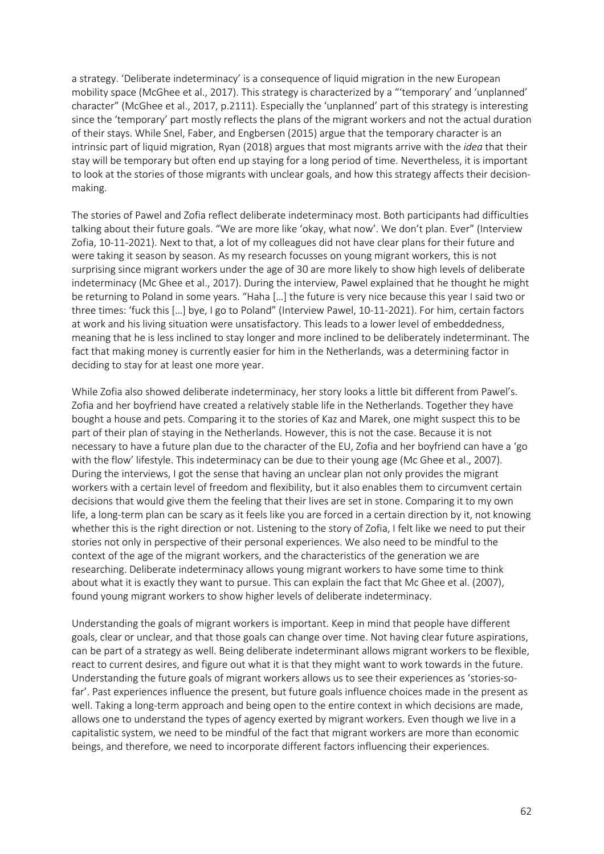a strategy. 'Deliberate indeterminacy' is a consequence of liquid migration in the new European mobility space (McGhee et al., 2017). This strategy is characterized by a "'temporary' and 'unplanned' character" (McGhee et al., 2017, p.2111). Especially the 'unplanned' part of this strategy is interesting since the 'temporary' part mostly reflects the plans of the migrant workers and not the actual duration of their stays. While Snel, Faber, and Engbersen (2015) argue that the temporary character is an intrinsic part of liquid migration, Ryan (2018) argues that most migrants arrive with the *idea* that their stay will be temporary but often end up staying for a long period of time. Nevertheless, it is important to look at the stories of those migrants with unclear goals, and how this strategy affects their decisionmaking.

The stories of Pawel and Zofia reflect deliberate indeterminacy most. Both participants had difficulties talking about their future goals. "We are more like 'okay, what now'. We don't plan. Ever" (Interview Zofia, 10-11-2021). Next to that, a lot of my colleagues did not have clear plans for their future and were taking it season by season. As my research focusses on young migrant workers, this is not surprising since migrant workers under the age of 30 are more likely to show high levels of deliberate indeterminacy (Mc Ghee et al., 2017). During the interview, Pawel explained that he thought he might be returning to Poland in some years. "Haha […] the future is very nice because this year I said two or three times: 'fuck this […] bye, I go to Poland" (Interview Pawel, 10-11-2021). For him, certain factors at work and his living situation were unsatisfactory. This leads to a lower level of embeddedness, meaning that he is less inclined to stay longer and more inclined to be deliberately indeterminant. The fact that making money is currently easier for him in the Netherlands, was a determining factor in deciding to stay for at least one more year.

While Zofia also showed deliberate indeterminacy, her story looks a little bit different from Pawel's. Zofia and her boyfriend have created a relatively stable life in the Netherlands. Together they have bought a house and pets. Comparing it to the stories of Kaz and Marek, one might suspect this to be part of their plan of staying in the Netherlands. However, this is not the case. Because it is not necessary to have a future plan due to the character of the EU, Zofia and her boyfriend can have a 'go with the flow' lifestyle. This indeterminacy can be due to their young age (Mc Ghee et al., 2007). During the interviews, I got the sense that having an unclear plan not only provides the migrant workers with a certain level of freedom and flexibility, but it also enables them to circumvent certain decisions that would give them the feeling that their lives are set in stone. Comparing it to my own life, a long-term plan can be scary as it feels like you are forced in a certain direction by it, not knowing whether this is the right direction or not. Listening to the story of Zofia, I felt like we need to put their stories not only in perspective of their personal experiences. We also need to be mindful to the context of the age of the migrant workers, and the characteristics of the generation we are researching. Deliberate indeterminacy allows young migrant workers to have some time to think about what it is exactly they want to pursue. This can explain the fact that Mc Ghee et al. (2007), found young migrant workers to show higher levels of deliberate indeterminacy.

Understanding the goals of migrant workers is important. Keep in mind that people have different goals, clear or unclear, and that those goals can change over time. Not having clear future aspirations, can be part of a strategy as well. Being deliberate indeterminant allows migrant workers to be flexible, react to current desires, and figure out what it is that they might want to work towards in the future. Understanding the future goals of migrant workers allows us to see their experiences as 'stories-sofar'. Past experiences influence the present, but future goals influence choices made in the present as well. Taking a long-term approach and being open to the entire context in which decisions are made, allows one to understand the types of agency exerted by migrant workers. Even though we live in a capitalistic system, we need to be mindful of the fact that migrant workers are more than economic beings, and therefore, we need to incorporate different factors influencing their experiences.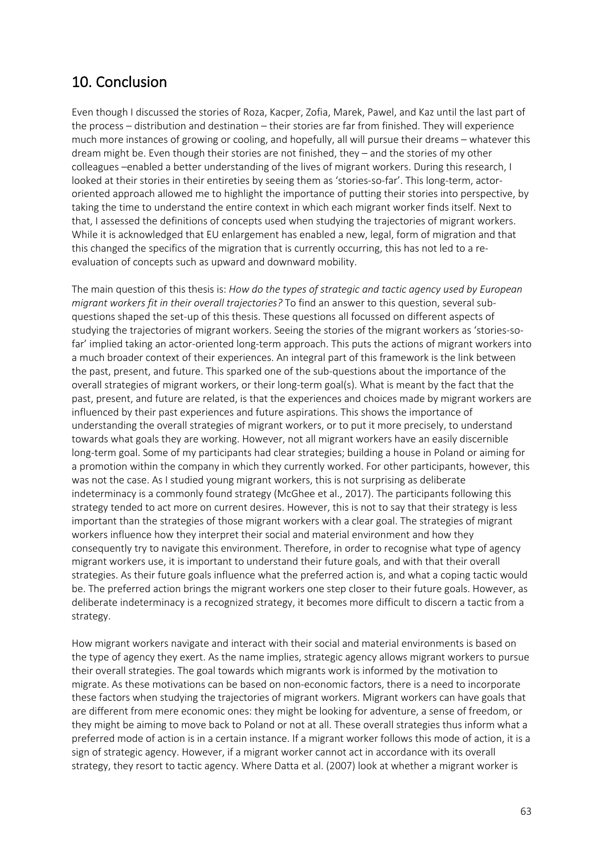# 10. Conclusion

Even though I discussed the stories of Roza, Kacper, Zofia, Marek, Pawel, and Kaz until the last part of the process – distribution and destination – their stories are far from finished. They will experience much more instances of growing or cooling, and hopefully, all will pursue their dreams – whatever this dream might be. Even though their stories are not finished, they – and the stories of my other colleagues –enabled a better understanding of the lives of migrant workers. During this research, I looked at their stories in their entireties by seeing them as 'stories-so-far'. This long-term, actororiented approach allowed me to highlight the importance of putting their stories into perspective, by taking the time to understand the entire context in which each migrant worker finds itself. Next to that, I assessed the definitions of concepts used when studying the trajectories of migrant workers. While it is acknowledged that EU enlargement has enabled a new, legal, form of migration and that this changed the specifics of the migration that is currently occurring, this has not led to a reevaluation of concepts such as upward and downward mobility.

The main question of this thesis is: *How do the types of strategic and tactic agency used by European migrant workers fit in their overall trajectories?* To find an answer to this question, several subquestions shaped the set-up of this thesis. These questions all focussed on different aspects of studying the trajectories of migrant workers. Seeing the stories of the migrant workers as 'stories-sofar' implied taking an actor-oriented long-term approach. This puts the actions of migrant workers into a much broader context of their experiences. An integral part of this framework is the link between the past, present, and future. This sparked one of the sub-questions about the importance of the overall strategies of migrant workers, or their long-term goal(s). What is meant by the fact that the past, present, and future are related, is that the experiences and choices made by migrant workers are influenced by their past experiences and future aspirations. This shows the importance of understanding the overall strategies of migrant workers, or to put it more precisely, to understand towards what goals they are working. However, not all migrant workers have an easily discernible long-term goal. Some of my participants had clear strategies; building a house in Poland or aiming for a promotion within the company in which they currently worked. For other participants, however, this was not the case. As I studied young migrant workers, this is not surprising as deliberate indeterminacy is a commonly found strategy (McGhee et al., 2017). The participants following this strategy tended to act more on current desires. However, this is not to say that their strategy is less important than the strategies of those migrant workers with a clear goal. The strategies of migrant workers influence how they interpret their social and material environment and how they consequently try to navigate this environment. Therefore, in order to recognise what type of agency migrant workers use, it is important to understand their future goals, and with that their overall strategies. As their future goals influence what the preferred action is, and what a coping tactic would be. The preferred action brings the migrant workers one step closer to their future goals. However, as deliberate indeterminacy is a recognized strategy, it becomes more difficult to discern a tactic from a strategy.

How migrant workers navigate and interact with their social and material environments is based on the type of agency they exert. As the name implies, strategic agency allows migrant workers to pursue their overall strategies. The goal towards which migrants work is informed by the motivation to migrate. As these motivations can be based on non-economic factors, there is a need to incorporate these factors when studying the trajectories of migrant workers. Migrant workers can have goals that are different from mere economic ones: they might be looking for adventure, a sense of freedom, or they might be aiming to move back to Poland or not at all. These overall strategies thus inform what a preferred mode of action is in a certain instance. If a migrant worker follows this mode of action, it is a sign of strategic agency. However, if a migrant worker cannot act in accordance with its overall strategy, they resort to tactic agency. Where Datta et al. (2007) look at whether a migrant worker is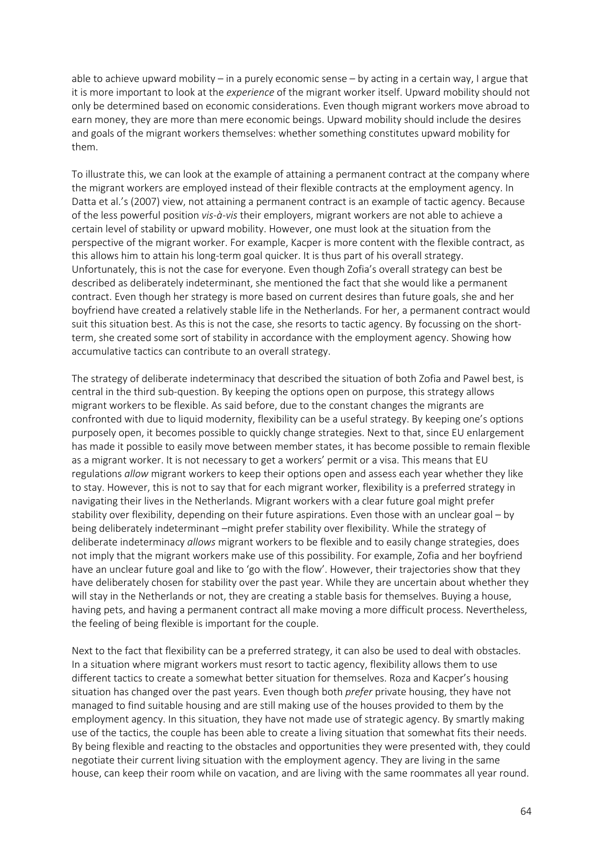able to achieve upward mobility – in a purely economic sense – by acting in a certain way, I argue that it is more important to look at the *experience* of the migrant worker itself. Upward mobility should not only be determined based on economic considerations. Even though migrant workers move abroad to earn money, they are more than mere economic beings. Upward mobility should include the desires and goals of the migrant workers themselves: whether something constitutes upward mobility for them.

To illustrate this, we can look at the example of attaining a permanent contract at the company where the migrant workers are employed instead of their flexible contracts at the employment agency. In Datta et al.'s (2007) view, not attaining a permanent contract is an example of tactic agency. Because of the less powerful position *vis-à-vis* their employers, migrant workers are not able to achieve a certain level of stability or upward mobility. However, one must look at the situation from the perspective of the migrant worker. For example, Kacper is more content with the flexible contract, as this allows him to attain his long-term goal quicker. It is thus part of his overall strategy. Unfortunately, this is not the case for everyone. Even though Zofia's overall strategy can best be described as deliberately indeterminant, she mentioned the fact that she would like a permanent contract. Even though her strategy is more based on current desires than future goals, she and her boyfriend have created a relatively stable life in the Netherlands. For her, a permanent contract would suit this situation best. As this is not the case, she resorts to tactic agency. By focussing on the shortterm, she created some sort of stability in accordance with the employment agency. Showing how accumulative tactics can contribute to an overall strategy.

The strategy of deliberate indeterminacy that described the situation of both Zofia and Pawel best, is central in the third sub-question. By keeping the options open on purpose, this strategy allows migrant workers to be flexible. As said before, due to the constant changes the migrants are confronted with due to liquid modernity, flexibility can be a useful strategy. By keeping one's options purposely open, it becomes possible to quickly change strategies. Next to that, since EU enlargement has made it possible to easily move between member states, it has become possible to remain flexible as a migrant worker. It is not necessary to get a workers' permit or a visa. This means that EU regulations *allow* migrant workers to keep their options open and assess each year whether they like to stay. However, this is not to say that for each migrant worker, flexibility is a preferred strategy in navigating their lives in the Netherlands. Migrant workers with a clear future goal might prefer stability over flexibility, depending on their future aspirations. Even those with an unclear goal – by being deliberately indeterminant –might prefer stability over flexibility. While the strategy of deliberate indeterminacy *allows* migrant workers to be flexible and to easily change strategies, does not imply that the migrant workers make use of this possibility. For example, Zofia and her boyfriend have an unclear future goal and like to 'go with the flow'. However, their trajectories show that they have deliberately chosen for stability over the past year. While they are uncertain about whether they will stay in the Netherlands or not, they are creating a stable basis for themselves. Buying a house, having pets, and having a permanent contract all make moving a more difficult process. Nevertheless, the feeling of being flexible is important for the couple.

Next to the fact that flexibility can be a preferred strategy, it can also be used to deal with obstacles. In a situation where migrant workers must resort to tactic agency, flexibility allows them to use different tactics to create a somewhat better situation for themselves. Roza and Kacper's housing situation has changed over the past years. Even though both *prefer* private housing, they have not managed to find suitable housing and are still making use of the houses provided to them by the employment agency. In this situation, they have not made use of strategic agency. By smartly making use of the tactics, the couple has been able to create a living situation that somewhat fits their needs. By being flexible and reacting to the obstacles and opportunities they were presented with, they could negotiate their current living situation with the employment agency. They are living in the same house, can keep their room while on vacation, and are living with the same roommates all year round.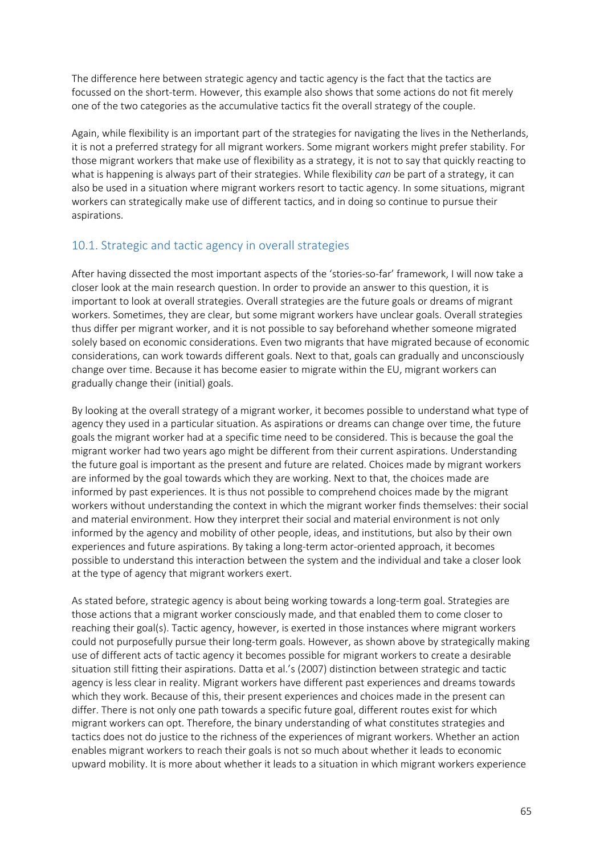The difference here between strategic agency and tactic agency is the fact that the tactics are focussed on the short-term. However, this example also shows that some actions do not fit merely one of the two categories as the accumulative tactics fit the overall strategy of the couple.

Again, while flexibility is an important part of the strategies for navigating the lives in the Netherlands, it is not a preferred strategy for all migrant workers. Some migrant workers might prefer stability. For those migrant workers that make use of flexibility as a strategy, it is not to say that quickly reacting to what is happening is always part of their strategies. While flexibility *can* be part of a strategy, it can also be used in a situation where migrant workers resort to tactic agency. In some situations, migrant workers can strategically make use of different tactics, and in doing so continue to pursue their aspirations.

## 10.1. Strategic and tactic agency in overall strategies

After having dissected the most important aspects of the 'stories-so-far' framework, I will now take a closer look at the main research question. In order to provide an answer to this question, it is important to look at overall strategies. Overall strategies are the future goals or dreams of migrant workers. Sometimes, they are clear, but some migrant workers have unclear goals. Overall strategies thus differ per migrant worker, and it is not possible to say beforehand whether someone migrated solely based on economic considerations. Even two migrants that have migrated because of economic considerations, can work towards different goals. Next to that, goals can gradually and unconsciously change over time. Because it has become easier to migrate within the EU, migrant workers can gradually change their (initial) goals.

By looking at the overall strategy of a migrant worker, it becomes possible to understand what type of agency they used in a particular situation. As aspirations or dreams can change over time, the future goals the migrant worker had at a specific time need to be considered. This is because the goal the migrant worker had two years ago might be different from their current aspirations. Understanding the future goal is important as the present and future are related. Choices made by migrant workers are informed by the goal towards which they are working. Next to that, the choices made are informed by past experiences. It is thus not possible to comprehend choices made by the migrant workers without understanding the context in which the migrant worker finds themselves: their social and material environment. How they interpret their social and material environment is not only informed by the agency and mobility of other people, ideas, and institutions, but also by their own experiences and future aspirations. By taking a long-term actor-oriented approach, it becomes possible to understand this interaction between the system and the individual and take a closer look at the type of agency that migrant workers exert.

As stated before, strategic agency is about being working towards a long-term goal. Strategies are those actions that a migrant worker consciously made, and that enabled them to come closer to reaching their goal(s). Tactic agency, however, is exerted in those instances where migrant workers could not purposefully pursue their long-term goals. However, as shown above by strategically making use of different acts of tactic agency it becomes possible for migrant workers to create a desirable situation still fitting their aspirations. Datta et al.'s (2007) distinction between strategic and tactic agency is less clear in reality. Migrant workers have different past experiences and dreams towards which they work. Because of this, their present experiences and choices made in the present can differ. There is not only one path towards a specific future goal, different routes exist for which migrant workers can opt. Therefore, the binary understanding of what constitutes strategies and tactics does not do justice to the richness of the experiences of migrant workers. Whether an action enables migrant workers to reach their goals is not so much about whether it leads to economic upward mobility. It is more about whether it leads to a situation in which migrant workers experience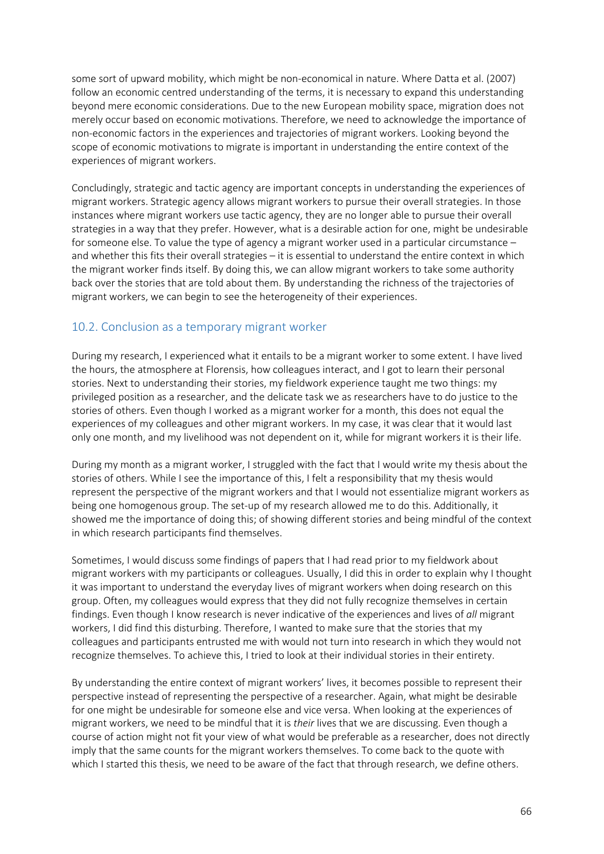some sort of upward mobility, which might be non-economical in nature. Where Datta et al. (2007) follow an economic centred understanding of the terms, it is necessary to expand this understanding beyond mere economic considerations. Due to the new European mobility space, migration does not merely occur based on economic motivations. Therefore, we need to acknowledge the importance of non-economic factors in the experiences and trajectories of migrant workers. Looking beyond the scope of economic motivations to migrate is important in understanding the entire context of the experiences of migrant workers.

Concludingly, strategic and tactic agency are important concepts in understanding the experiences of migrant workers. Strategic agency allows migrant workers to pursue their overall strategies. In those instances where migrant workers use tactic agency, they are no longer able to pursue their overall strategies in a way that they prefer. However, what is a desirable action for one, might be undesirable for someone else. To value the type of agency a migrant worker used in a particular circumstance – and whether this fits their overall strategies – it is essential to understand the entire context in which the migrant worker finds itself. By doing this, we can allow migrant workers to take some authority back over the stories that are told about them. By understanding the richness of the trajectories of migrant workers, we can begin to see the heterogeneity of their experiences.

# 10.2. Conclusion as a temporary migrant worker

During my research, I experienced what it entails to be a migrant worker to some extent. I have lived the hours, the atmosphere at Florensis, how colleagues interact, and I got to learn their personal stories. Next to understanding their stories, my fieldwork experience taught me two things: my privileged position as a researcher, and the delicate task we as researchers have to do justice to the stories of others. Even though I worked as a migrant worker for a month, this does not equal the experiences of my colleagues and other migrant workers. In my case, it was clear that it would last only one month, and my livelihood was not dependent on it, while for migrant workers it is their life.

During my month as a migrant worker, I struggled with the fact that I would write my thesis about the stories of others. While I see the importance of this, I felt a responsibility that my thesis would represent the perspective of the migrant workers and that I would not essentialize migrant workers as being one homogenous group. The set-up of my research allowed me to do this. Additionally, it showed me the importance of doing this; of showing different stories and being mindful of the context in which research participants find themselves.

Sometimes, I would discuss some findings of papers that I had read prior to my fieldwork about migrant workers with my participants or colleagues. Usually, I did this in order to explain why I thought it was important to understand the everyday lives of migrant workers when doing research on this group. Often, my colleagues would express that they did not fully recognize themselves in certain findings. Even though I know research is never indicative of the experiences and lives of *all* migrant workers, I did find this disturbing. Therefore, I wanted to make sure that the stories that my colleagues and participants entrusted me with would not turn into research in which they would not recognize themselves. To achieve this, I tried to look at their individual stories in their entirety.

By understanding the entire context of migrant workers' lives, it becomes possible to represent their perspective instead of representing the perspective of a researcher. Again, what might be desirable for one might be undesirable for someone else and vice versa. When looking at the experiences of migrant workers, we need to be mindful that it is *their* lives that we are discussing. Even though a course of action might not fit your view of what would be preferable as a researcher, does not directly imply that the same counts for the migrant workers themselves. To come back to the quote with which I started this thesis, we need to be aware of the fact that through research, we define others.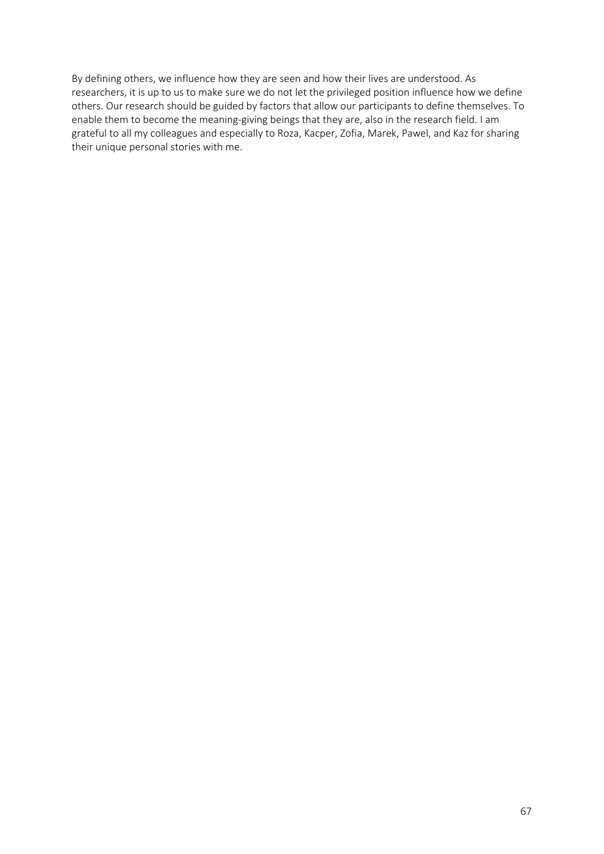By defining others, we influence how they are seen and how their lives are understood. As researchers, it is up to us to make sure we do not let the privileged position influence how we define others. Our research should be guided by factors that allow our participants to define themselves. To enable them to become the meaning-giving beings that they are, also in the research field. I am grateful to all my colleagues and especially to Roza, Kacper, Zofia, Marek, Pawel, and Kaz for sharing their unique personal stories with me.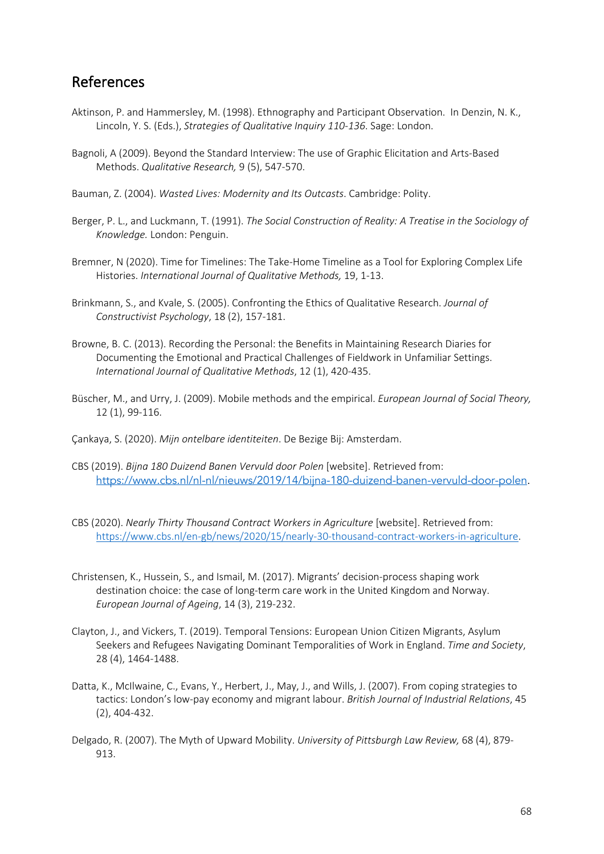# References

- Aktinson, P. and Hammersley, M. (1998). Ethnography and Participant Observation. In Denzin, N. K., Lincoln, Y. S. (Eds.), *Strategies of Qualitative Inquiry 110-136*. Sage: London.
- Bagnoli, A (2009). Beyond the Standard Interview: The use of Graphic Elicitation and Arts-Based Methods. *Qualitative Research,* 9 (5), 547-570.
- Bauman, Z. (2004). *Wasted Lives: Modernity and Its Outcasts*. Cambridge: Polity.
- Berger, P. L., and Luckmann, T. (1991). *The Social Construction of Reality: A Treatise in the Sociology of Knowledge.* London: Penguin.
- Bremner, N (2020). Time for Timelines: The Take-Home Timeline as a Tool for Exploring Complex Life Histories. *International Journal of Qualitative Methods,* 19, 1-13.
- Brinkmann, S., and Kvale, S. (2005). Confronting the Ethics of Qualitative Research. *Journal of Constructivist Psychology*, 18 (2), 157-181.
- Browne, B. C. (2013). Recording the Personal: the Benefits in Maintaining Research Diaries for Documenting the Emotional and Practical Challenges of Fieldwork in Unfamiliar Settings. *International Journal of Qualitative Methods*, 12 (1), 420-435.
- Büscher, M., and Urry, J. (2009). Mobile methods and the empirical. *European Journal of Social Theory,*  12 (1), 99-116.
- Çankaya, S. (2020). *Mijn ontelbare identiteiten*. De Bezige Bij: Amsterdam.
- CBS (2019). *Bijna 180 Duizend Banen Vervuld door Polen* [website]. Retrieved from: https://www.cbs.nl/nl-nl/nieuws/2019/14/bijna-180-duizend-banen-vervuld-door-polen.
- CBS (2020). *Nearly Thirty Thousand Contract Workers in Agriculture* [website]. Retrieved from: https://www.cbs.nl/en-gb/news/2020/15/nearly-30-thousand-contract-workers-in-agriculture.
- Christensen, K., Hussein, S., and Ismail, M. (2017). Migrants' decision-process shaping work destination choice: the case of long-term care work in the United Kingdom and Norway. *European Journal of Ageing*, 14 (3), 219-232.
- Clayton, J., and Vickers, T. (2019). Temporal Tensions: European Union Citizen Migrants, Asylum Seekers and Refugees Navigating Dominant Temporalities of Work in England. *Time and Society*, 28 (4), 1464-1488.
- Datta, K., McIlwaine, C., Evans, Y., Herbert, J., May, J., and Wills, J. (2007). From coping strategies to tactics: London's low-pay economy and migrant labour. *British Journal of Industrial Relations*, 45 (2), 404-432.
- Delgado, R. (2007). The Myth of Upward Mobility. *University of Pittsburgh Law Review,* 68 (4), 879- 913.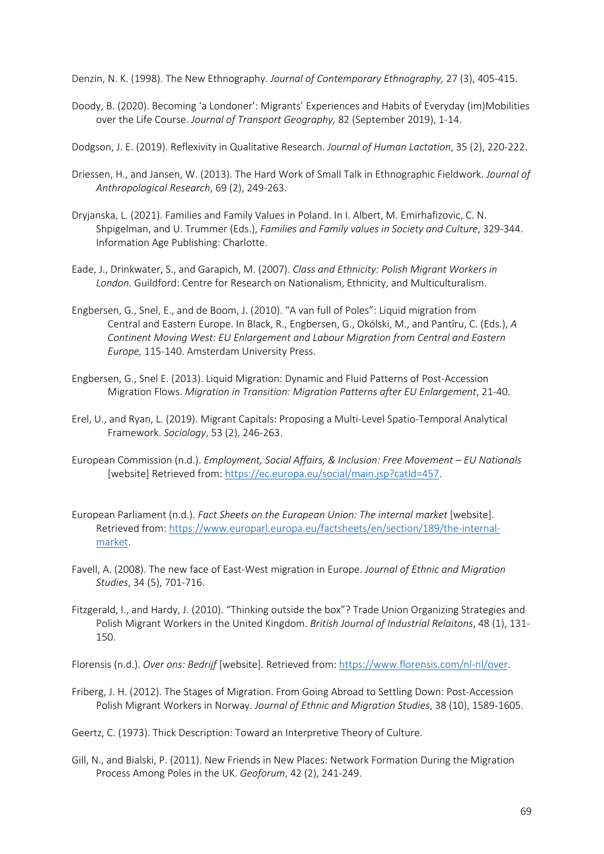Denzin, N. K. (1998). The New Ethnography. *Journal of Contemporary Ethnography,* 27 (3), 405-415.

- Doody, B. (2020). Becoming 'a Londoner': Migrants' Experiences and Habits of Everyday (im)Mobilities over the Life Course. *Journal of Transport Geography,* 82 (September 2019), 1-14.
- Dodgson, J. E. (2019). Reflexivity in Qualitative Research. *Journal of Human Lactation*, 35 (2), 220-222.
- Driessen, H., and Jansen, W. (2013). The Hard Work of Small Talk in Ethnographic Fieldwork. *Journal of Anthropological Research*, 69 (2), 249-263.
- Dryjanska, L. (2021). Families and Family Values in Poland. In I. Albert, M. Emirhafizovic, C. N. Shpigelman, and U. Trummer (Eds.), *Families and Family values in Society and Culture*, 329-344. Information Age Publishing: Charlotte.
- Eade, J., Drinkwater, S., and Garapich, M. (2007). *Class and Ethnicity: Polish Migrant Workers in London.* Guildford: Centre for Research on Nationalism, Ethnicity, and Multiculturalism.
- Engbersen, G., Snel, E., and de Boom, J. (2010). "A van full of Poles": Liquid migration from Central and Eastern Europe. In Black, R., Engbersen, G., Okólski, M., and Pantîru, C. (Eds.), *A Continent Moving West: EU Enlargement and Labour Migration from Central and Eastern Europe,* 115-140. Amsterdam University Press.
- Engbersen, G., Snel E. (2013). Liquid Migration: Dynamic and Fluid Patterns of Post-Accession Migration Flows. *Migration in Transition: Migration Patterns after EU Enlargement*, 21-40.
- Erel, U., and Ryan, L. (2019). Migrant Capitals: Proposing a Multi-Level Spatio-Temporal Analytical Framework. *Sociology*, 53 (2), 246-263.
- European Commission (n.d.). *Employment, Social Affairs, & Inclusion: Free Movement – EU Nationals* [website] Retrieved from: https://ec.europa.eu/social/main.jsp?catId=457.
- European Parliament (n.d.). *Fact Sheets on the European Union: The internal market* [website]. Retrieved from: https://www.europarl.europa.eu/factsheets/en/section/189/the-internalmarket.
- Favell, A. (2008). The new face of East-West migration in Europe. *Journal of Ethnic and Migration Studies*, 34 (5), 701-716.
- Fitzgerald, I., and Hardy, J. (2010). "Thinking outside the box"? Trade Union Organizing Strategies and Polish Migrant Workers in the United Kingdom. *British Journal of Industrial Relaitons*, 48 (1), 131- 150.

Florensis (n.d.). *Over ons: Bedrijf* [website]. Retrieved from: https://www.florensis.com/nl-nl/over.

Friberg, J. H. (2012). The Stages of Migration. From Going Abroad to Settling Down: Post-Accession Polish Migrant Workers in Norway. *Journal of Ethnic and Migration Studies*, 38 (10), 1589-1605.

Geertz, C. (1973). Thick Description: Toward an Interpretive Theory of Culture.

Gill, N., and Bialski, P. (2011). New Friends in New Places: Network Formation During the Migration Process Among Poles in the UK. *Geoforum*, 42 (2), 241-249.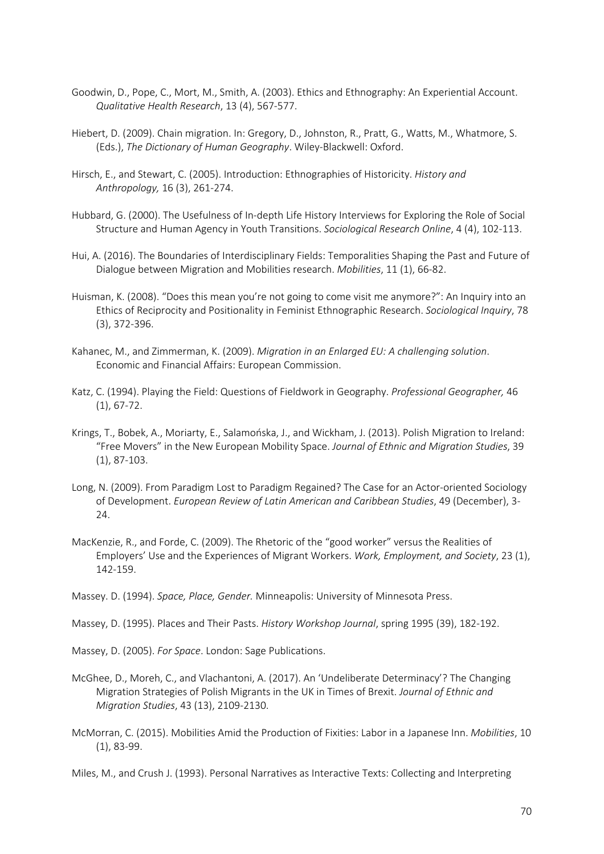- Goodwin, D., Pope, C., Mort, M., Smith, A. (2003). Ethics and Ethnography: An Experiential Account. *Qualitative Health Research*, 13 (4), 567-577.
- Hiebert, D. (2009). Chain migration. In: Gregory, D., Johnston, R., Pratt, G., Watts, M., Whatmore, S. (Eds.), *The Dictionary of Human Geography*. Wiley-Blackwell: Oxford.
- Hirsch, E., and Stewart, C. (2005). Introduction: Ethnographies of Historicity. *History and Anthropology,* 16 (3), 261-274.
- Hubbard, G. (2000). The Usefulness of In-depth Life History Interviews for Exploring the Role of Social Structure and Human Agency in Youth Transitions. *Sociological Research Online*, 4 (4), 102-113.
- Hui, A. (2016). The Boundaries of Interdisciplinary Fields: Temporalities Shaping the Past and Future of Dialogue between Migration and Mobilities research. *Mobilities*, 11 (1), 66-82.
- Huisman, K. (2008). "Does this mean you're not going to come visit me anymore?": An Inquiry into an Ethics of Reciprocity and Positionality in Feminist Ethnographic Research. *Sociological Inquiry*, 78 (3), 372-396.
- Kahanec, M., and Zimmerman, K. (2009). *Migration in an Enlarged EU: A challenging solution*. Economic and Financial Affairs: European Commission.
- Katz, C. (1994). Playing the Field: Questions of Fieldwork in Geography. *Professional Geographer,* 46 (1), 67-72.
- Krings, T., Bobek, A., Moriarty, E., Salamońska, J., and Wickham, J. (2013). Polish Migration to Ireland: "Free Movers" in the New European Mobility Space. *Journal of Ethnic and Migration Studies*, 39 (1), 87-103.
- Long, N. (2009). From Paradigm Lost to Paradigm Regained? The Case for an Actor-oriented Sociology of Development. *European Review of Latin American and Caribbean Studies*, 49 (December), 3- 24.
- MacKenzie, R., and Forde, C. (2009). The Rhetoric of the "good worker" versus the Realities of Employers' Use and the Experiences of Migrant Workers. *Work, Employment, and Society*, 23 (1), 142-159.
- Massey. D. (1994). *Space, Place, Gender.* Minneapolis: University of Minnesota Press.
- Massey, D. (1995). Places and Their Pasts. *History Workshop Journal*, spring 1995 (39), 182-192.
- Massey, D. (2005). *For Space*. London: Sage Publications.
- McGhee, D., Moreh, C., and Vlachantoni, A. (2017). An 'Undeliberate Determinacy'? The Changing Migration Strategies of Polish Migrants in the UK in Times of Brexit. *Journal of Ethnic and Migration Studies*, 43 (13), 2109-2130.
- McMorran, C. (2015). Mobilities Amid the Production of Fixities: Labor in a Japanese Inn. *Mobilities*, 10 (1), 83-99.

Miles, M., and Crush J. (1993). Personal Narratives as Interactive Texts: Collecting and Interpreting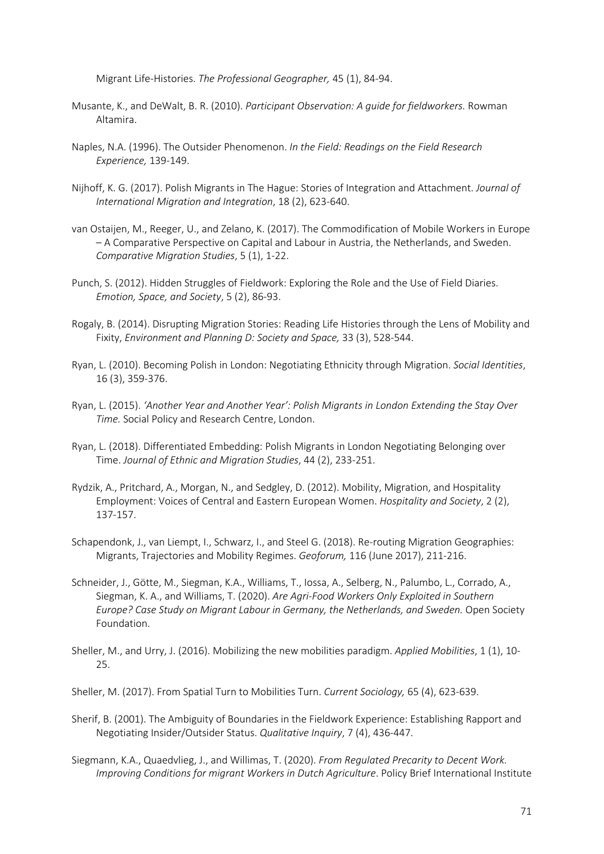Migrant Life-Histories. *The Professional Geographer,* 45 (1), 84-94.

- Musante, K., and DeWalt, B. R. (2010). *Participant Observation: A guide for fieldworkers.* Rowman Altamira.
- Naples, N.A. (1996). The Outsider Phenomenon. *In the Field: Readings on the Field Research Experience,* 139-149.
- Nijhoff, K. G. (2017). Polish Migrants in The Hague: Stories of Integration and Attachment. *Journal of International Migration and Integration*, 18 (2), 623-640.
- van Ostaijen, M., Reeger, U., and Zelano, K. (2017). The Commodification of Mobile Workers in Europe – A Comparative Perspective on Capital and Labour in Austria, the Netherlands, and Sweden. *Comparative Migration Studies*, 5 (1), 1-22.
- Punch, S. (2012). Hidden Struggles of Fieldwork: Exploring the Role and the Use of Field Diaries. *Emotion, Space, and Society*, 5 (2), 86-93.
- Rogaly, B. (2014). Disrupting Migration Stories: Reading Life Histories through the Lens of Mobility and Fixity, *Environment and Planning D: Society and Space,* 33 (3), 528-544.
- Ryan, L. (2010). Becoming Polish in London: Negotiating Ethnicity through Migration. *Social Identities*, 16 (3), 359-376.
- Ryan, L. (2015). *'Another Year and Another Year': Polish Migrants in London Extending the Stay Over Time.* Social Policy and Research Centre, London.
- Ryan, L. (2018). Differentiated Embedding: Polish Migrants in London Negotiating Belonging over Time. *Journal of Ethnic and Migration Studies*, 44 (2), 233-251.
- Rydzik, A., Pritchard, A., Morgan, N., and Sedgley, D. (2012). Mobility, Migration, and Hospitality Employment: Voices of Central and Eastern European Women. *Hospitality and Society*, 2 (2), 137-157.
- Schapendonk, J., van Liempt, I., Schwarz, I., and Steel G. (2018). Re-routing Migration Geographies: Migrants, Trajectories and Mobility Regimes. *Geoforum,* 116 (June 2017), 211-216.
- Schneider, J., Götte, M., Siegman, K.A., Williams, T., Iossa, A., Selberg, N., Palumbo, L., Corrado, A., Siegman, K. A., and Williams, T. (2020). *Are Agri-Food Workers Only Exploited in Southern Europe? Case Study on Migrant Labour in Germany, the Netherlands, and Sweden.* Open Society Foundation.
- Sheller, M., and Urry, J. (2016). Mobilizing the new mobilities paradigm. *Applied Mobilities*, 1 (1), 10- 25.
- Sheller, M. (2017). From Spatial Turn to Mobilities Turn. *Current Sociology,* 65 (4), 623-639.
- Sherif, B. (2001). The Ambiguity of Boundaries in the Fieldwork Experience: Establishing Rapport and Negotiating Insider/Outsider Status. *Qualitative Inquiry*, 7 (4), 436-447.
- Siegmann, K.A., Quaedvlieg, J., and Willimas, T. (2020). *From Regulated Precarity to Decent Work. Improving Conditions for migrant Workers in Dutch Agriculture*. Policy Brief International Institute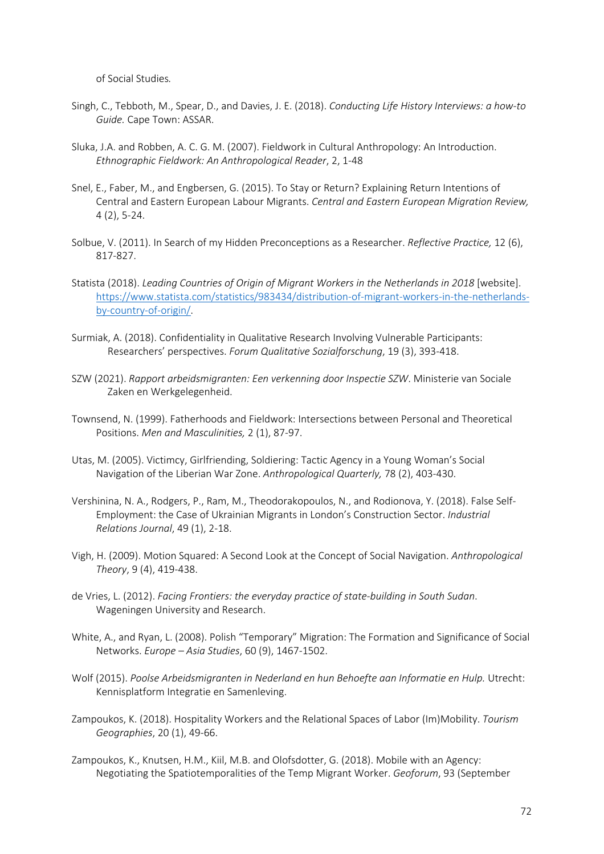of Social Studies*.*

- Singh, C., Tebboth, M., Spear, D., and Davies, J. E. (2018). *Conducting Life History Interviews: a how-to Guide.* Cape Town: ASSAR.
- Sluka, J.A. and Robben, A. C. G. M. (2007). Fieldwork in Cultural Anthropology: An Introduction. *Ethnographic Fieldwork: An Anthropological Reader*, 2, 1-48
- Snel, E., Faber, M., and Engbersen, G. (2015). To Stay or Return? Explaining Return Intentions of Central and Eastern European Labour Migrants. *Central and Eastern European Migration Review,*  4 (2), 5-24.
- Solbue, V. (2011). In Search of my Hidden Preconceptions as a Researcher. *Reflective Practice,* 12 (6), 817-827.
- Statista (2018). *Leading Countries of Origin of Migrant Workers in the Netherlands in 2018* [website]. https://www.statista.com/statistics/983434/distribution-of-migrant-workers-in-the-netherlandsby-country-of-origin/.
- Surmiak, A. (2018). Confidentiality in Qualitative Research Involving Vulnerable Participants: Researchers' perspectives. *Forum Qualitative Sozialforschung*, 19 (3), 393-418.
- SZW (2021). *Rapport arbeidsmigranten: Een verkenning door Inspectie SZW*. Ministerie van Sociale Zaken en Werkgelegenheid.
- Townsend, N. (1999). Fatherhoods and Fieldwork: Intersections between Personal and Theoretical Positions. *Men and Masculinities,* 2 (1), 87-97.
- Utas, M. (2005). Victimcy, Girlfriending, Soldiering: Tactic Agency in a Young Woman's Social Navigation of the Liberian War Zone. *Anthropological Quarterly,* 78 (2), 403-430.
- Vershinina, N. A., Rodgers, P., Ram, M., Theodorakopoulos, N., and Rodionova, Y. (2018). False Self-Employment: the Case of Ukrainian Migrants in London's Construction Sector. *Industrial Relations Journal*, 49 (1), 2-18.
- Vigh, H. (2009). Motion Squared: A Second Look at the Concept of Social Navigation. *Anthropological Theory*, 9 (4), 419-438.
- de Vries, L. (2012). *Facing Frontiers: the everyday practice of state-building in South Sudan*. Wageningen University and Research.
- White, A., and Ryan, L. (2008). Polish "Temporary" Migration: The Formation and Significance of Social Networks. *Europe – Asia Studies*, 60 (9), 1467-1502.
- Wolf (2015). *Poolse Arbeidsmigranten in Nederland en hun Behoefte aan Informatie en Hulp.* Utrecht: Kennisplatform Integratie en Samenleving.
- Zampoukos, K. (2018). Hospitality Workers and the Relational Spaces of Labor (Im)Mobility. *Tourism Geographies*, 20 (1), 49-66.
- Zampoukos, K., Knutsen, H.M., Kiil, M.B. and Olofsdotter, G. (2018). Mobile with an Agency: Negotiating the Spatiotemporalities of the Temp Migrant Worker. *Geoforum*, 93 (September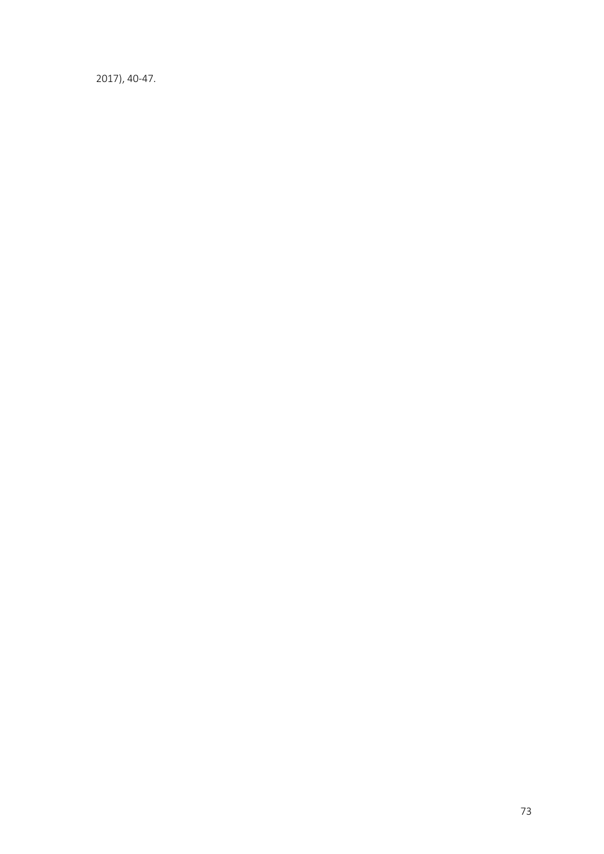2017), 40-47.